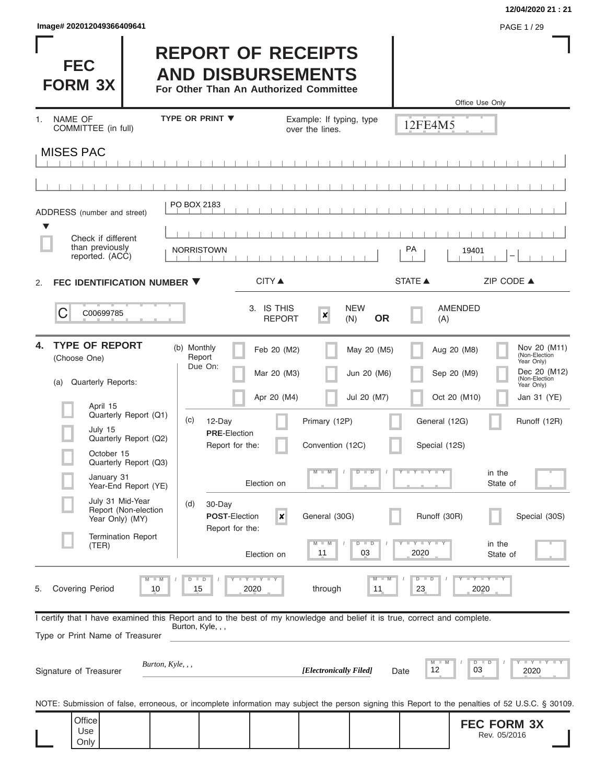| Image# 202012049366409641 | PAGE 1/29 |
|---------------------------|-----------|
|---------------------------|-----------|

## **12/04/2020 21 : 21**

| <b>FEC</b><br><b>FORM 3X</b>                |                                                   | <b>REPORT OF RECEIPTS</b><br><b>AND DISBURSEMENTS</b><br>For Other Than An Authorized Committee                                              |                                             |                                |                            | Office Use Only                                                                                                                                   |
|---------------------------------------------|---------------------------------------------------|----------------------------------------------------------------------------------------------------------------------------------------------|---------------------------------------------|--------------------------------|----------------------------|---------------------------------------------------------------------------------------------------------------------------------------------------|
| NAME OF<br>1.<br>COMMITTEE (in full)        |                                                   | <b>TYPE OR PRINT ▼</b>                                                                                                                       | Example: If typing, type<br>over the lines. |                                | 12FE4M5                    |                                                                                                                                                   |
| <b>MISES PAC</b>                            |                                                   |                                                                                                                                              |                                             |                                |                            |                                                                                                                                                   |
|                                             |                                                   |                                                                                                                                              |                                             |                                |                            |                                                                                                                                                   |
| ADDRESS (number and street)                 |                                                   | PO BOX 2183                                                                                                                                  |                                             |                                |                            |                                                                                                                                                   |
| ▼<br>Check if different                     |                                                   |                                                                                                                                              |                                             |                                |                            |                                                                                                                                                   |
| than previously<br>reported. (ACC)          |                                                   | <b>NORRISTOWN</b>                                                                                                                            |                                             |                                | PA                         | 19401                                                                                                                                             |
| FEC IDENTIFICATION NUMBER ▼<br>2.           |                                                   | <b>CITY</b> ▲                                                                                                                                |                                             |                                | <b>STATE ▲</b>             | ZIP CODE ▲                                                                                                                                        |
| С<br>C00699785                              |                                                   | 3. IS THIS                                                                                                                                   | $\boldsymbol{x}$<br><b>REPORT</b>           | <b>NEW</b><br><b>OR</b><br>(N) | (A)                        | <b>AMENDED</b>                                                                                                                                    |
| <b>TYPE OF REPORT</b><br>4.<br>(Choose One) |                                                   | (b) Monthly<br>Report<br>Due On:                                                                                                             | Feb 20 (M2)<br>Mar 20 (M3)                  | May 20 (M5)<br>Jun 20 (M6)     | Aug 20 (M8)<br>Sep 20 (M9) | Nov 20 (M11)<br>(Non-Election<br>Year Only)<br>Dec 20 (M12)                                                                                       |
| <b>Quarterly Reports:</b><br>(a)            |                                                   |                                                                                                                                              | Apr 20 (M4)                                 | Jul 20 (M7)                    |                            | (Non-Election<br>Year Only)<br>Oct 20 (M10)<br>Jan 31 (YE)                                                                                        |
| April 15                                    | Quarterly Report (Q1)                             | (c)<br>12-Day                                                                                                                                | Primary (12P)                               |                                | General (12G)              | Runoff (12R)                                                                                                                                      |
| July 15<br>October 15                       | Quarterly Report (Q2)                             | <b>PRE-Election</b><br>Report for the:                                                                                                       | Convention (12C)                            |                                | Special (12S)              |                                                                                                                                                   |
| January 31                                  | Quarterly Report (Q3)                             | Election on                                                                                                                                  | $M - M$                                     | $D$ $D$                        | Y L Y L                    | in the<br>State of                                                                                                                                |
| July 31 Mid-Year                            | Year-End Report (YE)<br>Report (Non-election      | (d)<br>30-Day<br><b>POST-Election</b>                                                                                                        | $\boldsymbol{x}$<br>General (30G)           |                                | Runoff (30R)               | Special (30S)                                                                                                                                     |
| Year Only) (MY)                             | <b>Termination Report</b>                         | Report for the:                                                                                                                              |                                             |                                |                            |                                                                                                                                                   |
| (TER)                                       |                                                   | Election on                                                                                                                                  | 11                                          | $D$ $D$<br>03                  | Y I Y I<br>2020            | in the<br>State of                                                                                                                                |
| <b>Covering Period</b><br>5.                | $\overline{\mathsf{M}}$<br>$\blacksquare$ M<br>10 | Y I Y I Y<br>$\Box$<br>15<br>2020                                                                                                            | through                                     | M<br>11                        | $D$ $D$<br>23              | $Y$ $Y$ $Y$ $Y$<br>2020                                                                                                                           |
|                                             |                                                   | I certify that I have examined this Report and to the best of my knowledge and belief it is true, correct and complete.<br>Burton, Kyle, , , |                                             |                                |                            |                                                                                                                                                   |
| Type or Print Name of Treasurer             |                                                   |                                                                                                                                              |                                             |                                |                            |                                                                                                                                                   |
| Signature of Treasurer                      | Burton, $Kyle, , ,$                               |                                                                                                                                              | [Electronically Filed]                      | Date                           | $M$ $M$<br>12              | $D$ $D$<br>03<br>2020                                                                                                                             |
|                                             |                                                   |                                                                                                                                              |                                             |                                |                            | NOTE: Submission of false, erroneous, or incomplete information may subject the person signing this Report to the penalties of 52 U.S.C. § 30109. |
| Office<br>Use<br>Only                       |                                                   |                                                                                                                                              |                                             |                                |                            | <b>FEC FORM 3X</b><br>Rev. 05/2016                                                                                                                |

 $\overline{\phantom{a}}$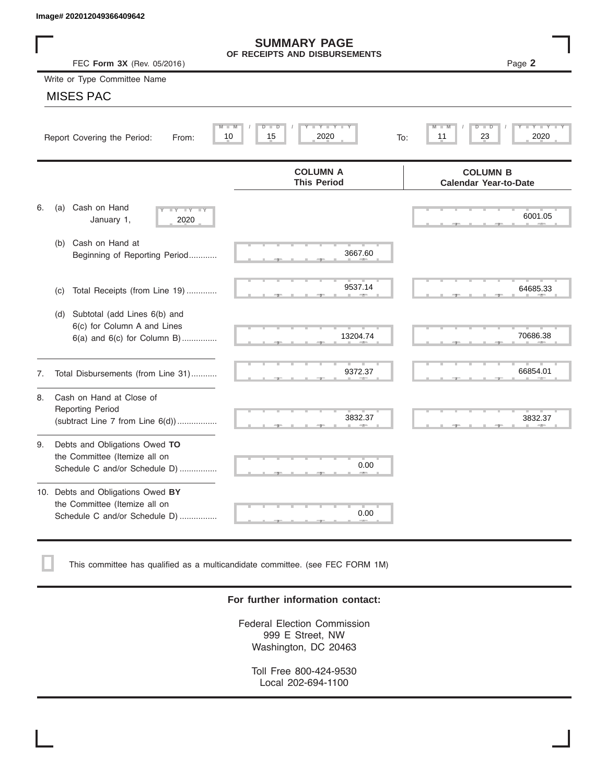|    | Image# 202012049366409642                                                                             |                                                      |                                                 |
|----|-------------------------------------------------------------------------------------------------------|------------------------------------------------------|-------------------------------------------------|
|    | FEC Form 3X (Rev. 05/2016)                                                                            | <b>SUMMARY PAGE</b><br>OF RECEIPTS AND DISBURSEMENTS | Page 2                                          |
|    | Write or Type Committee Name                                                                          |                                                      |                                                 |
|    | <b>MISES PAC</b>                                                                                      |                                                      |                                                 |
|    | Report Covering the Period:<br>From:                                                                  | Y LY L<br>M<br>$D$ $D$<br>M<br>15<br>2020<br>10      | D<br>D<br>23<br>2020<br>11<br>To:               |
|    |                                                                                                       | <b>COLUMN A</b><br><b>This Period</b>                | <b>COLUMN B</b><br><b>Calendar Year-to-Date</b> |
| 6. | Cash on Hand<br>(a)<br>$-Y - Y - IY$<br>January 1,<br>2020                                            |                                                      | 6001.05                                         |
|    | Cash on Hand at<br>(b)<br>Beginning of Reporting Period                                               | 3667.60                                              |                                                 |
|    | Total Receipts (from Line 19)<br>(c)                                                                  | 9537.14                                              | 64685.33                                        |
|    | Subtotal (add Lines 6(b) and<br>(d)<br>6(c) for Column A and Lines<br>$6(a)$ and $6(c)$ for Column B) | 13204.74                                             | 70686.38                                        |
| 7. | Total Disbursements (from Line 31)                                                                    | 9372.37                                              | 66854.01                                        |
| 8. | Cash on Hand at Close of<br><b>Reporting Period</b><br>(subtract Line $7$ from Line $6(d)$ )          | 3832.37                                              | 3832.37                                         |
| 9. | Debts and Obligations Owed TO<br>the Committee (Itemize all on<br>Schedule C and/or Schedule D)       | 0.00                                                 |                                                 |
|    | 10. Debts and Obligations Owed BY<br>the Committee (Itemize all on<br>Schedule C and/or Schedule D)   | T.<br>0.00                                           |                                                 |

This committee has qualified as a multicandidate committee. (see FEC FORM 1M)

## **For further information contact:**

Federal Election Commission 999 E Street, NW Washington, DC 20463

Toll Free 800-424-9530 Local 202-694-1100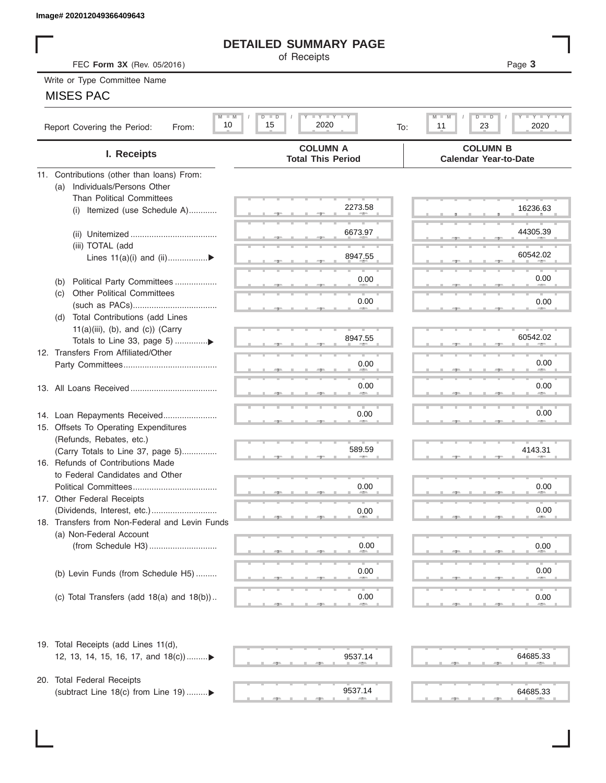# **DETAILED SUMMARY PAGE**

# MISES PAC

|                                                       | <b>DETAILED SUMMARY PAGE</b>                    |                                                                   |
|-------------------------------------------------------|-------------------------------------------------|-------------------------------------------------------------------|
| FEC Form 3X (Rev. 05/2016)                            | of Receipts                                     | Page 3                                                            |
| Write or Type Committee Name                          |                                                 |                                                                   |
| <b>MISES PAC</b>                                      |                                                 |                                                                   |
|                                                       |                                                 |                                                                   |
| $M$ $M$<br>10<br>Report Covering the Period:<br>From: | <b>LY LY LY</b><br>$D$ $D$<br>15<br>2020<br>To: | $D$ $D$<br>$T - Y$ $T - Y$ $T - Y$<br>$M - M$<br>23<br>2020<br>11 |
| I. Receipts                                           | <b>COLUMN A</b><br><b>Total This Period</b>     | <b>COLUMN B</b><br><b>Calendar Year-to-Date</b>                   |
| 11. Contributions (other than loans) From:            |                                                 |                                                                   |
| Individuals/Persons Other<br>(a)                      |                                                 |                                                                   |
| <b>Than Political Committees</b>                      |                                                 |                                                                   |
| (i) Itemized (use Schedule A)                         | 2273.58                                         | 16236.63                                                          |
|                                                       |                                                 |                                                                   |
|                                                       | 6673.97                                         | 44305.39                                                          |
| (iii) TOTAL (add                                      | 8947.55                                         | 60542.02                                                          |
| Lines 11(a)(i) and (ii)▶                              |                                                 |                                                                   |
| Political Party Committees                            | 0.00                                            | 0.00                                                              |
| (b)<br><b>Other Political Committees</b><br>(C)       |                                                 |                                                                   |
|                                                       | 0.00                                            | 0.00                                                              |
| Total Contributions (add Lines<br>(d)                 |                                                 |                                                                   |
| $11(a)(iii)$ , (b), and (c)) (Carry                   |                                                 |                                                                   |
| Totals to Line 33, page 5) ▶                          | 8947.55                                         | 60542.02                                                          |
| 12. Transfers From Affiliated/Other                   |                                                 |                                                                   |
|                                                       | 0.00                                            | 0.00                                                              |
|                                                       |                                                 |                                                                   |
|                                                       | 0.00                                            | 0.00                                                              |
|                                                       |                                                 |                                                                   |
| 14. Loan Repayments Received                          | 0.00                                            | 0.00                                                              |
| 15. Offsets To Operating Expenditures                 |                                                 |                                                                   |
| (Refunds, Rebates, etc.)                              |                                                 |                                                                   |
| (Carry Totals to Line 37, page 5)                     | 589.59                                          | 4143.31                                                           |
| 16. Refunds of Contributions Made                     |                                                 |                                                                   |
| to Federal Candidates and Other                       |                                                 |                                                                   |
| Political Committees                                  | 0.00                                            | 0.00                                                              |
| 17. Other Federal Receipts                            |                                                 | 0.00                                                              |
| 18. Transfers from Non-Federal and Levin Funds        | 0.00                                            |                                                                   |
| (a) Non-Federal Account                               |                                                 |                                                                   |
|                                                       | 0.00                                            | 0.00                                                              |
|                                                       |                                                 |                                                                   |
| (b) Levin Funds (from Schedule H5)                    | 0.00                                            | 0.00                                                              |
|                                                       |                                                 |                                                                   |
| (c) Total Transfers (add $18(a)$ and $18(b)$ )        | 0.00                                            | 0.00                                                              |
|                                                       |                                                 |                                                                   |
| 19. Total Receipts (add Lines 11(d),                  |                                                 |                                                                   |
| 12, 13, 14, 15, 16, 17, and 18(c))                    | 9537.14                                         | 64685.33                                                          |
|                                                       |                                                 |                                                                   |
| 20. Total Federal Receipts                            |                                                 |                                                                   |
| (subtract Line 18(c) from Line 19) ▶                  | 9537.14                                         | 64685.33                                                          |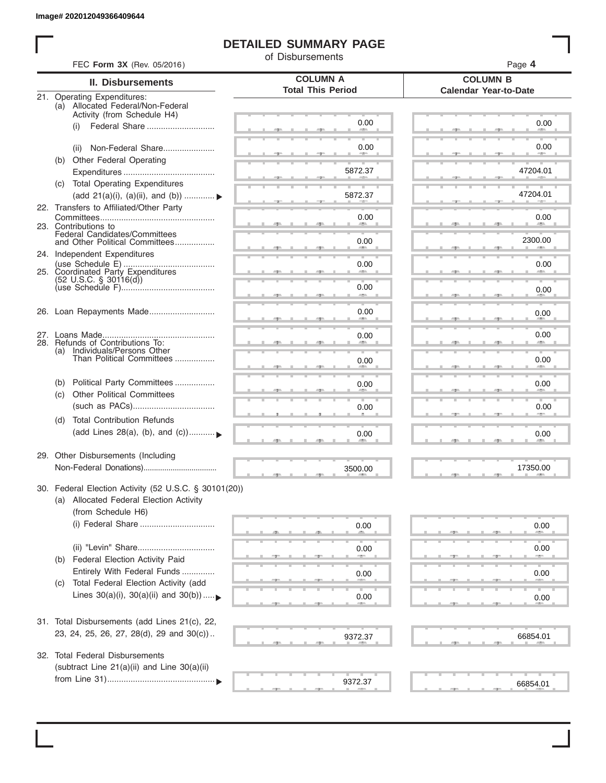# **DETAILED SUMMARY PAGE**

of Disbursements

|     | FEC Form 3X (Rev. 05/2016)                                                                                             |                                             | Page 4                                          |
|-----|------------------------------------------------------------------------------------------------------------------------|---------------------------------------------|-------------------------------------------------|
|     | <b>II. Disbursements</b>                                                                                               | <b>COLUMN A</b><br><b>Total This Period</b> | <b>COLUMN B</b><br><b>Calendar Year-to-Date</b> |
|     | 21. Operating Expenditures:<br>(a) Allocated Federal/Non-Federal<br>Activity (from Schedule H4)                        |                                             |                                                 |
|     | Federal Share<br>(i)                                                                                                   | 0.00                                        | 0.00                                            |
|     | Non-Federal Share<br>(ii)                                                                                              | 0.00                                        | 0.00                                            |
| (b) | Other Federal Operating                                                                                                | 5872.37                                     | 47204.01                                        |
|     | (c) Total Operating Expenditures<br>(add 21(a)(i), (a)(ii), and (b))                                                   | 5872.37                                     | 47204.01                                        |
|     | 22. Transfers to Affiliated/Other Party                                                                                | 0.00                                        | 0.00                                            |
|     | 23. Contributions to<br>Federal Candidates/Committees<br>and Other Political Committees                                | 0.00                                        | <b>Allen</b><br>2300.00                         |
|     | 24. Independent Expenditures                                                                                           |                                             |                                                 |
|     | 25. Coordinated Party Expenditures<br>$(52 \text{ U.S.C. }$ § 30116(d))                                                | 0.00                                        | 0.00                                            |
|     |                                                                                                                        | 0.00                                        | 0.00                                            |
|     | 26. Loan Repayments Made                                                                                               | 0.00                                        | 0.00                                            |
|     | 28. Refunds of Contributions To:                                                                                       | 0.00                                        | 0.00                                            |
|     | (a) Individuals/Persons Other<br>Than Political Committees                                                             | 0.00                                        | 0.00                                            |
| (b) | Political Party Committees<br><b>Other Political Committees</b>                                                        | 0.00                                        | 0.00                                            |
| (C) |                                                                                                                        | 0.00                                        | 0.00                                            |
| (d) | <b>Total Contribution Refunds</b><br>(add Lines 28(a), (b), and (c))                                                   | 0.00                                        | 0.00                                            |
|     | 29. Other Disbursements (Including                                                                                     | 3500.00                                     | 17350.00                                        |
|     | 30. Federal Election Activity (52 U.S.C. § 30101(20))<br>(a) Allocated Federal Election Activity<br>(from Schedule H6) |                                             |                                                 |
|     | (i) Federal Share                                                                                                      | 0.00                                        | 0.00                                            |
| (b) | <b>Federal Election Activity Paid</b>                                                                                  | 0.00                                        | 0.00                                            |
|     | Entirely With Federal Funds<br>Total Federal Election Activity (add                                                    | 0.00                                        | 0.00                                            |
| (C) | Lines $30(a)(i)$ , $30(a)(ii)$ and $30(b))$                                                                            | 0.00                                        | 0.00                                            |
|     | 31. Total Disbursements (add Lines 21(c), 22,                                                                          |                                             |                                                 |
|     | 23, 24, 25, 26, 27, 28(d), 29 and 30(c))                                                                               | 9372.37                                     | 66854.01                                        |
|     | 32. Total Federal Disbursements<br>(subtract Line 21(a)(ii) and Line 30(a)(ii)                                         |                                             |                                                 |
|     |                                                                                                                        | 9372.37                                     | 66854.01                                        |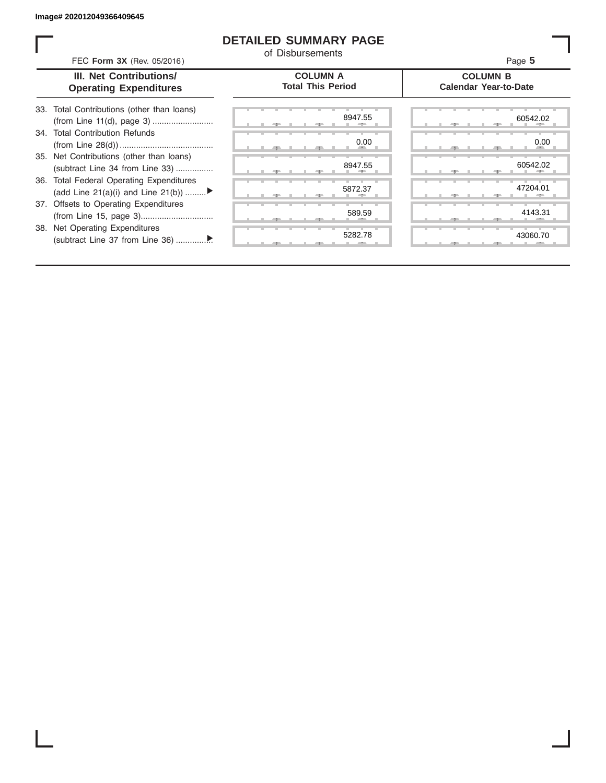# **DETAILED SUMMARY PAGE**

of Disbursements

| FEC Form 3X (Rev. 05/2016)                                                     | <u>UL DISDUISCIIICIIIS</u>                  | Page 5                                          |
|--------------------------------------------------------------------------------|---------------------------------------------|-------------------------------------------------|
| <b>III. Net Contributions/</b><br><b>Operating Expenditures</b>                | <b>COLUMN A</b><br><b>Total This Period</b> | <b>COLUMN B</b><br><b>Calendar Year-to-Date</b> |
| 33. Total Contributions (other than loans)                                     | 8947.55                                     | 60542.02                                        |
| 34. Total Contribution Refunds                                                 | 0.00                                        | 0.00                                            |
| 35. Net Contributions (other than loans)<br>(subtract Line 34 from Line 33)    | 8947.55                                     | 60542.02                                        |
| 36. Total Federal Operating Expenditures<br>(add Line 21(a)(i) and Line 21(b)) | 5872.37                                     | 47204.01                                        |
| 37. Offsets to Operating Expenditures                                          | 589.59                                      | 4143.31                                         |
| 38. Net Operating Expenditures                                                 | 5282.78                                     | 43060.70                                        |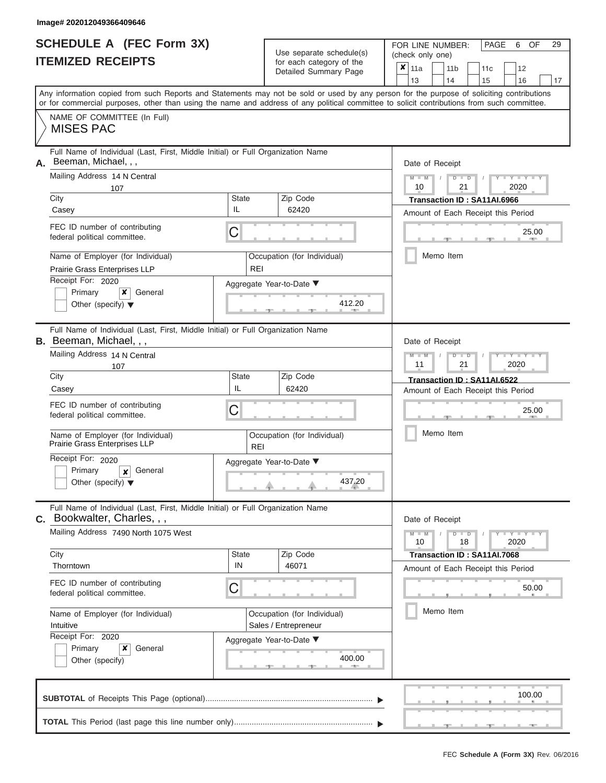|                          | <b>SCHEDULE A (FEC Form 3X)</b> |
|--------------------------|---------------------------------|
| <b>ITEMIZED RECEIPTS</b> |                                 |

Use separate schedule(s)<br>for each category of the

FOR LINE NUMBER:

PAGE 6 OF 29

|                                                | <b>ITEMIZED RECEIPTS</b>                                                                                              |                     | Use separate schedule(s)                                                                                                                                                                                                                                                                |  | (check only one) |  |                                                                   |           |                             |            |    |  |
|------------------------------------------------|-----------------------------------------------------------------------------------------------------------------------|---------------------|-----------------------------------------------------------------------------------------------------------------------------------------------------------------------------------------------------------------------------------------------------------------------------------------|--|------------------|--|-------------------------------------------------------------------|-----------|-----------------------------|------------|----|--|
|                                                |                                                                                                                       |                     | for each category of the<br>Detailed Summary Page                                                                                                                                                                                                                                       |  | $x _{11a}$<br>13 |  | 11 <sub>b</sub><br>14                                             | 11c<br>15 | 12<br>16                    |            | 17 |  |
|                                                |                                                                                                                       |                     | Any information copied from such Reports and Statements may not be sold or used by any person for the purpose of soliciting contributions<br>or for commercial purposes, other than using the name and address of any political committee to solicit contributions from such committee. |  |                  |  |                                                                   |           |                             |            |    |  |
| <b>MISES PAC</b>                               | NAME OF COMMITTEE (In Full)                                                                                           |                     |                                                                                                                                                                                                                                                                                         |  |                  |  |                                                                   |           |                             |            |    |  |
| Beeman, Michael, , ,<br>Α.                     | Full Name of Individual (Last, First, Middle Initial) or Full Organization Name                                       |                     |                                                                                                                                                                                                                                                                                         |  | Date of Receipt  |  |                                                                   |           |                             |            |    |  |
|                                                | Mailing Address 14 N Central<br>107                                                                                   |                     |                                                                                                                                                                                                                                                                                         |  | $M - M$<br>10    |  | $D$ $D$<br>21                                                     |           | Y TY TY TY<br>2020          |            |    |  |
| City<br>Casey                                  |                                                                                                                       | <b>State</b><br>IL. | Zip Code<br>62420                                                                                                                                                                                                                                                                       |  |                  |  | Transaction ID: SA11AI.6966<br>Amount of Each Receipt this Period |           |                             |            |    |  |
|                                                | FEC ID number of contributing<br>federal political committee.                                                         | C                   |                                                                                                                                                                                                                                                                                         |  |                  |  |                                                                   |           |                             | 25.00<br>A |    |  |
|                                                | Name of Employer (for Individual)<br>Prairie Grass Enterprises LLP                                                    | <b>REI</b>          | Occupation (for Individual)                                                                                                                                                                                                                                                             |  |                  |  | Memo Item                                                         |           |                             |            |    |  |
| Receipt For: 2020<br>Primary                   | x<br>General<br>Other (specify) $\blacktriangledown$                                                                  |                     | Aggregate Year-to-Date ▼<br>412.20                                                                                                                                                                                                                                                      |  |                  |  |                                                                   |           |                             |            |    |  |
| <b>B.</b> Beeman, Michael, , ,                 | Full Name of Individual (Last, First, Middle Initial) or Full Organization Name                                       |                     |                                                                                                                                                                                                                                                                                         |  | Date of Receipt  |  |                                                                   |           |                             |            |    |  |
|                                                | Mailing Address 14 N Central<br>107                                                                                   |                     |                                                                                                                                                                                                                                                                                         |  | $M - M$<br>11    |  | $D$ $\Box$ $D$<br>21                                              |           | <b>TY TY TY</b><br>2020     |            |    |  |
| City<br>Casey                                  |                                                                                                                       | <b>State</b><br>IL  | Zip Code<br>62420                                                                                                                                                                                                                                                                       |  |                  |  | Transaction ID: SA11AI.6522<br>Amount of Each Receipt this Period |           |                             |            |    |  |
|                                                | FEC ID number of contributing<br>federal political committee.                                                         | С                   |                                                                                                                                                                                                                                                                                         |  |                  |  | 25.00                                                             |           |                             |            |    |  |
|                                                | Name of Employer (for Individual)<br>Prairie Grass Enterprises LLP                                                    |                     | Occupation (for Individual)<br><b>REI</b>                                                                                                                                                                                                                                               |  |                  |  | Memo Item                                                         |           |                             |            |    |  |
| Receipt For: 2020<br>Primary                   | General<br>$\boldsymbol{x}$<br>Other (specify) $\blacktriangledown$                                                   |                     | Aggregate Year-to-Date ▼<br>437.20                                                                                                                                                                                                                                                      |  |                  |  |                                                                   |           |                             |            |    |  |
|                                                | Full Name of Individual (Last, First, Middle Initial) or Full Organization Name<br><b>C.</b> Bookwalter, Charles, , , |                     |                                                                                                                                                                                                                                                                                         |  | Date of Receipt  |  |                                                                   |           |                             |            |    |  |
|                                                | Mailing Address 7490 North 1075 West                                                                                  |                     |                                                                                                                                                                                                                                                                                         |  | $M - M$<br>10    |  | $D$ $D$<br>18                                                     |           | $Y - Y - Y - Y - Y$<br>2020 |            |    |  |
| City<br>Thorntown                              |                                                                                                                       | <b>State</b><br>IN  | Zip Code<br>46071                                                                                                                                                                                                                                                                       |  |                  |  | Transaction ID: SA11AI.7068<br>Amount of Each Receipt this Period |           |                             |            |    |  |
|                                                | FEC ID number of contributing<br>federal political committee.                                                         | С                   |                                                                                                                                                                                                                                                                                         |  |                  |  |                                                                   |           |                             | 50.00      |    |  |
| Name of Employer (for Individual)<br>Intuitive |                                                                                                                       |                     | Occupation (for Individual)<br>Sales / Entrepreneur                                                                                                                                                                                                                                     |  |                  |  | Memo Item                                                         |           |                             |            |    |  |
| Receipt For: 2020<br>Primary                   | x<br>General<br>Other (specify)                                                                                       |                     | Aggregate Year-to-Date ▼<br>400.00<br>A                                                                                                                                                                                                                                                 |  |                  |  |                                                                   |           |                             |            |    |  |
|                                                |                                                                                                                       |                     |                                                                                                                                                                                                                                                                                         |  |                  |  |                                                                   |           |                             | 100.00     |    |  |
|                                                |                                                                                                                       |                     |                                                                                                                                                                                                                                                                                         |  |                  |  |                                                                   |           |                             |            |    |  |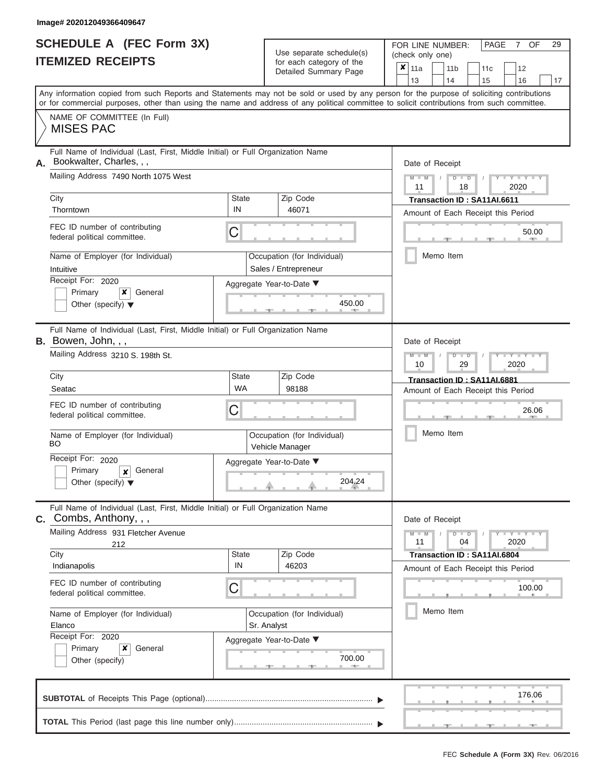ı

|                          | <b>SCHEDULE A (FEC Form 3X)</b> |
|--------------------------|---------------------------------|
| <b>ITEMIZED RECEIPTS</b> |                                 |

Use separate schedule(s)<br>for each category of the

FOR LINE NUMBER:<br>(check only one)

PAGE 7 OF 29

|                                             |                                                                                                                                                                                                                                                                                         |                           |                                                     | ioi caoii caiogoiy oi inc<br>Detailed Summary Page | X.                                                                | 11a<br>13       |                                                       | 11 <sub>b</sub><br>14 |    | 11c<br>15                                                         |              | 12<br>16                                                                 | 17 |  |  |  |  |
|---------------------------------------------|-----------------------------------------------------------------------------------------------------------------------------------------------------------------------------------------------------------------------------------------------------------------------------------------|---------------------------|-----------------------------------------------------|----------------------------------------------------|-------------------------------------------------------------------|-----------------|-------------------------------------------------------|-----------------------|----|-------------------------------------------------------------------|--------------|--------------------------------------------------------------------------|----|--|--|--|--|
|                                             | Any information copied from such Reports and Statements may not be sold or used by any person for the purpose of soliciting contributions<br>or for commercial purposes, other than using the name and address of any political committee to solicit contributions from such committee. |                           |                                                     |                                                    |                                                                   |                 |                                                       |                       |    |                                                                   |              |                                                                          |    |  |  |  |  |
|                                             | NAME OF COMMITTEE (In Full)<br><b>MISES PAC</b>                                                                                                                                                                                                                                         |                           |                                                     |                                                    |                                                                   |                 |                                                       |                       |    |                                                                   |              |                                                                          |    |  |  |  |  |
| А.                                          | Full Name of Individual (Last, First, Middle Initial) or Full Organization Name<br>Bookwalter, Charles, , ,                                                                                                                                                                             |                           |                                                     |                                                    | Date of Receipt                                                   |                 |                                                       |                       |    |                                                                   |              |                                                                          |    |  |  |  |  |
|                                             | Mailing Address 7490 North 1075 West                                                                                                                                                                                                                                                    |                           |                                                     |                                                    | $M - M$<br>11                                                     | $\sqrt{ }$      | $D$ $D$                                               | 18                    |    |                                                                   | Y TY<br>2020 |                                                                          |    |  |  |  |  |
|                                             | City<br>Zip Code<br><b>State</b><br>IN<br>46071<br>Thorntown                                                                                                                                                                                                                            |                           |                                                     |                                                    | Transaction ID: SA11AI.6611<br>Amount of Each Receipt this Period |                 |                                                       |                       |    |                                                                   |              |                                                                          |    |  |  |  |  |
|                                             | FEC ID number of contributing<br>federal political committee.                                                                                                                                                                                                                           | С                         |                                                     |                                                    |                                                                   |                 |                                                       |                       |    |                                                                   |              | 50.00                                                                    |    |  |  |  |  |
|                                             | Name of Employer (for Individual)<br>Intuitive                                                                                                                                                                                                                                          |                           | Occupation (for Individual)<br>Sales / Entrepreneur |                                                    |                                                                   |                 |                                                       | Memo Item             |    |                                                                   |              |                                                                          |    |  |  |  |  |
|                                             | Receipt For: 2020<br>Primary<br>×<br>General<br>Other (specify) $\blacktriangledown$                                                                                                                                                                                                    |                           | Aggregate Year-to-Date ▼                            | 450.00                                             |                                                                   |                 |                                                       |                       |    |                                                                   |              |                                                                          |    |  |  |  |  |
|                                             | Full Name of Individual (Last, First, Middle Initial) or Full Organization Name<br>B. Bowen, John, , ,                                                                                                                                                                                  |                           |                                                     |                                                    |                                                                   | Date of Receipt |                                                       |                       |    |                                                                   |              |                                                                          |    |  |  |  |  |
|                                             | Mailing Address 3210 S. 198th St.                                                                                                                                                                                                                                                       |                           |                                                     |                                                    |                                                                   |                 | $M - M$<br>$D$ $\Box$ $D$<br>Y TY<br>10<br>29<br>2020 |                       |    |                                                                   |              |                                                                          |    |  |  |  |  |
| City                                        | Seatac                                                                                                                                                                                                                                                                                  | <b>State</b><br><b>WA</b> | Zip Code<br>98188                                   |                                                    |                                                                   |                 |                                                       |                       |    | Transaction ID: SA11AI.6881<br>Amount of Each Receipt this Period |              |                                                                          |    |  |  |  |  |
|                                             | FEC ID number of contributing<br>federal political committee.                                                                                                                                                                                                                           | С                         |                                                     |                                                    |                                                                   |                 |                                                       |                       |    |                                                                   | 26.06        |                                                                          |    |  |  |  |  |
| BO                                          | Name of Employer (for Individual)                                                                                                                                                                                                                                                       |                           | Occupation (for Individual)<br>Vehicle Manager      |                                                    |                                                                   | Memo Item       |                                                       |                       |    |                                                                   |              |                                                                          |    |  |  |  |  |
|                                             | Receipt For: 2020<br>Primary<br>General<br>$\mathbf{x}$<br>Other (specify) $\blacktriangledown$                                                                                                                                                                                         |                           | Aggregate Year-to-Date ▼                            | 204.24                                             |                                                                   |                 |                                                       |                       |    |                                                                   |              |                                                                          |    |  |  |  |  |
| С.                                          | Full Name of Individual (Last, First, Middle Initial) or Full Organization Name<br>Combs, Anthony, , ,                                                                                                                                                                                  |                           |                                                     |                                                    |                                                                   | Date of Receipt |                                                       |                       |    |                                                                   |              |                                                                          |    |  |  |  |  |
|                                             | Mailing Address 931 Fletcher Avenue<br>212                                                                                                                                                                                                                                              |                           |                                                     |                                                    |                                                                   | $M - M$<br>11   |                                                       | $D$ $D$               | 04 |                                                                   |              | $\mathbf{I} = \mathbf{Y} - \mathbf{I} - \mathbf{Y} - \mathbf{I}$<br>2020 |    |  |  |  |  |
| City                                        | Indianapolis                                                                                                                                                                                                                                                                            | <b>State</b><br>IN        | Zip Code<br>46203                                   |                                                    |                                                                   |                 |                                                       |                       |    | Transaction ID: SA11AI.6804<br>Amount of Each Receipt this Period |              |                                                                          |    |  |  |  |  |
|                                             | FEC ID number of contributing<br>federal political committee.                                                                                                                                                                                                                           | С                         |                                                     |                                                    |                                                                   |                 |                                                       |                       |    |                                                                   |              | 100.00                                                                   |    |  |  |  |  |
| Name of Employer (for Individual)<br>Elanco |                                                                                                                                                                                                                                                                                         |                           | Occupation (for Individual)<br>Sr. Analyst          |                                                    |                                                                   |                 |                                                       |                       |    | Memo Item                                                         |              |                                                                          |    |  |  |  |  |
|                                             | Receipt For: 2020<br>×<br>Primary<br>General<br>Other (specify)                                                                                                                                                                                                                         |                           | Aggregate Year-to-Date ▼                            | 700.00                                             |                                                                   |                 |                                                       |                       |    |                                                                   |              |                                                                          |    |  |  |  |  |
|                                             |                                                                                                                                                                                                                                                                                         |                           |                                                     |                                                    |                                                                   |                 |                                                       |                       |    |                                                                   |              | 176.06                                                                   |    |  |  |  |  |
|                                             |                                                                                                                                                                                                                                                                                         |                           |                                                     |                                                    |                                                                   |                 |                                                       |                       |    |                                                                   |              |                                                                          |    |  |  |  |  |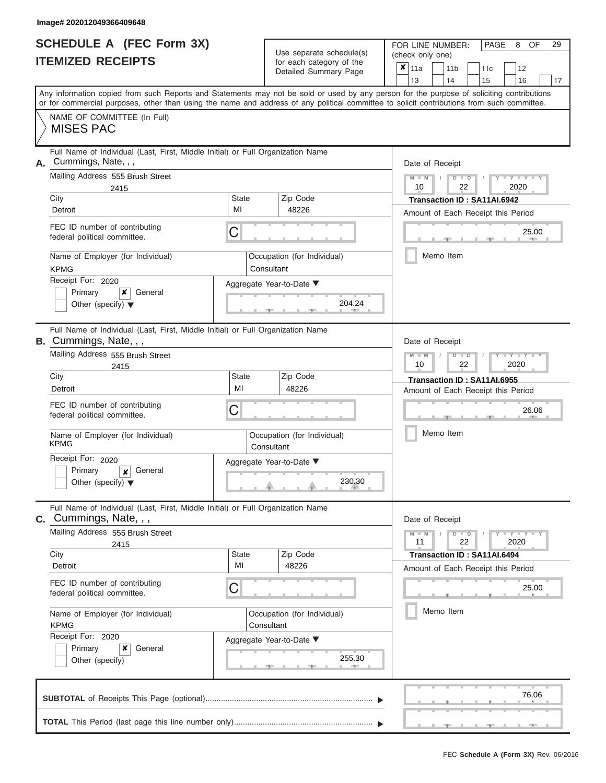|                          | <b>SCHEDULE A (FEC Form 3X)</b> |
|--------------------------|---------------------------------|
| <b>ITEMIZED RECEIPTS</b> |                                 |

Use separate schedule $(s)$  for each category of the

FOR LINE NUMBER: PAGE<br>
(check only one)

8 29

| IIEMIZEU REVEIFIJ                                                                                                |                    | for each category of the<br>Detailed Summary Page | $\pmb{\times}$<br>11a<br>11 <sub>b</sub><br>12<br>11c                                                                                                                                                                                                                                   |  |  |  |  |  |  |  |  |  |  |
|------------------------------------------------------------------------------------------------------------------|--------------------|---------------------------------------------------|-----------------------------------------------------------------------------------------------------------------------------------------------------------------------------------------------------------------------------------------------------------------------------------------|--|--|--|--|--|--|--|--|--|--|
|                                                                                                                  |                    |                                                   | 13<br>14<br>15<br>16<br>17                                                                                                                                                                                                                                                              |  |  |  |  |  |  |  |  |  |  |
|                                                                                                                  |                    |                                                   | Any information copied from such Reports and Statements may not be sold or used by any person for the purpose of soliciting contributions<br>or for commercial purposes, other than using the name and address of any political committee to solicit contributions from such committee. |  |  |  |  |  |  |  |  |  |  |
| NAME OF COMMITTEE (In Full)<br><b>MISES PAC</b>                                                                  |                    |                                                   |                                                                                                                                                                                                                                                                                         |  |  |  |  |  |  |  |  |  |  |
| Full Name of Individual (Last, First, Middle Initial) or Full Organization Name<br>Cummings, Nate, , ,<br>А.     |                    |                                                   | Date of Receipt                                                                                                                                                                                                                                                                         |  |  |  |  |  |  |  |  |  |  |
| Mailing Address 555 Brush Street<br>2415                                                                         |                    |                                                   | $M - M$<br>$Y - Y - Y - Y - Y$<br>$D$ $\Box$ $D$<br>2020<br>10<br>22                                                                                                                                                                                                                    |  |  |  |  |  |  |  |  |  |  |
| City<br>Detroit                                                                                                  | <b>State</b><br>MI | Zip Code<br>48226                                 | Transaction ID: SA11AI.6942                                                                                                                                                                                                                                                             |  |  |  |  |  |  |  |  |  |  |
| FEC ID number of contributing<br>federal political committee.                                                    | С                  |                                                   | Amount of Each Receipt this Period<br>25.00                                                                                                                                                                                                                                             |  |  |  |  |  |  |  |  |  |  |
| Name of Employer (for Individual)<br><b>KPMG</b>                                                                 |                    | Occupation (for Individual)<br>Consultant         | Memo Item                                                                                                                                                                                                                                                                               |  |  |  |  |  |  |  |  |  |  |
| Receipt For: 2020<br>×<br>General<br>Primary<br>Other (specify) $\blacktriangledown$                             |                    | Aggregate Year-to-Date ▼<br>204.24                |                                                                                                                                                                                                                                                                                         |  |  |  |  |  |  |  |  |  |  |
| Full Name of Individual (Last, First, Middle Initial) or Full Organization Name<br><b>B.</b> Cummings, Nate, , , |                    |                                                   | Date of Receipt                                                                                                                                                                                                                                                                         |  |  |  |  |  |  |  |  |  |  |
| Mailing Address 555 Brush Street<br>2415                                                                         |                    |                                                   | $M - M$<br>$T - Y - T - Y - T$<br>$D$ $D$<br>10<br>22<br>2020                                                                                                                                                                                                                           |  |  |  |  |  |  |  |  |  |  |
| City<br>Detroit                                                                                                  | State<br>MI        | Zip Code<br>48226                                 | Transaction ID: SA11AI.6955<br>Amount of Each Receipt this Period                                                                                                                                                                                                                       |  |  |  |  |  |  |  |  |  |  |
| FEC ID number of contributing<br>federal political committee.                                                    | С                  |                                                   | 26.06                                                                                                                                                                                                                                                                                   |  |  |  |  |  |  |  |  |  |  |
| Name of Employer (for Individual)<br><b>KPMG</b>                                                                 |                    | Occupation (for Individual)<br>Consultant         | Memo Item                                                                                                                                                                                                                                                                               |  |  |  |  |  |  |  |  |  |  |
| Receipt For: 2020<br>Primary<br>General<br>$\boldsymbol{x}$<br>Other (specify) $\blacktriangledown$              |                    | Aggregate Year-to-Date ▼<br>230.30                |                                                                                                                                                                                                                                                                                         |  |  |  |  |  |  |  |  |  |  |
| Full Name of Individual (Last, First, Middle Initial) or Full Organization Name<br><b>C.</b> Cummings, Nate, , , |                    |                                                   | Date of Receipt                                                                                                                                                                                                                                                                         |  |  |  |  |  |  |  |  |  |  |
| Mailing Address 555 Brush Street<br>2415                                                                         |                    |                                                   | $Y - Y - Y - Y - Y$<br>$M - M$<br>$D$ $D$<br>11<br>22<br>2020                                                                                                                                                                                                                           |  |  |  |  |  |  |  |  |  |  |
| City<br>Detroit                                                                                                  | <b>State</b><br>MI | Zip Code<br>48226                                 | Transaction ID: SA11AI.6494                                                                                                                                                                                                                                                             |  |  |  |  |  |  |  |  |  |  |
| FEC ID number of contributing<br>federal political committee.                                                    | С                  |                                                   | Amount of Each Receipt this Period<br>25.00                                                                                                                                                                                                                                             |  |  |  |  |  |  |  |  |  |  |
| Name of Employer (for Individual)<br><b>KPMG</b>                                                                 |                    | Occupation (for Individual)<br>Consultant         | Memo Item                                                                                                                                                                                                                                                                               |  |  |  |  |  |  |  |  |  |  |
| Receipt For: 2020<br>x<br>General<br>Primary<br>Other (specify)                                                  |                    | Aggregate Year-to-Date ▼<br>255.30<br>A           |                                                                                                                                                                                                                                                                                         |  |  |  |  |  |  |  |  |  |  |
|                                                                                                                  |                    |                                                   | 76.06                                                                                                                                                                                                                                                                                   |  |  |  |  |  |  |  |  |  |  |
|                                                                                                                  |                    |                                                   |                                                                                                                                                                                                                                                                                         |  |  |  |  |  |  |  |  |  |  |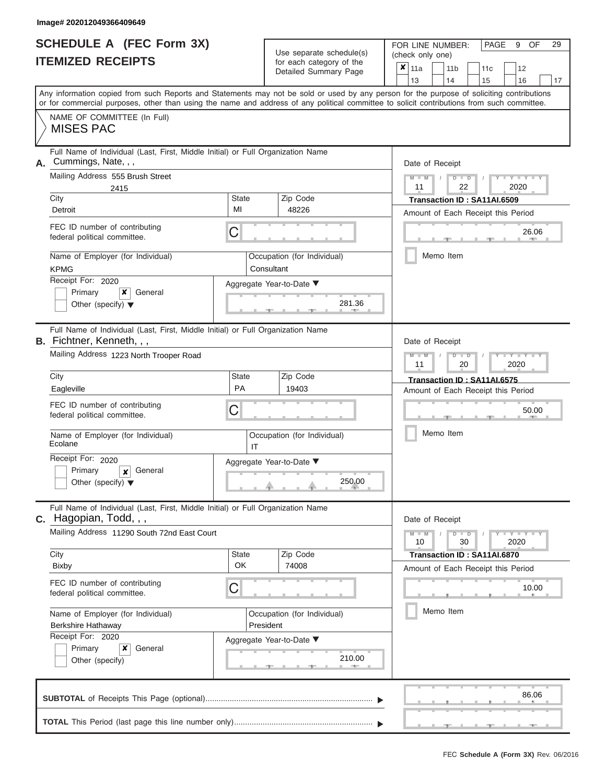|                          | <b>SCHEDULE A (FEC Form 3X)</b> |
|--------------------------|---------------------------------|
| <b>ITEMIZED RECEIPTS</b> |                                 |

Use separate schedule(s)<br>for each category of the

FOR LINE NUMBER: PAGE<br>
(check only one)

9 OF 29

|    | IILMILLU NLVLII IV                                                                                                                         |              | iul caull calcyuly ul lilic<br>Detailed Summary Page | ×     | 11a              |    | 11 <sub>b</sub>                    | 11c |    | 12                   |  |  |  |  |
|----|--------------------------------------------------------------------------------------------------------------------------------------------|--------------|------------------------------------------------------|-------|------------------|----|------------------------------------|-----|----|----------------------|--|--|--|--|
|    | Any information copied from such Reports and Statements may not be sold or used by any person for the purpose of soliciting contributions  |              |                                                      | 13    |                  | 14 | 15                                 |     | 16 | 17                   |  |  |  |  |
|    | or for commercial purposes, other than using the name and address of any political committee to solicit contributions from such committee. |              |                                                      |       |                  |    |                                    |     |    |                      |  |  |  |  |
|    | NAME OF COMMITTEE (In Full)                                                                                                                |              |                                                      |       |                  |    |                                    |     |    |                      |  |  |  |  |
|    | <b>MISES PAC</b>                                                                                                                           |              |                                                      |       |                  |    |                                    |     |    |                      |  |  |  |  |
| А. | Full Name of Individual (Last, First, Middle Initial) or Full Organization Name<br>Cummings, Nate, , ,                                     |              |                                                      |       | Date of Receipt  |    |                                    |     |    |                      |  |  |  |  |
|    | Mailing Address 555 Brush Street                                                                                                           |              |                                                      |       | $M - M$          |    | $D$ $\Box$ $D$                     |     |    |                      |  |  |  |  |
|    | 2415                                                                                                                                       |              |                                                      |       | 2020<br>11<br>22 |    |                                    |     |    |                      |  |  |  |  |
|    | City                                                                                                                                       | State        | Zip Code                                             |       |                  |    | Transaction ID: SA11AI.6509        |     |    |                      |  |  |  |  |
|    | Detroit                                                                                                                                    | MI           | 48226                                                |       |                  |    | Amount of Each Receipt this Period |     |    |                      |  |  |  |  |
|    | FEC ID number of contributing<br>federal political committee.                                                                              | C            |                                                      |       |                  |    |                                    |     |    | 26.06                |  |  |  |  |
|    | Name of Employer (for Individual)<br><b>KPMG</b>                                                                                           |              | Occupation (for Individual)<br>Consultant            |       |                  |    | Memo Item                          |     |    |                      |  |  |  |  |
|    | Receipt For: 2020                                                                                                                          |              | Aggregate Year-to-Date ▼                             |       |                  |    |                                    |     |    |                      |  |  |  |  |
|    | Primary<br>General<br>x                                                                                                                    |              |                                                      |       |                  |    |                                    |     |    |                      |  |  |  |  |
|    | Other (specify) $\blacktriangledown$                                                                                                       |              | 281.36                                               |       |                  |    |                                    |     |    |                      |  |  |  |  |
|    | Full Name of Individual (Last, First, Middle Initial) or Full Organization Name<br>B. Fichtner, Kenneth, , ,                               |              |                                                      |       | Date of Receipt  |    |                                    |     |    |                      |  |  |  |  |
|    | Mailing Address 1223 North Trooper Road                                                                                                    |              |                                                      |       | $M - M$<br>11    |    | $D$ $D$<br>20                      |     |    | 2020                 |  |  |  |  |
|    | City                                                                                                                                       | <b>State</b> | Zip Code                                             |       |                  |    | Transaction ID: SA11AI.6575        |     |    |                      |  |  |  |  |
|    | Eagleville                                                                                                                                 | <b>PA</b>    | 19403                                                |       |                  |    | Amount of Each Receipt this Period |     |    |                      |  |  |  |  |
|    | FEC ID number of contributing                                                                                                              |              |                                                      |       |                  |    |                                    |     |    |                      |  |  |  |  |
|    | federal political committee.                                                                                                               | С            |                                                      |       |                  |    |                                    |     |    | 50.00                |  |  |  |  |
|    | Name of Employer (for Individual)<br>Ecolane                                                                                               | IT           | Occupation (for Individual)                          |       |                  |    | Memo Item                          |     |    |                      |  |  |  |  |
|    | Receipt For: 2020                                                                                                                          |              | Aggregate Year-to-Date ▼                             |       |                  |    |                                    |     |    |                      |  |  |  |  |
|    | Primary<br>General<br>X                                                                                                                    |              |                                                      |       |                  |    |                                    |     |    |                      |  |  |  |  |
|    | Other (specify) $\blacktriangledown$                                                                                                       |              | 250.00                                               |       |                  |    |                                    |     |    |                      |  |  |  |  |
|    | Full Name of Individual (Last, First, Middle Initial) or Full Organization Name<br>$C.$ Hagopian, Todd, $, ,$                              |              |                                                      |       | Date of Receipt  |    |                                    |     |    |                      |  |  |  |  |
|    | Mailing Address 11290 South 72nd East Court                                                                                                |              |                                                      |       | $M - M$<br>10    |    | $D$ $D$<br>30                      |     |    | $-Y - Y - Y$<br>2020 |  |  |  |  |
|    | City                                                                                                                                       | State        | Zip Code                                             |       |                  |    | Transaction ID: SA11AI.6870        |     |    |                      |  |  |  |  |
|    | <b>Bixby</b>                                                                                                                               | OK           | 74008                                                |       |                  |    | Amount of Each Receipt this Period |     |    |                      |  |  |  |  |
|    | FEC ID number of contributing<br>federal political committee.                                                                              | С            |                                                      | 10.00 |                  |    |                                    |     |    |                      |  |  |  |  |
|    | Name of Employer (for Individual)                                                                                                          |              | Occupation (for Individual)                          |       |                  |    | Memo Item                          |     |    |                      |  |  |  |  |
|    | <b>Berkshire Hathaway</b>                                                                                                                  |              |                                                      |       |                  |    |                                    |     |    |                      |  |  |  |  |
|    | Receipt For: 2020                                                                                                                          |              | President<br>Aggregate Year-to-Date ▼                |       |                  |    |                                    |     |    |                      |  |  |  |  |
|    | Primary<br>x<br>General                                                                                                                    |              |                                                      |       |                  |    |                                    |     |    |                      |  |  |  |  |
|    | Other (specify)                                                                                                                            |              | 210.00                                               |       |                  |    |                                    |     |    |                      |  |  |  |  |
|    |                                                                                                                                            |              |                                                      |       |                  |    |                                    |     |    | 86.06                |  |  |  |  |
|    |                                                                                                                                            |              |                                                      |       |                  |    |                                    |     |    |                      |  |  |  |  |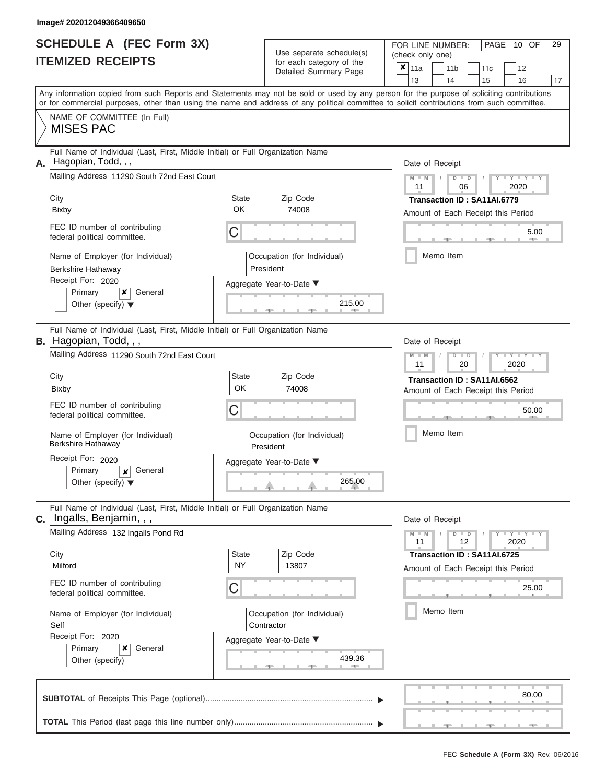|                          | <b>SCHEDULE A (FEC Form 3X)</b> |
|--------------------------|---------------------------------|
| <b>ITEMIZED RECEIPTS</b> |                                 |

Use separate schedule(s)<br>for each category of the

FOR LINE NUMBER:<br>(check only one)

PAGE 10 OF 29

|                   | IILMILLU INLVLII I                                                                                                                         |                                   |                          | iul caull calcyuly ul lilic<br>Detailed Summary Page | × | 11a                                    |               | 11 <sub>b</sub>                    |               | 11c                                |  | 12                  |    |  |  |
|-------------------|--------------------------------------------------------------------------------------------------------------------------------------------|-----------------------------------|--------------------------|------------------------------------------------------|---|----------------------------------------|---------------|------------------------------------|---------------|------------------------------------|--|---------------------|----|--|--|
|                   | Any information copied from such Reports and Statements may not be sold or used by any person for the purpose of soliciting contributions  |                                   |                          |                                                      |   | 13                                     |               | 14                                 |               | 15                                 |  | 16                  | 17 |  |  |
|                   | or for commercial purposes, other than using the name and address of any political committee to solicit contributions from such committee. |                                   |                          |                                                      |   |                                        |               |                                    |               |                                    |  |                     |    |  |  |
|                   | NAME OF COMMITTEE (In Full)<br><b>MISES PAC</b>                                                                                            |                                   |                          |                                                      |   |                                        |               |                                    |               |                                    |  |                     |    |  |  |
| Α.                | Full Name of Individual (Last, First, Middle Initial) or Full Organization Name<br>Hagopian, Todd, , ,                                     |                                   |                          |                                                      |   | Date of Receipt                        |               |                                    |               |                                    |  |                     |    |  |  |
|                   | Mailing Address 11290 South 72nd East Court                                                                                                |                                   |                          |                                                      |   | $M - M$<br>$D$ $D$<br>2020<br>11<br>06 |               |                                    |               |                                    |  |                     |    |  |  |
|                   | City                                                                                                                                       | <b>State</b>                      |                          | Zip Code                                             |   | Transaction ID: SA11AI.6779            |               |                                    |               |                                    |  |                     |    |  |  |
|                   | <b>Bixby</b>                                                                                                                               | OK                                |                          | 74008                                                |   |                                        |               |                                    |               | Amount of Each Receipt this Period |  |                     |    |  |  |
|                   | FEC ID number of contributing<br>federal political committee.                                                                              | C                                 |                          |                                                      |   |                                        |               |                                    |               |                                    |  | 5.00                |    |  |  |
|                   | Name of Employer (for Individual)<br><b>Berkshire Hathaway</b>                                                                             |                                   | President                | Occupation (for Individual)                          |   |                                        |               | Memo Item                          |               |                                    |  |                     |    |  |  |
|                   | Receipt For: 2020                                                                                                                          |                                   |                          | Aggregate Year-to-Date ▼                             |   |                                        |               |                                    |               |                                    |  |                     |    |  |  |
|                   | Primary<br>$\boldsymbol{\mathsf{x}}$<br>General<br>Other (specify) $\blacktriangledown$                                                    |                                   |                          | 215.00                                               |   |                                        |               |                                    |               |                                    |  |                     |    |  |  |
|                   | Full Name of Individual (Last, First, Middle Initial) or Full Organization Name<br><b>B.</b> Hagopian, Todd, , ,                           |                                   |                          |                                                      |   | Date of Receipt                        |               |                                    |               |                                    |  |                     |    |  |  |
|                   | Mailing Address 11290 South 72nd East Court                                                                                                |                                   |                          | $M - M$<br>11                                        |   |                                        | $D$ $D$<br>20 |                                    |               | 2020                               |  |                     |    |  |  |
|                   | City                                                                                                                                       | Zip Code<br><b>State</b><br>74008 |                          |                                                      |   |                                        |               |                                    |               | Transaction ID: SA11AI.6562        |  |                     |    |  |  |
|                   | <b>Bixby</b>                                                                                                                               | OK                                |                          |                                                      |   |                                        |               | Amount of Each Receipt this Period |               |                                    |  |                     |    |  |  |
|                   | FEC ID number of contributing<br>C<br>federal political committee.                                                                         |                                   |                          |                                                      |   |                                        |               |                                    |               |                                    |  | 50.00               |    |  |  |
|                   | Name of Employer (for Individual)<br>Berkshire Hathaway                                                                                    |                                   | President                | Occupation (for Individual)                          |   | Memo Item                              |               |                                    |               |                                    |  |                     |    |  |  |
|                   | Receipt For: 2020                                                                                                                          |                                   | Aggregate Year-to-Date ▼ |                                                      |   |                                        |               |                                    |               |                                    |  |                     |    |  |  |
|                   | Primary<br>General<br>$\boldsymbol{x}$<br>Other (specify) $\blacktriangledown$                                                             |                                   | 265.00                   |                                                      |   |                                        |               |                                    |               |                                    |  |                     |    |  |  |
| С.                | Full Name of Individual (Last, First, Middle Initial) or Full Organization Name<br>Ingalls, Benjamin, , ,                                  |                                   |                          |                                                      |   | Date of Receipt                        |               |                                    |               |                                    |  |                     |    |  |  |
|                   | Mailing Address 132 Ingalls Pond Rd                                                                                                        |                                   |                          |                                                      |   | $M - M$<br>11                          |               |                                    | $D$ $D$<br>12 |                                    |  | $Y - Y - Y$<br>2020 |    |  |  |
|                   | City                                                                                                                                       | <b>State</b><br><b>NY</b>         |                          | Zip Code                                             |   |                                        |               |                                    |               | Transaction ID: SA11AI.6725        |  |                     |    |  |  |
|                   | Milford                                                                                                                                    |                                   |                          | 13807                                                |   |                                        |               |                                    |               | Amount of Each Receipt this Period |  |                     |    |  |  |
|                   | FEC ID number of contributing<br>federal political committee.                                                                              | С                                 |                          |                                                      |   |                                        |               |                                    |               |                                    |  | 25.00               |    |  |  |
|                   | Name of Employer (for Individual)<br>Self                                                                                                  | Contractor                        |                          | Occupation (for Individual)                          |   | Memo Item                              |               |                                    |               |                                    |  |                     |    |  |  |
| Receipt For: 2020 |                                                                                                                                            |                                   |                          | Aggregate Year-to-Date ▼                             |   |                                        |               |                                    |               |                                    |  |                     |    |  |  |
|                   | Primary<br>x<br>General<br>Other (specify)                                                                                                 |                                   |                          | 439.36                                               |   |                                        |               |                                    |               |                                    |  |                     |    |  |  |
|                   |                                                                                                                                            |                                   |                          |                                                      |   |                                        |               |                                    |               |                                    |  | 80.00               |    |  |  |
|                   |                                                                                                                                            |                                   |                          |                                                      |   |                                        |               |                                    |               |                                    |  |                     |    |  |  |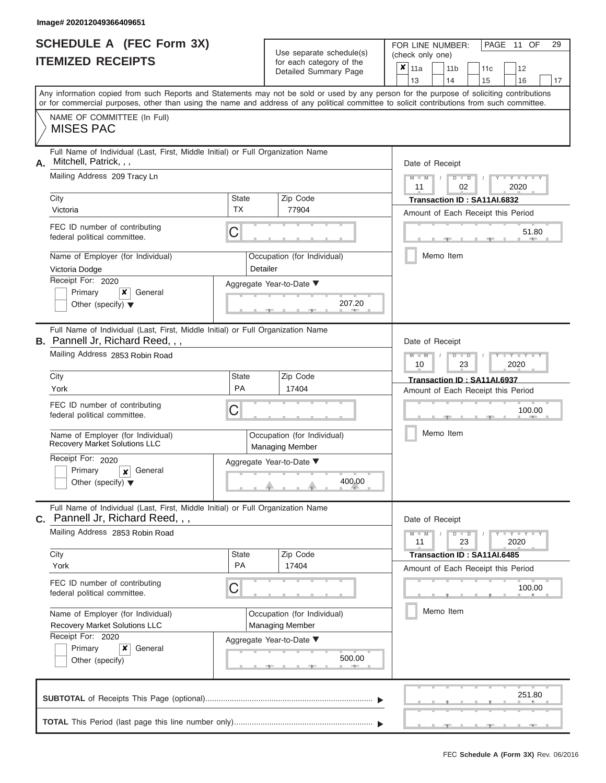|                          | <b>SCHEDULE A (FEC Form 3X)</b> |
|--------------------------|---------------------------------|
| <b>ITEMIZED RECEIPTS</b> |                                 |

Use separate schedule(s)<br>for each category of the

FOR LINE NUMBER:<br>(check only one)

PAGE 11 OF 29

|                                                                                                                                                                                                                                                                                         |                    | ivi vavii valvyviy vi liiv<br>Detailed Summary Page   | × | 11a             |  | 11 <sub>b</sub>                        | 11c | 12                                                 |    |  |  |  |  |  |  |
|-----------------------------------------------------------------------------------------------------------------------------------------------------------------------------------------------------------------------------------------------------------------------------------------|--------------------|-------------------------------------------------------|---|-----------------|--|----------------------------------------|-----|----------------------------------------------------|----|--|--|--|--|--|--|
|                                                                                                                                                                                                                                                                                         |                    |                                                       |   | 13              |  | 14                                     | 15  | 16                                                 | 17 |  |  |  |  |  |  |
| Any information copied from such Reports and Statements may not be sold or used by any person for the purpose of soliciting contributions<br>or for commercial purposes, other than using the name and address of any political committee to solicit contributions from such committee. |                    |                                                       |   |                 |  |                                        |     |                                                    |    |  |  |  |  |  |  |
| NAME OF COMMITTEE (In Full)                                                                                                                                                                                                                                                             |                    |                                                       |   |                 |  |                                        |     |                                                    |    |  |  |  |  |  |  |
| <b>MISES PAC</b>                                                                                                                                                                                                                                                                        |                    |                                                       |   |                 |  |                                        |     |                                                    |    |  |  |  |  |  |  |
| Full Name of Individual (Last, First, Middle Initial) or Full Organization Name<br>Mitchell, Patrick, , ,<br>А.                                                                                                                                                                         |                    |                                                       |   | Date of Receipt |  |                                        |     |                                                    |    |  |  |  |  |  |  |
| Mailing Address 209 Tracy Ln                                                                                                                                                                                                                                                            |                    |                                                       |   | $M - M$ /<br>11 |  | $D$ $D$<br>02                          |     | 2020                                               |    |  |  |  |  |  |  |
| City                                                                                                                                                                                                                                                                                    | <b>State</b>       | Zip Code                                              |   |                 |  | Transaction ID: SA11AI.6832            |     |                                                    |    |  |  |  |  |  |  |
| Victoria                                                                                                                                                                                                                                                                                | TX                 | 77904                                                 |   |                 |  |                                        |     | Amount of Each Receipt this Period                 |    |  |  |  |  |  |  |
| FEC ID number of contributing<br>federal political committee.                                                                                                                                                                                                                           | С                  |                                                       |   |                 |  |                                        |     | 51.80                                              |    |  |  |  |  |  |  |
| Name of Employer (for Individual)<br>Victoria Dodge                                                                                                                                                                                                                                     | Detailer           | Occupation (for Individual)                           |   |                 |  | Memo Item                              |     |                                                    |    |  |  |  |  |  |  |
| Receipt For: 2020                                                                                                                                                                                                                                                                       |                    | Aggregate Year-to-Date ▼                              |   |                 |  |                                        |     |                                                    |    |  |  |  |  |  |  |
| Primary<br>×<br>General                                                                                                                                                                                                                                                                 |                    |                                                       |   |                 |  |                                        |     |                                                    |    |  |  |  |  |  |  |
| Other (specify) $\blacktriangledown$                                                                                                                                                                                                                                                    |                    | 207.20                                                |   |                 |  |                                        |     |                                                    |    |  |  |  |  |  |  |
| Full Name of Individual (Last, First, Middle Initial) or Full Organization Name<br><b>B.</b> Pannell Jr, Richard Reed, , ,                                                                                                                                                              |                    |                                                       |   | Date of Receipt |  |                                        |     |                                                    |    |  |  |  |  |  |  |
| Mailing Address 2853 Robin Road                                                                                                                                                                                                                                                         |                    |                                                       |   |                 |  | $M - M$<br>$D$ $D$<br>23<br>2020<br>10 |     |                                                    |    |  |  |  |  |  |  |
| City                                                                                                                                                                                                                                                                                    | <b>State</b>       | Zip Code                                              |   |                 |  | Transaction ID: SA11AI.6937            |     |                                                    |    |  |  |  |  |  |  |
| York                                                                                                                                                                                                                                                                                    | PA                 | 17404                                                 |   |                 |  |                                        |     | Amount of Each Receipt this Period                 |    |  |  |  |  |  |  |
| FEC ID number of contributing<br>federal political committee.                                                                                                                                                                                                                           | С                  |                                                       |   |                 |  |                                        |     | 100.00                                             |    |  |  |  |  |  |  |
| Name of Employer (for Individual)<br>Recovery Market Solutions LLC                                                                                                                                                                                                                      |                    | Occupation (for Individual)<br><b>Managing Member</b> |   |                 |  | Memo Item                              |     |                                                    |    |  |  |  |  |  |  |
| Receipt For: 2020                                                                                                                                                                                                                                                                       |                    | Aggregate Year-to-Date ▼                              |   |                 |  |                                        |     |                                                    |    |  |  |  |  |  |  |
| Primary<br>General<br>$\pmb{\times}$<br>Other (specify) $\blacktriangledown$                                                                                                                                                                                                            |                    | 400.00                                                |   |                 |  |                                        |     |                                                    |    |  |  |  |  |  |  |
| Full Name of Individual (Last, First, Middle Initial) or Full Organization Name                                                                                                                                                                                                         |                    |                                                       |   |                 |  |                                        |     |                                                    |    |  |  |  |  |  |  |
| Pannell Jr, Richard Reed, , ,<br>С.                                                                                                                                                                                                                                                     |                    |                                                       |   | Date of Receipt |  |                                        |     |                                                    |    |  |  |  |  |  |  |
| Mailing Address 2853 Robin Road                                                                                                                                                                                                                                                         |                    |                                                       |   | $M - M$<br>11   |  | $D$ $D$<br>23                          |     | $\Box$ $\Upsilon$ $\Box$ $\Upsilon$ $\Box$<br>2020 |    |  |  |  |  |  |  |
| City<br>York                                                                                                                                                                                                                                                                            | <b>State</b><br>PA | Zip Code<br>17404                                     |   |                 |  | Transaction ID: SA11AI.6485            |     |                                                    |    |  |  |  |  |  |  |
|                                                                                                                                                                                                                                                                                         |                    |                                                       |   |                 |  |                                        |     | Amount of Each Receipt this Period                 |    |  |  |  |  |  |  |
| FEC ID number of contributing<br>federal political committee.                                                                                                                                                                                                                           | С                  |                                                       |   |                 |  |                                        |     | 100.00                                             |    |  |  |  |  |  |  |
| Name of Employer (for Individual)                                                                                                                                                                                                                                                       |                    | Occupation (for Individual)                           |   |                 |  | Memo Item                              |     |                                                    |    |  |  |  |  |  |  |
| Recovery Market Solutions LLC<br>Receipt For: 2020                                                                                                                                                                                                                                      |                    | <b>Managing Member</b>                                |   |                 |  |                                        |     |                                                    |    |  |  |  |  |  |  |
| ×<br>Primary<br>General                                                                                                                                                                                                                                                                 |                    | Aggregate Year-to-Date ▼                              |   |                 |  |                                        |     |                                                    |    |  |  |  |  |  |  |
| Other (specify)                                                                                                                                                                                                                                                                         |                    | 500.00<br>-91                                         |   |                 |  |                                        |     |                                                    |    |  |  |  |  |  |  |
|                                                                                                                                                                                                                                                                                         |                    |                                                       |   |                 |  |                                        |     | 251.80                                             |    |  |  |  |  |  |  |
|                                                                                                                                                                                                                                                                                         |                    |                                                       |   |                 |  |                                        |     |                                                    |    |  |  |  |  |  |  |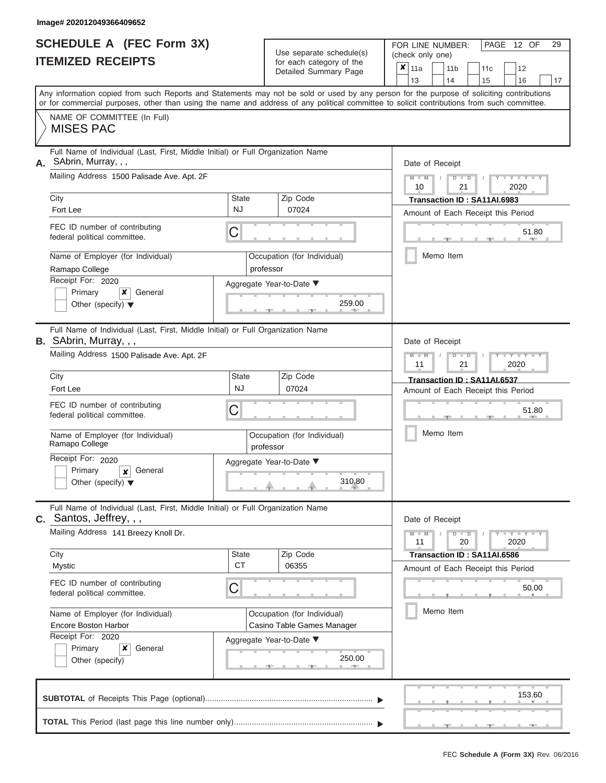ı

| <b>SCHEDULE A (FEC Form 3X)</b> |  |
|---------------------------------|--|
| <b>ITEMIZED RECEIPTS</b>        |  |

Use separate schedule(s)<br>for each category of the

FOR LINE NUMBER:

PAGE 12 OF 29

|    |                                                                                                                                                                                                                                                                                         |                                                            | Use separate schedule(s)                                  |  | (check only one)                                                 |  |                       |                                                                   |                         |       |  |  |  |
|----|-----------------------------------------------------------------------------------------------------------------------------------------------------------------------------------------------------------------------------------------------------------------------------------------|------------------------------------------------------------|-----------------------------------------------------------|--|------------------------------------------------------------------|--|-----------------------|-------------------------------------------------------------------|-------------------------|-------|--|--|--|
|    | <b>ITEMIZED RECEIPTS</b>                                                                                                                                                                                                                                                                |                                                            | for each category of the<br>Detailed Summary Page         |  | $\boldsymbol{\mathsf{x}}$  <br>11a<br>13                         |  | 11 <sub>b</sub><br>14 | 11c<br>15                                                         | 12<br>16                | 17    |  |  |  |
|    | Any information copied from such Reports and Statements may not be sold or used by any person for the purpose of soliciting contributions<br>or for commercial purposes, other than using the name and address of any political committee to solicit contributions from such committee. |                                                            |                                                           |  |                                                                  |  |                       |                                                                   |                         |       |  |  |  |
|    | NAME OF COMMITTEE (In Full)<br><b>MISES PAC</b>                                                                                                                                                                                                                                         |                                                            |                                                           |  |                                                                  |  |                       |                                                                   |                         |       |  |  |  |
| А. | Full Name of Individual (Last, First, Middle Initial) or Full Organization Name<br>SAbrin, Murray, , ,                                                                                                                                                                                  |                                                            |                                                           |  | Date of Receipt                                                  |  |                       |                                                                   |                         |       |  |  |  |
|    | Mailing Address 1500 Palisade Ave. Apt. 2F                                                                                                                                                                                                                                              |                                                            |                                                           |  | $M - M$<br>$D$ $\Box$ $D$<br>$T - Y = Y - T$<br>10<br>21<br>2020 |  |                       |                                                                   |                         |       |  |  |  |
|    | City<br>Fort Lee                                                                                                                                                                                                                                                                        | State<br><b>NJ</b>                                         | Zip Code<br>07024                                         |  |                                                                  |  |                       | Transaction ID: SA11AI.6983<br>Amount of Each Receipt this Period |                         |       |  |  |  |
|    | FEC ID number of contributing<br>federal political committee.                                                                                                                                                                                                                           | C                                                          |                                                           |  |                                                                  |  |                       |                                                                   |                         | 51.80 |  |  |  |
|    | Name of Employer (for Individual)<br>Ramapo College                                                                                                                                                                                                                                     |                                                            | Occupation (for Individual)<br>professor                  |  |                                                                  |  | Memo Item             |                                                                   |                         |       |  |  |  |
|    | Receipt For: 2020<br>Primary<br>x<br>General<br>Other (specify) $\blacktriangledown$                                                                                                                                                                                                    |                                                            | Aggregate Year-to-Date ▼<br>259.00                        |  |                                                                  |  |                       |                                                                   |                         |       |  |  |  |
|    | Full Name of Individual (Last, First, Middle Initial) or Full Organization Name<br>B. SAbrin, Murray, , ,                                                                                                                                                                               |                                                            |                                                           |  | Date of Receipt                                                  |  |                       |                                                                   |                         |       |  |  |  |
|    | Mailing Address 1500 Palisade Ave. Apt. 2F                                                                                                                                                                                                                                              |                                                            |                                                           |  | $M - M$<br>11                                                    |  | $D$ $\Box$ $D$<br>21  |                                                                   | $T - Y = T - Y$<br>2020 |       |  |  |  |
|    | City<br>Fort Lee                                                                                                                                                                                                                                                                        | Zip Code<br>State<br><b>NJ</b><br>07024                    |                                                           |  |                                                                  |  |                       | Transaction ID: SA11AI.6537                                       |                         |       |  |  |  |
|    | FEC ID number of contributing<br>federal political committee.                                                                                                                                                                                                                           | C                                                          |                                                           |  |                                                                  |  |                       | Amount of Each Receipt this Period                                |                         | 51.80 |  |  |  |
|    | Name of Employer (for Individual)<br>Ramapo College                                                                                                                                                                                                                                     |                                                            | Occupation (for Individual)<br>professor                  |  |                                                                  |  | Memo Item             |                                                                   |                         |       |  |  |  |
|    | Receipt For: 2020<br>Primary<br>General<br>x<br>Other (specify) $\blacktriangledown$                                                                                                                                                                                                    |                                                            | Aggregate Year-to-Date ▼<br>310.80                        |  |                                                                  |  |                       |                                                                   |                         |       |  |  |  |
|    | Full Name of Individual (Last, First, Middle Initial) or Full Organization Name<br><b>C.</b> Santos, Jeffrey, , ,                                                                                                                                                                       |                                                            |                                                           |  | Date of Receipt                                                  |  |                       |                                                                   |                         |       |  |  |  |
|    | Mailing Address 141 Breezy Knoll Dr.                                                                                                                                                                                                                                                    |                                                            |                                                           |  | $M - M$<br>11                                                    |  | $D$ $\Box$ $D$<br>20  |                                                                   | $Y = Y = Y + Y$<br>2020 |       |  |  |  |
|    | City<br>Mystic                                                                                                                                                                                                                                                                          | State<br><b>CT</b>                                         | Zip Code<br>06355                                         |  |                                                                  |  |                       | Transaction ID: SA11AI.6586<br>Amount of Each Receipt this Period |                         |       |  |  |  |
|    | FEC ID number of contributing<br>federal political committee.                                                                                                                                                                                                                           | C                                                          |                                                           |  |                                                                  |  |                       |                                                                   |                         | 50.00 |  |  |  |
|    | Name of Employer (for Individual)<br><b>Encore Boston Harbor</b>                                                                                                                                                                                                                        |                                                            | Occupation (for Individual)<br>Casino Table Games Manager |  |                                                                  |  | Memo Item             |                                                                   |                         |       |  |  |  |
|    | Receipt For: 2020<br>Primary<br>x<br>General<br>Other (specify)                                                                                                                                                                                                                         | Aggregate Year-to-Date ▼<br>250.00<br><b>British Allen</b> |                                                           |  |                                                                  |  |                       |                                                                   |                         |       |  |  |  |
|    |                                                                                                                                                                                                                                                                                         |                                                            |                                                           |  |                                                                  |  |                       |                                                                   | 153.60                  |       |  |  |  |
|    |                                                                                                                                                                                                                                                                                         |                                                            |                                                           |  |                                                                  |  |                       |                                                                   |                         |       |  |  |  |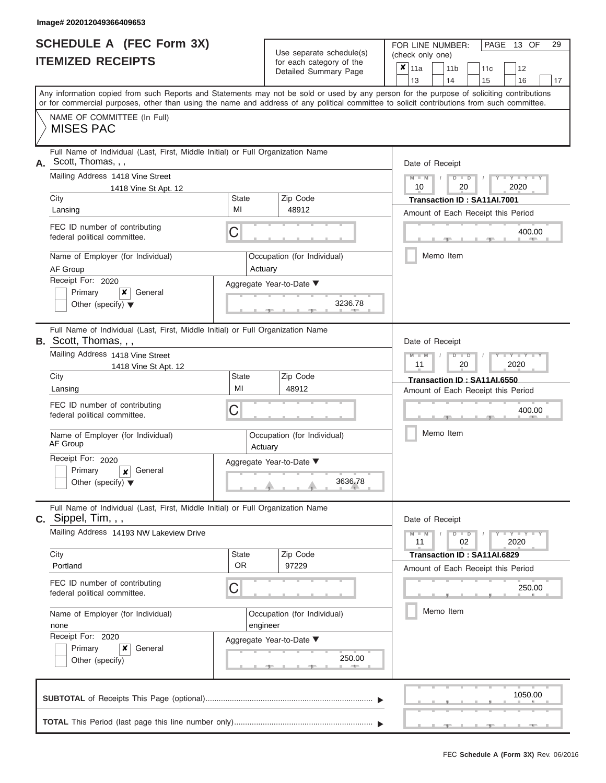|                          | <b>SCHEDULE A (FEC Form 3X)</b> |
|--------------------------|---------------------------------|
| <b>ITEMIZED RECEIPTS</b> |                                 |

FOR LINE NUMBER:<br>(check only one) Use separate schedule(s)

|    | <u>IIEMIZED RECEIPIS</u>                                                                                                                   |                                                    | for each category of the<br>Detailed Summary Page | ×<br>11a<br>11 <sub>b</sub><br>12<br>11c<br>13<br>14<br>15<br>16<br>17                                                                    |  |  |  |  |
|----|--------------------------------------------------------------------------------------------------------------------------------------------|----------------------------------------------------|---------------------------------------------------|-------------------------------------------------------------------------------------------------------------------------------------------|--|--|--|--|
|    | or for commercial purposes, other than using the name and address of any political committee to solicit contributions from such committee. |                                                    |                                                   | Any information copied from such Reports and Statements may not be sold or used by any person for the purpose of soliciting contributions |  |  |  |  |
|    | NAME OF COMMITTEE (In Full)<br><b>MISES PAC</b>                                                                                            |                                                    |                                                   |                                                                                                                                           |  |  |  |  |
| А. | Full Name of Individual (Last, First, Middle Initial) or Full Organization Name<br>Scott, Thomas, , ,                                      |                                                    |                                                   | Date of Receipt                                                                                                                           |  |  |  |  |
|    | Mailing Address 1418 Vine Street<br>1418 Vine St Apt. 12                                                                                   |                                                    |                                                   | $M - M$<br>$Y = Y$<br>$\overline{\mathsf{D}}$<br>$\overline{\mathsf{D}}$<br>20<br>2020<br>10                                              |  |  |  |  |
|    | City<br>Lansing                                                                                                                            | State<br>MI                                        | Zip Code<br>48912                                 | Transaction ID: SA11AI.7001<br>Amount of Each Receipt this Period                                                                         |  |  |  |  |
|    | FEC ID number of contributing<br>federal political committee.                                                                              | C                                                  |                                                   | 400.00                                                                                                                                    |  |  |  |  |
|    | Name of Employer (for Individual)<br>AF Group                                                                                              |                                                    | Occupation (for Individual)<br>Actuary            | Memo Item                                                                                                                                 |  |  |  |  |
|    | Receipt For: 2020<br>Primary<br>×<br>General<br>Other (specify) $\blacktriangledown$                                                       |                                                    | Aggregate Year-to-Date ▼<br>3236.78               |                                                                                                                                           |  |  |  |  |
|    | Full Name of Individual (Last, First, Middle Initial) or Full Organization Name<br><b>B.</b> Scott, Thomas, , ,                            |                                                    |                                                   | Date of Receipt                                                                                                                           |  |  |  |  |
|    | Mailing Address 1418 Vine Street<br>1418 Vine St Apt. 12                                                                                   | Y I Y I<br>D<br>$\blacksquare$<br>2020<br>11<br>20 |                                                   |                                                                                                                                           |  |  |  |  |
|    | City<br>Lansing                                                                                                                            | <b>State</b><br>MI                                 | Zip Code<br>48912                                 | Transaction ID: SA11AI.6550<br>Amount of Each Receipt this Period                                                                         |  |  |  |  |
|    | FEC ID number of contributing<br>federal political committee.                                                                              | С                                                  | 400.00                                            |                                                                                                                                           |  |  |  |  |
|    | Name of Employer (for Individual)<br>AF Group                                                                                              |                                                    | Occupation (for Individual)<br>Actuary            | Memo Item                                                                                                                                 |  |  |  |  |
|    | Receipt For: 2020<br>Primary<br>General<br>$\boldsymbol{x}$<br>Other (specify) $\blacktriangledown$                                        |                                                    | Aggregate Year-to-Date ▼<br>3636.78               |                                                                                                                                           |  |  |  |  |
|    | Full Name of Individual (Last, First, Middle Initial) or Full Organization Name<br>$c.$ Sippel, Tim, , ,                                   |                                                    |                                                   | Date of Receipt                                                                                                                           |  |  |  |  |
|    | Mailing Address 14193 NW Lakeview Drive                                                                                                    |                                                    |                                                   | $D$ $\Box$ $D$<br>Y TYT<br>$M - M$<br>02<br>11<br>2020                                                                                    |  |  |  |  |
|    | City<br>Portland                                                                                                                           | <b>State</b><br>0R                                 | Zip Code<br>97229                                 | Transaction ID: SA11AI.6829<br>Amount of Each Receipt this Period                                                                         |  |  |  |  |
|    | FEC ID number of contributing<br>federal political committee.                                                                              | C                                                  |                                                   | 250.00                                                                                                                                    |  |  |  |  |
|    | Name of Employer (for Individual)<br>none                                                                                                  |                                                    | Occupation (for Individual)<br>engineer           | Memo Item                                                                                                                                 |  |  |  |  |
|    | Receipt For: 2020<br>Primary<br>×<br>General<br>Other (specify)                                                                            |                                                    | Aggregate Year-to-Date ▼<br>250.00                |                                                                                                                                           |  |  |  |  |
|    |                                                                                                                                            |                                                    |                                                   | 1050.00                                                                                                                                   |  |  |  |  |
|    |                                                                                                                                            |                                                    |                                                   |                                                                                                                                           |  |  |  |  |

PAGE 13 OF 29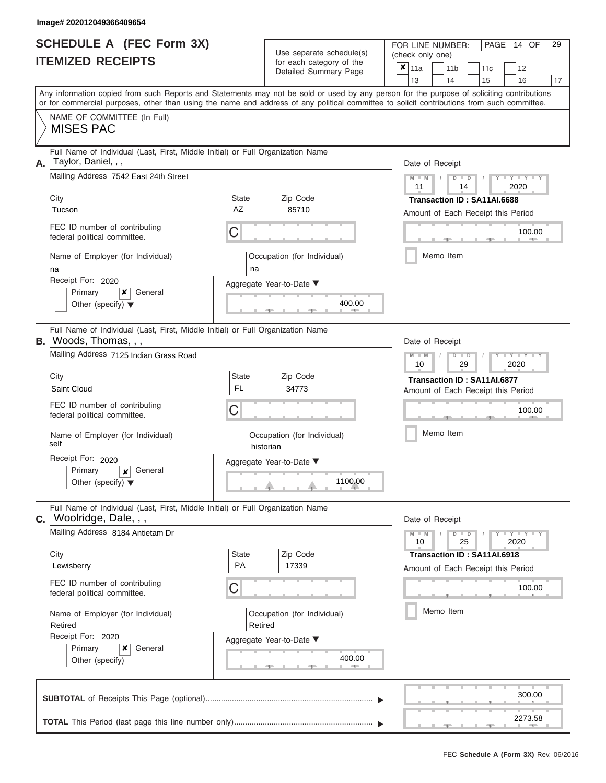ı

|                          | <b>SCHEDULE A (FEC Form 3X)</b> |
|--------------------------|---------------------------------|
| <b>ITEMIZED RECEIPTS</b> |                                 |

Use separate schedule(s) (check only one) for each category of the

FOR LINE NUMBER:<br>(check only one)

PAGE 14 OF 29

| <b>ITEMIZED RECEIPTS</b>                                                                                                                                  |                                                               | for each category of the<br>Detailed Summary Page | ×<br>11a<br>11 <sub>b</sub><br>12<br>11c<br>16<br>13<br>14<br>15<br>17                                                                    |
|-----------------------------------------------------------------------------------------------------------------------------------------------------------|---------------------------------------------------------------|---------------------------------------------------|-------------------------------------------------------------------------------------------------------------------------------------------|
| or for commercial purposes, other than using the name and address of any political committee to solicit contributions from such committee.                |                                                               |                                                   | Any information copied from such Reports and Statements may not be sold or used by any person for the purpose of soliciting contributions |
| NAME OF COMMITTEE (In Full)<br><b>MISES PAC</b>                                                                                                           |                                                               |                                                   |                                                                                                                                           |
| Full Name of Individual (Last, First, Middle Initial) or Full Organization Name<br>Taylor, Daniel, , ,<br>А.<br>Mailing Address 7542 East 24th Street     |                                                               |                                                   | Date of Receipt<br>$M - M$<br>$D$ $D$<br>$Y - Y -$                                                                                        |
| City<br>Tucson                                                                                                                                            | Zip Code<br><b>State</b><br>AZ<br>85710                       |                                                   | 11<br>2020<br>14<br>Transaction ID: SA11AI.6688                                                                                           |
| FEC ID number of contributing<br>federal political committee.                                                                                             | С                                                             |                                                   | Amount of Each Receipt this Period<br>100.00                                                                                              |
| Name of Employer (for Individual)<br>na<br>Receipt For: 2020<br>Primary<br>$\boldsymbol{\mathsf{x}}$<br>General<br>Other (specify) $\blacktriangledown$   | Occupation (for Individual)<br>na<br>Aggregate Year-to-Date ▼ | 400.00                                            | Memo Item                                                                                                                                 |
| Full Name of Individual (Last, First, Middle Initial) or Full Organization Name<br><b>B.</b> Woods, Thomas, , ,<br>Mailing Address 7125 Indian Grass Road | Date of Receipt<br>$M -$<br>$Y - Y$<br>D                      |                                                   |                                                                                                                                           |
| City<br>Saint Cloud<br>FEC ID number of contributing                                                                                                      | Zip Code<br>State<br><b>FL</b><br>34773<br>С                  |                                                   | 29<br>2020<br>10<br>Transaction ID: SA11AI.6877<br>Amount of Each Receipt this Period<br>100.00                                           |
| federal political committee.<br>Name of Employer (for Individual)<br>self                                                                                 | Occupation (for Individual)<br>historian                      |                                                   | Memo Item                                                                                                                                 |
| Receipt For: 2020<br>General<br>Primary<br>$\boldsymbol{x}$<br>Other (specify) $\blacktriangledown$                                                       | Aggregate Year-to-Date ▼                                      | 1100.00                                           |                                                                                                                                           |
| Full Name of Individual (Last, First, Middle Initial) or Full Organization Name<br>C. Woolridge, Dale, , ,<br>Mailing Address 8184 Antietam Dr            |                                                               |                                                   | Date of Receipt<br>$M - M$<br>D<br>$Y - Y - I$<br>$\blacksquare$                                                                          |
| City<br>Lewisberry<br>FEC ID number of contributing<br>federal political committee.                                                                       | State<br>Zip Code<br>PA<br>17339<br>С                         |                                                   | 25<br>2020<br>10<br>Transaction ID: SA11AI.6918<br>Amount of Each Receipt this Period<br>100.00                                           |
| Name of Employer (for Individual)<br>Retired<br>Receipt For: 2020                                                                                         | Occupation (for Individual)<br>Retired                        |                                                   | Memo Item                                                                                                                                 |
| ×<br>Primary<br>General<br>Other (specify)                                                                                                                | Aggregate Year-to-Date ▼                                      | 400.00<br>All Corp.<br>-92                        |                                                                                                                                           |
|                                                                                                                                                           |                                                               |                                                   | 300.00                                                                                                                                    |
|                                                                                                                                                           |                                                               |                                                   | 2273.58                                                                                                                                   |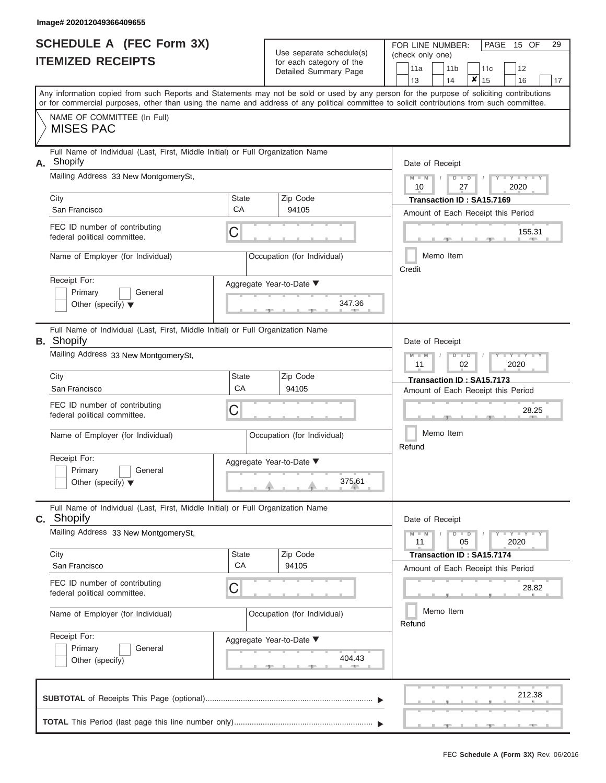|                          | <b>SCHEDULE A (FEC Form 3X)</b> |
|--------------------------|---------------------------------|
| <b>ITEMIZED RECEIPTS</b> |                                 |

Use separate schedule(s)<br>for each category of the

FOR LINE NUMBER:<br>(check only one)

PAGE 15 OF 29

|    | IILMILLV IILVLII I                                                                                                                         |             | ivi cavii valcyviy vi liic<br>Detailed Summary Page |                                    | 11a             |  | 11 <sub>b</sub>                    | 11c     |  | 12                         |    |  |  |  |  |  |  |
|----|--------------------------------------------------------------------------------------------------------------------------------------------|-------------|-----------------------------------------------------|------------------------------------|-----------------|--|------------------------------------|---------|--|----------------------------|----|--|--|--|--|--|--|
|    | Any information copied from such Reports and Statements may not be sold or used by any person for the purpose of soliciting contributions  |             |                                                     |                                    | 13              |  | 14                                 | ×<br>15 |  | 16                         | 17 |  |  |  |  |  |  |
|    | or for commercial purposes, other than using the name and address of any political committee to solicit contributions from such committee. |             |                                                     |                                    |                 |  |                                    |         |  |                            |    |  |  |  |  |  |  |
|    | NAME OF COMMITTEE (In Full)<br><b>MISES PAC</b>                                                                                            |             |                                                     |                                    |                 |  |                                    |         |  |                            |    |  |  |  |  |  |  |
| А. | Full Name of Individual (Last, First, Middle Initial) or Full Organization Name<br>Shopify                                                 |             |                                                     |                                    | Date of Receipt |  |                                    |         |  |                            |    |  |  |  |  |  |  |
|    | Mailing Address 33 New MontgomerySt,                                                                                                       |             |                                                     |                                    | $M - M$<br>10   |  | $D$ $D$<br>27                      |         |  | 2020                       |    |  |  |  |  |  |  |
|    | City                                                                                                                                       | State       | Zip Code                                            |                                    |                 |  | Transaction ID: SA15.7169          |         |  |                            |    |  |  |  |  |  |  |
|    | San Francisco                                                                                                                              | CA          | 94105                                               |                                    |                 |  | Amount of Each Receipt this Period |         |  |                            |    |  |  |  |  |  |  |
|    | FEC ID number of contributing<br>federal political committee.                                                                              | C           |                                                     |                                    |                 |  |                                    |         |  | 155.31<br><b>ARCHITECT</b> |    |  |  |  |  |  |  |
|    | Name of Employer (for Individual)                                                                                                          |             | Occupation (for Individual)                         |                                    | Credit          |  | Memo Item                          |         |  |                            |    |  |  |  |  |  |  |
|    | Receipt For:                                                                                                                               |             | Aggregate Year-to-Date ▼                            |                                    |                 |  |                                    |         |  |                            |    |  |  |  |  |  |  |
|    | Primary<br>General<br>Other (specify) $\blacktriangledown$                                                                                 |             | 347.36                                              |                                    |                 |  |                                    |         |  |                            |    |  |  |  |  |  |  |
|    | Full Name of Individual (Last, First, Middle Initial) or Full Organization Name<br><b>B.</b> Shopify                                       |             |                                                     |                                    | Date of Receipt |  |                                    |         |  |                            |    |  |  |  |  |  |  |
|    | Mailing Address 33 New MontgomerySt,                                                                                                       |             |                                                     |                                    | $M - M$<br>11   |  | $D$ $\Box$ $D$<br>02               |         |  | 2020                       |    |  |  |  |  |  |  |
|    | City                                                                                                                                       | State       | Zip Code                                            |                                    |                 |  | Transaction ID: SA15.7173          |         |  |                            |    |  |  |  |  |  |  |
|    | San Francisco                                                                                                                              | CA          | 94105                                               | Amount of Each Receipt this Period |                 |  |                                    |         |  |                            |    |  |  |  |  |  |  |
|    | FEC ID number of contributing<br>federal political committee.                                                                              | C           |                                                     | 28.25                              |                 |  |                                    |         |  |                            |    |  |  |  |  |  |  |
|    | Name of Employer (for Individual)                                                                                                          |             | Occupation (for Individual)                         | Memo Item<br>Refund                |                 |  |                                    |         |  |                            |    |  |  |  |  |  |  |
|    | Receipt For:                                                                                                                               |             | Aggregate Year-to-Date ▼                            |                                    |                 |  |                                    |         |  |                            |    |  |  |  |  |  |  |
|    | Primary<br>General<br>Other (specify) $\blacktriangledown$                                                                                 |             | 375.61                                              |                                    |                 |  |                                    |         |  |                            |    |  |  |  |  |  |  |
|    | Full Name of Individual (Last, First, Middle Initial) or Full Organization Name<br><b>C.</b> Shopify                                       |             |                                                     |                                    | Date of Receipt |  |                                    |         |  |                            |    |  |  |  |  |  |  |
|    | Mailing Address 33 New MontgomerySt,                                                                                                       |             |                                                     |                                    | $M - M$<br>11   |  | $D$ $D$<br>05                      |         |  | $Y$ $Y$ $Y$ $Y$<br>2020    |    |  |  |  |  |  |  |
|    | City<br>San Francisco                                                                                                                      | State<br>CA | Zip Code<br>94105                                   |                                    |                 |  | Transaction ID: SA15.7174          |         |  |                            |    |  |  |  |  |  |  |
|    |                                                                                                                                            |             |                                                     |                                    |                 |  | Amount of Each Receipt this Period |         |  |                            |    |  |  |  |  |  |  |
|    | FEC ID number of contributing<br>federal political committee.                                                                              | С           |                                                     |                                    |                 |  |                                    |         |  | 28.82                      |    |  |  |  |  |  |  |
|    | Name of Employer (for Individual)                                                                                                          |             | Occupation (for Individual)                         |                                    | Refund          |  | Memo Item                          |         |  |                            |    |  |  |  |  |  |  |
|    | Receipt For:                                                                                                                               |             | Aggregate Year-to-Date ▼                            |                                    |                 |  |                                    |         |  |                            |    |  |  |  |  |  |  |
|    | Primary<br>General<br>Other (specify)                                                                                                      |             | 404.43                                              |                                    |                 |  |                                    |         |  |                            |    |  |  |  |  |  |  |
|    |                                                                                                                                            |             |                                                     |                                    |                 |  |                                    |         |  | 212.38                     |    |  |  |  |  |  |  |
|    |                                                                                                                                            |             |                                                     |                                    |                 |  |                                    |         |  |                            |    |  |  |  |  |  |  |

 ▲ ▲ ▲ , , .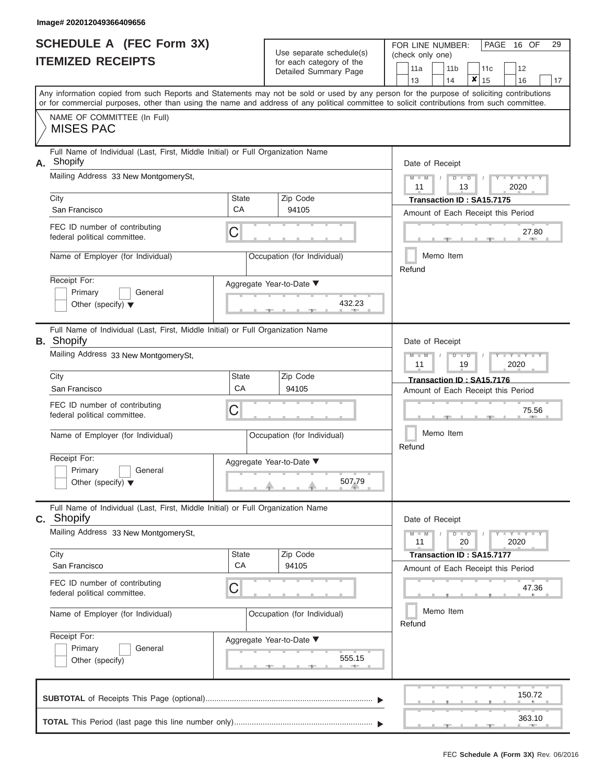|                          | <b>SCHEDULE A (FEC Form 3X)</b> |
|--------------------------|---------------------------------|
| <b>ITEMIZED RECEIPTS</b> |                                 |

Use separate schedule(s)

FOR LINE NUMBER:<br>(check only one)

PAGE 16 OF 29

|    | IIEMIZEU REVEIFIJ                                                                                                                                                                                                                                                                       |                          | for each category of the    |                                                          | 11a                                                             |           | 11 <sub>b</sub> |               | 11c                                |  | 12                              |    |  |  |  |  |  |
|----|-----------------------------------------------------------------------------------------------------------------------------------------------------------------------------------------------------------------------------------------------------------------------------------------|--------------------------|-----------------------------|----------------------------------------------------------|-----------------------------------------------------------------|-----------|-----------------|---------------|------------------------------------|--|---------------------------------|----|--|--|--|--|--|
|    |                                                                                                                                                                                                                                                                                         |                          | Detailed Summary Page       |                                                          | 13                                                              |           | 14              | ×             | 15                                 |  | 16                              | 17 |  |  |  |  |  |
|    | Any information copied from such Reports and Statements may not be sold or used by any person for the purpose of soliciting contributions<br>or for commercial purposes, other than using the name and address of any political committee to solicit contributions from such committee. |                          |                             |                                                          |                                                                 |           |                 |               |                                    |  |                                 |    |  |  |  |  |  |
|    | NAME OF COMMITTEE (In Full)<br><b>MISES PAC</b>                                                                                                                                                                                                                                         |                          |                             |                                                          |                                                                 |           |                 |               |                                    |  |                                 |    |  |  |  |  |  |
| А. | Full Name of Individual (Last, First, Middle Initial) or Full Organization Name<br>Shopify                                                                                                                                                                                              |                          |                             |                                                          | Date of Receipt                                                 |           |                 |               |                                    |  |                                 |    |  |  |  |  |  |
|    | Mailing Address 33 New MontgomerySt,                                                                                                                                                                                                                                                    |                          |                             |                                                          | $M - M$<br>11                                                   |           |                 | $D$ $D$<br>13 |                                    |  | Y TY TY<br>2020                 |    |  |  |  |  |  |
|    | City<br>San Francisco                                                                                                                                                                                                                                                                   | <b>State</b><br>CA       | Zip Code<br>94105           |                                                          |                                                                 |           |                 |               | Transaction ID: SA15.7175          |  |                                 |    |  |  |  |  |  |
|    | FEC ID number of contributing<br>federal political committee.                                                                                                                                                                                                                           | С                        |                             | Amount of Each Receipt this Period<br>27.80              |                                                                 |           |                 |               |                                    |  |                                 |    |  |  |  |  |  |
|    | Name of Employer (for Individual)                                                                                                                                                                                                                                                       |                          | Occupation (for Individual) |                                                          | Refund                                                          | Memo Item |                 |               |                                    |  |                                 |    |  |  |  |  |  |
|    | Receipt For:<br>Primary<br>General<br>Other (specify) $\blacktriangledown$                                                                                                                                                                                                              | Aggregate Year-to-Date ▼ | 432.23                      |                                                          |                                                                 |           |                 |               |                                    |  |                                 |    |  |  |  |  |  |
|    | Full Name of Individual (Last, First, Middle Initial) or Full Organization Name<br><b>B.</b> Shopify                                                                                                                                                                                    |                          |                             |                                                          | Date of Receipt                                                 |           |                 |               |                                    |  |                                 |    |  |  |  |  |  |
|    | Mailing Address 33 New MontgomerySt,                                                                                                                                                                                                                                                    |                          |                             | $M - M$<br>Y TY TY<br>$D$ $\Box$ $D$<br>2020<br>11<br>19 |                                                                 |           |                 |               |                                    |  |                                 |    |  |  |  |  |  |
|    | City<br>San Francisco                                                                                                                                                                                                                                                                   | <b>State</b><br>CA       | Zip Code<br>94105           |                                                          | Transaction ID: SA15.7176<br>Amount of Each Receipt this Period |           |                 |               |                                    |  |                                 |    |  |  |  |  |  |
|    | FEC ID number of contributing<br>federal political committee.                                                                                                                                                                                                                           | С                        |                             | 75.56<br>Memo Item<br>Refund                             |                                                                 |           |                 |               |                                    |  |                                 |    |  |  |  |  |  |
|    | Name of Employer (for Individual)                                                                                                                                                                                                                                                       |                          | Occupation (for Individual) |                                                          |                                                                 |           |                 |               |                                    |  |                                 |    |  |  |  |  |  |
|    | Receipt For:<br>Primary<br>General<br>Other (specify) $\blacktriangledown$                                                                                                                                                                                                              | Aggregate Year-to-Date ▼ | 507.79                      |                                                          |                                                                 |           |                 |               |                                    |  |                                 |    |  |  |  |  |  |
|    | Full Name of Individual (Last, First, Middle Initial) or Full Organization Name<br><b>C.</b> Shopify                                                                                                                                                                                    |                          |                             |                                                          | Date of Receipt                                                 |           |                 |               |                                    |  |                                 |    |  |  |  |  |  |
|    | Mailing Address 33 New MontgomerySt,                                                                                                                                                                                                                                                    |                          |                             |                                                          | $M - M$<br>11                                                   |           |                 | $D$ $D$<br>20 |                                    |  | $Y - Y - Y - Y - I - Y$<br>2020 |    |  |  |  |  |  |
|    | City                                                                                                                                                                                                                                                                                    | State                    | Zip Code                    |                                                          |                                                                 |           |                 |               | Transaction ID: SA15.7177          |  |                                 |    |  |  |  |  |  |
|    | San Francisco                                                                                                                                                                                                                                                                           | CA                       | 94105                       |                                                          |                                                                 |           |                 |               | Amount of Each Receipt this Period |  |                                 |    |  |  |  |  |  |
|    | FEC ID number of contributing<br>federal political committee.                                                                                                                                                                                                                           | С                        |                             |                                                          |                                                                 |           |                 |               |                                    |  | 47.36                           |    |  |  |  |  |  |
|    | Name of Employer (for Individual)                                                                                                                                                                                                                                                       |                          | Occupation (for Individual) |                                                          | Refund                                                          | Memo Item |                 |               |                                    |  |                                 |    |  |  |  |  |  |
|    | Receipt For:<br>Primary<br>General<br>Other (specify)                                                                                                                                                                                                                                   | Aggregate Year-to-Date ▼ | 555.15<br><b>AND</b>        |                                                          |                                                                 |           |                 |               |                                    |  |                                 |    |  |  |  |  |  |
|    |                                                                                                                                                                                                                                                                                         |                          |                             |                                                          |                                                                 |           |                 |               |                                    |  | 150.72                          |    |  |  |  |  |  |
|    |                                                                                                                                                                                                                                                                                         |                          |                             |                                                          |                                                                 |           |                 |               |                                    |  | 363.10                          |    |  |  |  |  |  |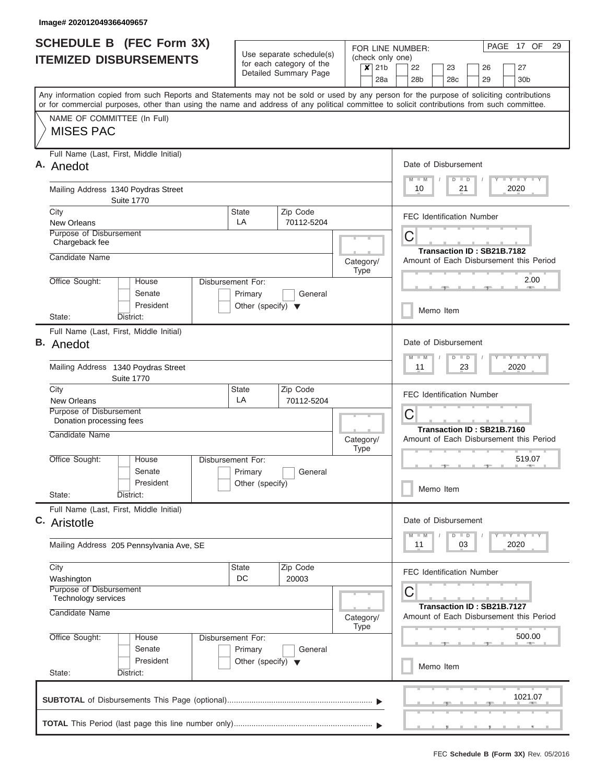|    | <b>SCHEDULE B (FEC Form 3X)</b>                                                                                                                                                                                                                                                         |                                                                      | Use separate schedule(s)                          | (check only one)                                    | PAGE 17 OF<br>29<br>FOR LINE NUMBER:                                    |  |  |  |  |  |  |  |  |  |  |  |  |
|----|-----------------------------------------------------------------------------------------------------------------------------------------------------------------------------------------------------------------------------------------------------------------------------------------|----------------------------------------------------------------------|---------------------------------------------------|-----------------------------------------------------|-------------------------------------------------------------------------|--|--|--|--|--|--|--|--|--|--|--|--|
|    | <b>ITEMIZED DISBURSEMENTS</b>                                                                                                                                                                                                                                                           |                                                                      | for each category of the<br>Detailed Summary Page | 21 <sub>b</sub><br>$\boldsymbol{\mathsf{x}}$<br>28a | 22<br>23<br>27<br>26<br>29<br>30 <sub>b</sub><br>28 <sub>b</sub><br>28c |  |  |  |  |  |  |  |  |  |  |  |  |
|    | Any information copied from such Reports and Statements may not be sold or used by any person for the purpose of soliciting contributions<br>or for commercial purposes, other than using the name and address of any political committee to solicit contributions from such committee. |                                                                      |                                                   |                                                     |                                                                         |  |  |  |  |  |  |  |  |  |  |  |  |
|    | NAME OF COMMITTEE (In Full)<br><b>MISES PAC</b>                                                                                                                                                                                                                                         |                                                                      |                                                   |                                                     |                                                                         |  |  |  |  |  |  |  |  |  |  |  |  |
|    | Full Name (Last, First, Middle Initial)<br>A. Anedot                                                                                                                                                                                                                                    |                                                                      |                                                   |                                                     | Date of Disbursement<br>Y L Y L Y L Y<br>$M$ $M$<br>$D$ $D$             |  |  |  |  |  |  |  |  |  |  |  |  |
|    | Mailing Address 1340 Poydras Street<br><b>Suite 1770</b>                                                                                                                                                                                                                                |                                                                      |                                                   |                                                     | 21<br>2020<br>10                                                        |  |  |  |  |  |  |  |  |  |  |  |  |
|    | City<br><b>New Orleans</b>                                                                                                                                                                                                                                                              | <b>State</b><br>LA                                                   | Zip Code<br>70112-5204                            |                                                     | <b>FEC Identification Number</b>                                        |  |  |  |  |  |  |  |  |  |  |  |  |
|    | Purpose of Disbursement<br>Chargeback fee                                                                                                                                                                                                                                               |                                                                      |                                                   |                                                     | C<br>Transaction ID: SB21B.7182                                         |  |  |  |  |  |  |  |  |  |  |  |  |
|    | Candidate Name                                                                                                                                                                                                                                                                          |                                                                      |                                                   | Category/<br><b>Type</b>                            | Amount of Each Disbursement this Period                                 |  |  |  |  |  |  |  |  |  |  |  |  |
|    | Office Sought:<br>House<br>Senate<br>President                                                                                                                                                                                                                                          | Disbursement For:<br>Primary<br>Other (specify) $\blacktriangledown$ | General                                           |                                                     | 2.00                                                                    |  |  |  |  |  |  |  |  |  |  |  |  |
|    | State:<br>District:                                                                                                                                                                                                                                                                     |                                                                      |                                                   |                                                     | Memo Item                                                               |  |  |  |  |  |  |  |  |  |  |  |  |
| В. | Full Name (Last, First, Middle Initial)<br>Anedot                                                                                                                                                                                                                                       |                                                                      |                                                   |                                                     | Date of Disbursement<br>Y FY FY FY                                      |  |  |  |  |  |  |  |  |  |  |  |  |
|    | Mailing Address 1340 Poydras Street<br><b>Suite 1770</b>                                                                                                                                                                                                                                |                                                                      |                                                   |                                                     | $M - M$<br>$D$ $D$<br>2020<br>11<br>23                                  |  |  |  |  |  |  |  |  |  |  |  |  |
|    | City<br><b>New Orleans</b>                                                                                                                                                                                                                                                              | <b>State</b><br>LA                                                   | Zip Code<br>70112-5204                            |                                                     | <b>FEC Identification Number</b>                                        |  |  |  |  |  |  |  |  |  |  |  |  |
|    | Purpose of Disbursement<br>Donation processing fees                                                                                                                                                                                                                                     |                                                                      |                                                   |                                                     | C<br>Transaction ID: SB21B.7160                                         |  |  |  |  |  |  |  |  |  |  |  |  |
|    | Candidate Name                                                                                                                                                                                                                                                                          |                                                                      |                                                   | Category/<br><b>Type</b>                            | Amount of Each Disbursement this Period                                 |  |  |  |  |  |  |  |  |  |  |  |  |
|    | Office Sought:<br>House<br>Senate<br>President                                                                                                                                                                                                                                          | Disbursement For:<br>Primary<br>Other (specify)                      | General                                           |                                                     | 519.07<br>Memo Item                                                     |  |  |  |  |  |  |  |  |  |  |  |  |
|    | State:<br>District:<br>Full Name (Last, First, Middle Initial)                                                                                                                                                                                                                          |                                                                      |                                                   |                                                     |                                                                         |  |  |  |  |  |  |  |  |  |  |  |  |
|    | C. Aristotle                                                                                                                                                                                                                                                                            |                                                                      |                                                   |                                                     | Date of Disbursement<br>Y TY TY TY<br>$M - M$<br>$D$ $D$                |  |  |  |  |  |  |  |  |  |  |  |  |
|    | Mailing Address 205 Pennsylvania Ave, SE                                                                                                                                                                                                                                                |                                                                      |                                                   |                                                     | 2020<br>11<br>03                                                        |  |  |  |  |  |  |  |  |  |  |  |  |
|    | City<br>Washington                                                                                                                                                                                                                                                                      | <b>State</b><br>DC                                                   | Zip Code<br>20003                                 |                                                     | <b>FEC Identification Number</b>                                        |  |  |  |  |  |  |  |  |  |  |  |  |
|    | Purpose of Disbursement<br>Technology services                                                                                                                                                                                                                                          |                                                                      |                                                   |                                                     | С<br>Transaction ID: SB21B.7127                                         |  |  |  |  |  |  |  |  |  |  |  |  |
|    | Candidate Name                                                                                                                                                                                                                                                                          |                                                                      |                                                   | Category/<br><b>Type</b>                            | Amount of Each Disbursement this Period                                 |  |  |  |  |  |  |  |  |  |  |  |  |
|    | Office Sought:<br>House<br>Senate                                                                                                                                                                                                                                                       | Disbursement For:<br>Primary                                         | General                                           |                                                     | 500.00                                                                  |  |  |  |  |  |  |  |  |  |  |  |  |
|    | President<br>State:<br>District:                                                                                                                                                                                                                                                        | Other (specify) $\blacktriangledown$                                 |                                                   |                                                     | Memo Item                                                               |  |  |  |  |  |  |  |  |  |  |  |  |
|    |                                                                                                                                                                                                                                                                                         |                                                                      |                                                   |                                                     | 1021.07                                                                 |  |  |  |  |  |  |  |  |  |  |  |  |
|    |                                                                                                                                                                                                                                                                                         |                                                                      |                                                   |                                                     |                                                                         |  |  |  |  |  |  |  |  |  |  |  |  |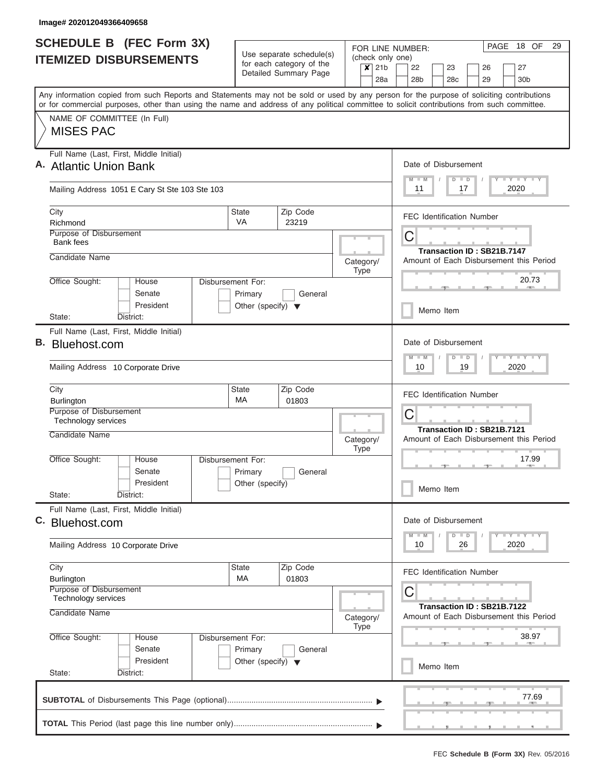| <b>SCHEDULE B</b> (FEC Form 3X)                                                                                                            |                                      |                                                   |                                                               |                                  |         |                                  | 18 OF<br>PAGE<br>29<br>FOR LINE NUMBER: |  |                 |         |    |                            |                                         |       |  |  |  |  |
|--------------------------------------------------------------------------------------------------------------------------------------------|--------------------------------------|---------------------------------------------------|---------------------------------------------------------------|----------------------------------|---------|----------------------------------|-----------------------------------------|--|-----------------|---------|----|----------------------------|-----------------------------------------|-------|--|--|--|--|
| <b>ITEMIZED DISBURSEMENTS</b>                                                                                                              | Use separate schedule(s)             |                                                   |                                                               | (check only one)                 |         |                                  |                                         |  |                 |         |    |                            |                                         |       |  |  |  |  |
|                                                                                                                                            |                                      | for each category of the<br>Detailed Summary Page |                                                               |                                  | $x$ 21b |                                  | 22                                      |  | 23              |         | 26 |                            | 27                                      |       |  |  |  |  |
|                                                                                                                                            |                                      |                                                   |                                                               |                                  | 28a     |                                  | 28 <sub>b</sub>                         |  | 28 <sub>c</sub> |         | 29 |                            | 30 <sub>b</sub>                         |       |  |  |  |  |
| Any information copied from such Reports and Statements may not be sold or used by any person for the purpose of soliciting contributions  |                                      |                                                   |                                                               |                                  |         |                                  |                                         |  |                 |         |    |                            |                                         |       |  |  |  |  |
| or for commercial purposes, other than using the name and address of any political committee to solicit contributions from such committee. |                                      |                                                   |                                                               |                                  |         |                                  |                                         |  |                 |         |    |                            |                                         |       |  |  |  |  |
| NAME OF COMMITTEE (In Full)<br><b>MISES PAC</b>                                                                                            |                                      |                                                   |                                                               |                                  |         |                                  |                                         |  |                 |         |    |                            |                                         |       |  |  |  |  |
|                                                                                                                                            |                                      |                                                   |                                                               |                                  |         |                                  |                                         |  |                 |         |    |                            |                                         |       |  |  |  |  |
| Full Name (Last, First, Middle Initial)                                                                                                    |                                      |                                                   |                                                               |                                  |         |                                  |                                         |  |                 |         |    |                            |                                         |       |  |  |  |  |
| A. Atlantic Union Bank                                                                                                                     |                                      |                                                   |                                                               |                                  |         |                                  | Date of Disbursement                    |  |                 |         |    |                            |                                         |       |  |  |  |  |
|                                                                                                                                            |                                      |                                                   |                                                               |                                  |         |                                  | $M$ $M$                                 |  |                 | $D$ $D$ |    |                            | Y L Y L Y L Y                           |       |  |  |  |  |
| Mailing Address 1051 E Cary St Ste 103 Ste 103                                                                                             |                                      |                                                   |                                                               |                                  |         |                                  | 11                                      |  |                 | 17      |    |                            | 2020                                    |       |  |  |  |  |
| City                                                                                                                                       | <b>State</b>                         | Zip Code                                          |                                                               | <b>FEC Identification Number</b> |         |                                  |                                         |  |                 |         |    |                            |                                         |       |  |  |  |  |
| Richmond                                                                                                                                   | VA                                   | 23219                                             |                                                               |                                  |         |                                  |                                         |  |                 |         |    |                            |                                         |       |  |  |  |  |
| Purpose of Disbursement<br><b>Bank fees</b>                                                                                                | С                                    |                                                   |                                                               |                                  |         |                                  |                                         |  |                 |         |    |                            |                                         |       |  |  |  |  |
| Candidate Name                                                                                                                             |                                      |                                                   |                                                               |                                  |         |                                  |                                         |  |                 |         |    |                            | Transaction ID: SB21B.7147              |       |  |  |  |  |
|                                                                                                                                            |                                      |                                                   | Category/                                                     | Type                             |         |                                  |                                         |  |                 |         |    |                            | Amount of Each Disbursement this Period |       |  |  |  |  |
| Office Sought:<br>House                                                                                                                    | Disbursement For:                    |                                                   |                                                               |                                  |         |                                  |                                         |  |                 |         |    |                            |                                         | 20.73 |  |  |  |  |
| Senate                                                                                                                                     | Primary                              | General                                           |                                                               |                                  |         |                                  |                                         |  |                 |         |    |                            |                                         |       |  |  |  |  |
| President                                                                                                                                  | Other (specify) $\blacktriangledown$ |                                                   |                                                               |                                  |         |                                  |                                         |  | Memo Item       |         |    |                            |                                         |       |  |  |  |  |
| District:<br>State:                                                                                                                        |                                      |                                                   |                                                               |                                  |         |                                  |                                         |  |                 |         |    |                            |                                         |       |  |  |  |  |
| Full Name (Last, First, Middle Initial)<br>В.                                                                                              |                                      |                                                   |                                                               |                                  |         |                                  | Date of Disbursement                    |  |                 |         |    |                            |                                         |       |  |  |  |  |
| Bluehost.com                                                                                                                               |                                      |                                                   |                                                               |                                  |         |                                  |                                         |  |                 |         |    |                            |                                         |       |  |  |  |  |
| Mailing Address 10 Corporate Drive                                                                                                         |                                      |                                                   | $T$ $Y$ $T$ $Y$ $T$<br>$M - M$<br>$D$ $D$<br>2020<br>10<br>19 |                                  |         |                                  |                                         |  |                 |         |    |                            |                                         |       |  |  |  |  |
|                                                                                                                                            |                                      |                                                   |                                                               |                                  |         |                                  |                                         |  |                 |         |    |                            |                                         |       |  |  |  |  |
| City                                                                                                                                       | State                                | Zip Code                                          |                                                               |                                  |         | <b>FEC Identification Number</b> |                                         |  |                 |         |    |                            |                                         |       |  |  |  |  |
| Burlington<br>Purpose of Disbursement                                                                                                      | MA                                   | 01803                                             |                                                               |                                  |         |                                  |                                         |  |                 |         |    |                            |                                         |       |  |  |  |  |
| Technology services                                                                                                                        |                                      |                                                   |                                                               |                                  |         | С<br>Transaction ID: SB21B.7121  |                                         |  |                 |         |    |                            |                                         |       |  |  |  |  |
| Candidate Name                                                                                                                             |                                      |                                                   | Category/                                                     |                                  |         |                                  |                                         |  |                 |         |    |                            | Amount of Each Disbursement this Period |       |  |  |  |  |
|                                                                                                                                            |                                      |                                                   |                                                               | <b>Type</b>                      |         |                                  |                                         |  |                 |         |    |                            |                                         |       |  |  |  |  |
| Office Sought:<br>House                                                                                                                    | <b>Disbursement For:</b>             |                                                   |                                                               |                                  |         |                                  |                                         |  |                 |         |    | $-1$                       |                                         | 17.99 |  |  |  |  |
| Senate<br>President                                                                                                                        | Primary<br>Other (specify)           | General                                           |                                                               |                                  |         |                                  |                                         |  |                 |         |    |                            |                                         |       |  |  |  |  |
| State:<br>District:                                                                                                                        |                                      |                                                   |                                                               |                                  |         |                                  |                                         |  | Memo Item       |         |    |                            |                                         |       |  |  |  |  |
| Full Name (Last, First, Middle Initial)                                                                                                    |                                      |                                                   |                                                               |                                  |         |                                  |                                         |  |                 |         |    |                            |                                         |       |  |  |  |  |
| C. Bluehost.com                                                                                                                            |                                      |                                                   |                                                               |                                  |         |                                  | Date of Disbursement                    |  |                 |         |    |                            |                                         |       |  |  |  |  |
|                                                                                                                                            |                                      |                                                   |                                                               |                                  |         |                                  | $M - M$                                 |  |                 | $D$ $D$ |    |                            | <b>LY LY LY</b>                         |       |  |  |  |  |
| Mailing Address 10 Corporate Drive                                                                                                         |                                      |                                                   |                                                               |                                  |         |                                  | 10                                      |  |                 | 26      |    |                            | 2020                                    |       |  |  |  |  |
| City                                                                                                                                       | <b>State</b>                         | Zip Code                                          |                                                               |                                  |         |                                  |                                         |  |                 |         |    |                            |                                         |       |  |  |  |  |
| <b>Burlington</b>                                                                                                                          | МA                                   | 01803                                             |                                                               |                                  |         |                                  | FEC Identification Number               |  |                 |         |    |                            |                                         |       |  |  |  |  |
| Purpose of Disbursement<br>Technology services                                                                                             |                                      |                                                   |                                                               |                                  |         |                                  | С                                       |  |                 |         |    |                            |                                         |       |  |  |  |  |
| Candidate Name                                                                                                                             |                                      |                                                   |                                                               |                                  |         |                                  |                                         |  |                 |         |    | Transaction ID: SB21B.7122 |                                         |       |  |  |  |  |
|                                                                                                                                            |                                      |                                                   | Category/                                                     | Type                             |         |                                  |                                         |  |                 |         |    |                            | Amount of Each Disbursement this Period |       |  |  |  |  |
| Office Sought:<br>House                                                                                                                    | Disbursement For:                    |                                                   |                                                               |                                  |         |                                  |                                         |  |                 |         |    |                            |                                         | 38.97 |  |  |  |  |
| Senate                                                                                                                                     | Primary                              | General                                           |                                                               |                                  |         |                                  |                                         |  |                 |         |    |                            |                                         |       |  |  |  |  |
| President                                                                                                                                  | Other (specify) $\blacktriangledown$ |                                                   |                                                               |                                  |         |                                  |                                         |  | Memo Item       |         |    |                            |                                         |       |  |  |  |  |
| State:<br>District:                                                                                                                        |                                      |                                                   |                                                               |                                  |         |                                  |                                         |  |                 |         |    |                            |                                         |       |  |  |  |  |
|                                                                                                                                            |                                      |                                                   |                                                               |                                  |         |                                  |                                         |  |                 |         |    |                            |                                         | 77.69 |  |  |  |  |
|                                                                                                                                            |                                      |                                                   |                                                               |                                  |         |                                  |                                         |  |                 |         |    |                            |                                         |       |  |  |  |  |
|                                                                                                                                            |                                      |                                                   |                                                               |                                  |         |                                  |                                         |  |                 |         |    |                            |                                         |       |  |  |  |  |
|                                                                                                                                            |                                      |                                                   |                                                               |                                  |         |                                  |                                         |  |                 |         |    |                            |                                         |       |  |  |  |  |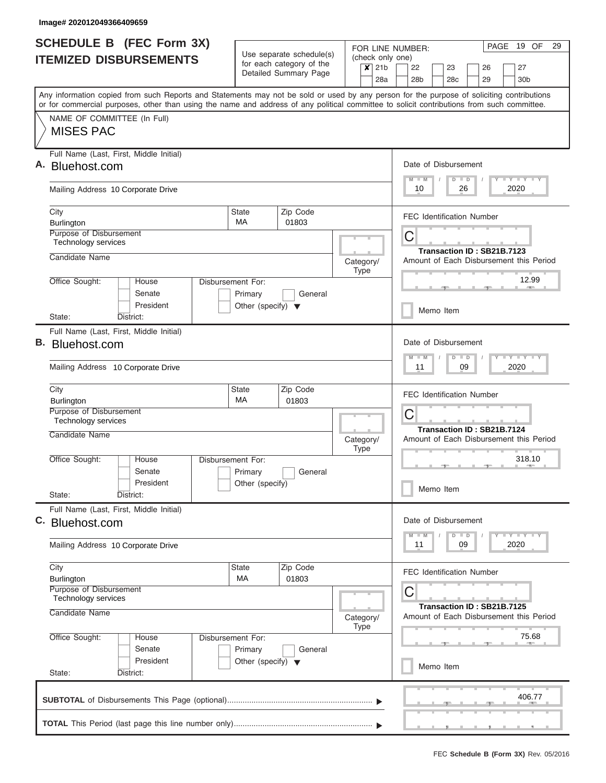|    | <b>SCHEDULE B</b> (FEC Form 3X)                                                                                                                                                                                                                                                         |                                                 | Use separate schedule(s)                          | FOR LINE NUMBER:                                                      | 19 OF<br>29<br>PAGE                                                        |  |  |  |  |  |  |  |  |  |  |  |  |
|----|-----------------------------------------------------------------------------------------------------------------------------------------------------------------------------------------------------------------------------------------------------------------------------------------|-------------------------------------------------|---------------------------------------------------|-----------------------------------------------------------------------|----------------------------------------------------------------------------|--|--|--|--|--|--|--|--|--|--|--|--|
|    | <b>ITEMIZED DISBURSEMENTS</b>                                                                                                                                                                                                                                                           |                                                 | for each category of the<br>Detailed Summary Page | (check only one)<br>21 <sub>b</sub><br>$\overline{\mathbf{x}}$<br>28a | 22<br>23<br>27<br>26<br>28 <sub>b</sub><br>30 <sub>b</sub><br>28c<br>29    |  |  |  |  |  |  |  |  |  |  |  |  |
|    | Any information copied from such Reports and Statements may not be sold or used by any person for the purpose of soliciting contributions<br>or for commercial purposes, other than using the name and address of any political committee to solicit contributions from such committee. |                                                 |                                                   |                                                                       |                                                                            |  |  |  |  |  |  |  |  |  |  |  |  |
|    | NAME OF COMMITTEE (In Full)<br><b>MISES PAC</b>                                                                                                                                                                                                                                         |                                                 |                                                   |                                                                       |                                                                            |  |  |  |  |  |  |  |  |  |  |  |  |
|    | Full Name (Last, First, Middle Initial)<br>Bluehost.com                                                                                                                                                                                                                                 |                                                 |                                                   |                                                                       | Date of Disbursement<br>Y LY LY LY<br>$M - M$<br>$D$ $D$                   |  |  |  |  |  |  |  |  |  |  |  |  |
|    | Mailing Address 10 Corporate Drive                                                                                                                                                                                                                                                      |                                                 |                                                   |                                                                       | 2020<br>10<br>26                                                           |  |  |  |  |  |  |  |  |  |  |  |  |
|    | City<br>Burlington                                                                                                                                                                                                                                                                      |                                                 | <b>FEC Identification Number</b>                  |                                                                       |                                                                            |  |  |  |  |  |  |  |  |  |  |  |  |
|    | Purpose of Disbursement<br>Technology services<br>Candidate Name                                                                                                                                                                                                                        |                                                 |                                                   |                                                                       | C<br>Transaction ID: SB21B.7123                                            |  |  |  |  |  |  |  |  |  |  |  |  |
|    |                                                                                                                                                                                                                                                                                         | Disbursement For:                               |                                                   | Category/<br><b>Type</b>                                              | Amount of Each Disbursement this Period<br>12.99                           |  |  |  |  |  |  |  |  |  |  |  |  |
|    | Office Sought:<br>House<br>Senate<br>President                                                                                                                                                                                                                                          | Primary<br>Other (specify) $\blacktriangledown$ | General                                           |                                                                       | Memo Item                                                                  |  |  |  |  |  |  |  |  |  |  |  |  |
|    | State:<br>District:                                                                                                                                                                                                                                                                     |                                                 |                                                   |                                                                       |                                                                            |  |  |  |  |  |  |  |  |  |  |  |  |
| В. | Full Name (Last, First, Middle Initial)<br>Bluehost.com                                                                                                                                                                                                                                 |                                                 |                                                   |                                                                       | Date of Disbursement<br>$-1 - Y - 1 - Y - 1 - Y$<br>$M - M$<br>$D$ $D$     |  |  |  |  |  |  |  |  |  |  |  |  |
|    | Mailing Address 10 Corporate Drive                                                                                                                                                                                                                                                      |                                                 |                                                   |                                                                       | 09<br>2020<br>11                                                           |  |  |  |  |  |  |  |  |  |  |  |  |
|    | City<br><b>Burlington</b>                                                                                                                                                                                                                                                               | State<br>МA                                     | Zip Code<br>01803                                 |                                                                       | <b>FEC Identification Number</b>                                           |  |  |  |  |  |  |  |  |  |  |  |  |
|    | Purpose of Disbursement<br><b>Technology services</b>                                                                                                                                                                                                                                   |                                                 |                                                   |                                                                       | C<br>Transaction ID: SB21B.7124                                            |  |  |  |  |  |  |  |  |  |  |  |  |
|    | Candidate Name                                                                                                                                                                                                                                                                          |                                                 |                                                   | Category/<br><b>Type</b>                                              | Amount of Each Disbursement this Period                                    |  |  |  |  |  |  |  |  |  |  |  |  |
|    | Office Sought:<br>House<br>Senate<br>President                                                                                                                                                                                                                                          | Disbursement For:<br>Primary<br>Other (specify) | General                                           |                                                                       | 318.10<br>Memo Item                                                        |  |  |  |  |  |  |  |  |  |  |  |  |
|    | State:<br>District:<br>Full Name (Last, First, Middle Initial)                                                                                                                                                                                                                          |                                                 |                                                   |                                                                       |                                                                            |  |  |  |  |  |  |  |  |  |  |  |  |
|    | C. Bluehost.com                                                                                                                                                                                                                                                                         |                                                 |                                                   |                                                                       | Date of Disbursement<br>$T - Y$ $T - Y$ $T - Y$<br>$M - M$<br>$D$ $D$      |  |  |  |  |  |  |  |  |  |  |  |  |
|    | Mailing Address 10 Corporate Drive                                                                                                                                                                                                                                                      |                                                 |                                                   |                                                                       | 2020<br>11<br>09                                                           |  |  |  |  |  |  |  |  |  |  |  |  |
|    | City<br><b>Burlington</b>                                                                                                                                                                                                                                                               | State<br>MA                                     | Zip Code<br>01803                                 |                                                                       | <b>FEC Identification Number</b>                                           |  |  |  |  |  |  |  |  |  |  |  |  |
|    | Purpose of Disbursement<br>Technology services<br>Candidate Name                                                                                                                                                                                                                        |                                                 |                                                   | Category/                                                             | C<br>Transaction ID: SB21B.7125<br>Amount of Each Disbursement this Period |  |  |  |  |  |  |  |  |  |  |  |  |
|    | Office Sought:<br>House<br>Senate                                                                                                                                                                                                                                                       | Disbursement For:<br>Primary                    | General                                           | <b>Type</b>                                                           | 75.68                                                                      |  |  |  |  |  |  |  |  |  |  |  |  |
|    | President<br>State:<br>District:                                                                                                                                                                                                                                                        | Other (specify) $\blacktriangledown$            |                                                   |                                                                       | Memo Item                                                                  |  |  |  |  |  |  |  |  |  |  |  |  |
|    |                                                                                                                                                                                                                                                                                         |                                                 |                                                   |                                                                       | 406.77                                                                     |  |  |  |  |  |  |  |  |  |  |  |  |
|    |                                                                                                                                                                                                                                                                                         |                                                 |                                                   |                                                                       |                                                                            |  |  |  |  |  |  |  |  |  |  |  |  |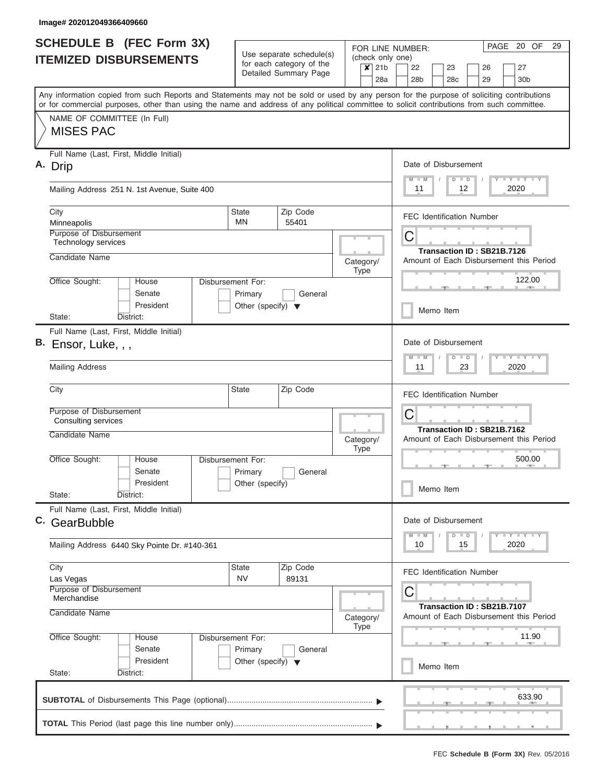| Use separate schedule(s)<br><b>ITEMIZED DISBURSEMENTS</b><br>for each category of the<br>Detailed Summary Page                             | (check only one)<br>$x$ 21b<br>28a | 22<br>23<br>26<br>27                                                  |  |  |  |  |  |  |  |  |  |  |  |  |  |
|--------------------------------------------------------------------------------------------------------------------------------------------|------------------------------------|-----------------------------------------------------------------------|--|--|--|--|--|--|--|--|--|--|--|--|--|
|                                                                                                                                            |                                    |                                                                       |  |  |  |  |  |  |  |  |  |  |  |  |  |
|                                                                                                                                            |                                    | 28 <sub>b</sub><br>29<br>28 <sub>c</sub><br>30 <sub>b</sub>           |  |  |  |  |  |  |  |  |  |  |  |  |  |
| Any information copied from such Reports and Statements may not be sold or used by any person for the purpose of soliciting contributions  |                                    |                                                                       |  |  |  |  |  |  |  |  |  |  |  |  |  |
| or for commercial purposes, other than using the name and address of any political committee to solicit contributions from such committee. |                                    |                                                                       |  |  |  |  |  |  |  |  |  |  |  |  |  |
| NAME OF COMMITTEE (In Full)<br><b>MISES PAC</b>                                                                                            |                                    |                                                                       |  |  |  |  |  |  |  |  |  |  |  |  |  |
|                                                                                                                                            |                                    |                                                                       |  |  |  |  |  |  |  |  |  |  |  |  |  |
| Full Name (Last, First, Middle Initial)                                                                                                    |                                    |                                                                       |  |  |  |  |  |  |  |  |  |  |  |  |  |
| Α.<br>Drip                                                                                                                                 |                                    | Date of Disbursement<br>Y FY FY FY<br>$M - M$<br>$D$ $D$              |  |  |  |  |  |  |  |  |  |  |  |  |  |
| Mailing Address 251 N. 1st Avenue, Suite 400                                                                                               | 2020<br>11<br>12                   |                                                                       |  |  |  |  |  |  |  |  |  |  |  |  |  |
| Zip Code<br>City<br><b>State</b>                                                                                                           |                                    | <b>FEC Identification Number</b>                                      |  |  |  |  |  |  |  |  |  |  |  |  |  |
| <b>MN</b><br>Minneapolis<br>55401<br>Purpose of Disbursement                                                                               |                                    |                                                                       |  |  |  |  |  |  |  |  |  |  |  |  |  |
| Technology services                                                                                                                        |                                    | $\mathsf C$                                                           |  |  |  |  |  |  |  |  |  |  |  |  |  |
| Candidate Name                                                                                                                             | Category/                          | Transaction ID: SB21B.7126<br>Amount of Each Disbursement this Period |  |  |  |  |  |  |  |  |  |  |  |  |  |
| Office Sought:<br>House                                                                                                                    | <b>Type</b>                        | 122.00                                                                |  |  |  |  |  |  |  |  |  |  |  |  |  |
| Disbursement For:<br>Senate<br>Primary<br>General                                                                                          |                                    | <b>COLL</b>                                                           |  |  |  |  |  |  |  |  |  |  |  |  |  |
| President<br>Other (specify) $\blacktriangledown$                                                                                          |                                    |                                                                       |  |  |  |  |  |  |  |  |  |  |  |  |  |
| State:<br>District:                                                                                                                        |                                    | Memo Item                                                             |  |  |  |  |  |  |  |  |  |  |  |  |  |
| Full Name (Last, First, Middle Initial)<br>В.                                                                                              |                                    | Date of Disbursement                                                  |  |  |  |  |  |  |  |  |  |  |  |  |  |
| Ensor, Luke, , ,                                                                                                                           |                                    | Y FY FY FY<br>$M - M$<br>$D$ $D$                                      |  |  |  |  |  |  |  |  |  |  |  |  |  |
| <b>Mailing Address</b>                                                                                                                     |                                    | 2020<br>23<br>11                                                      |  |  |  |  |  |  |  |  |  |  |  |  |  |
| City<br><b>State</b><br>Zip Code                                                                                                           |                                    | <b>FEC Identification Number</b>                                      |  |  |  |  |  |  |  |  |  |  |  |  |  |
| Purpose of Disbursement<br><b>Consulting services</b>                                                                                      |                                    | С                                                                     |  |  |  |  |  |  |  |  |  |  |  |  |  |
| Candidate Name                                                                                                                             | Category/<br><b>Type</b>           | Transaction ID: SB21B.7162<br>Amount of Each Disbursement this Period |  |  |  |  |  |  |  |  |  |  |  |  |  |
| Office Sought:<br>House<br>Disbursement For:                                                                                               |                                    | 500.00                                                                |  |  |  |  |  |  |  |  |  |  |  |  |  |
| Senate<br>Primary<br>General                                                                                                               |                                    |                                                                       |  |  |  |  |  |  |  |  |  |  |  |  |  |
| President<br>Other (specify)<br>State:<br>District:                                                                                        |                                    | Memo Item                                                             |  |  |  |  |  |  |  |  |  |  |  |  |  |
| Full Name (Last, First, Middle Initial)                                                                                                    |                                    |                                                                       |  |  |  |  |  |  |  |  |  |  |  |  |  |
| C. GearBubble                                                                                                                              |                                    | Date of Disbursement                                                  |  |  |  |  |  |  |  |  |  |  |  |  |  |
| Mailing Address 6440 Sky Pointe Dr. #140-361                                                                                               |                                    | $Y$ $Y$ $Y$ $Y$ $Y$<br>$M - M$<br>$D$ $D$<br>2020<br>10<br>15         |  |  |  |  |  |  |  |  |  |  |  |  |  |
| Zip Code<br>City<br>State                                                                                                                  |                                    |                                                                       |  |  |  |  |  |  |  |  |  |  |  |  |  |
| <b>NV</b><br>89131<br>Las Vegas                                                                                                            |                                    | <b>FEC Identification Number</b>                                      |  |  |  |  |  |  |  |  |  |  |  |  |  |
| Purpose of Disbursement<br>Merchandise                                                                                                     |                                    | С                                                                     |  |  |  |  |  |  |  |  |  |  |  |  |  |
| Candidate Name                                                                                                                             | Category/                          | Transaction ID: SB21B.7107<br>Amount of Each Disbursement this Period |  |  |  |  |  |  |  |  |  |  |  |  |  |
|                                                                                                                                            | Type                               |                                                                       |  |  |  |  |  |  |  |  |  |  |  |  |  |
| Office Sought:<br>Disbursement For:<br>House<br>Senate<br>Primary<br>General                                                               |                                    | 11.90                                                                 |  |  |  |  |  |  |  |  |  |  |  |  |  |
| President<br>Other (specify) $\blacktriangledown$                                                                                          |                                    |                                                                       |  |  |  |  |  |  |  |  |  |  |  |  |  |
| State:<br>District:                                                                                                                        |                                    | Memo Item                                                             |  |  |  |  |  |  |  |  |  |  |  |  |  |
|                                                                                                                                            |                                    | 633.90                                                                |  |  |  |  |  |  |  |  |  |  |  |  |  |
|                                                                                                                                            |                                    |                                                                       |  |  |  |  |  |  |  |  |  |  |  |  |  |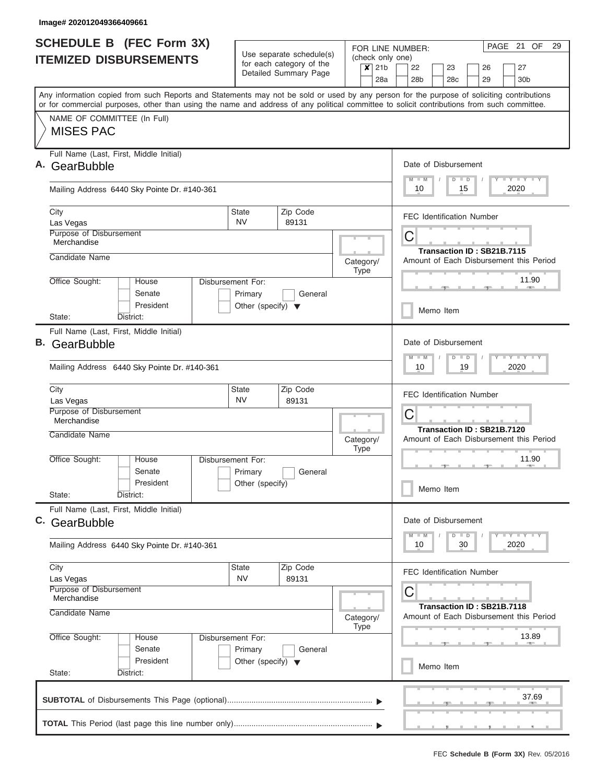|    | <b>SCHEDULE B</b> (FEC Form 3X)<br><b>ITEMIZED DISBURSEMENTS</b>                                                                                                                                                                                                                        |                                                                      | Use separate schedule(s)<br>for each category of the<br>Detailed Summary Page | (check only one)<br>21b<br>$\boldsymbol{x}$<br>28a | PAGE 21 OF<br>29<br>FOR LINE NUMBER:<br>22<br>23<br>26<br>27<br>28 <sub>b</sub><br>28 <sub>c</sub><br>29<br>30 <sub>b</sub> |  |  |  |  |  |  |  |  |  |  |  |  |
|----|-----------------------------------------------------------------------------------------------------------------------------------------------------------------------------------------------------------------------------------------------------------------------------------------|----------------------------------------------------------------------|-------------------------------------------------------------------------------|----------------------------------------------------|-----------------------------------------------------------------------------------------------------------------------------|--|--|--|--|--|--|--|--|--|--|--|--|
|    | Any information copied from such Reports and Statements may not be sold or used by any person for the purpose of soliciting contributions<br>or for commercial purposes, other than using the name and address of any political committee to solicit contributions from such committee. |                                                                      |                                                                               |                                                    |                                                                                                                             |  |  |  |  |  |  |  |  |  |  |  |  |
|    | NAME OF COMMITTEE (In Full)<br><b>MISES PAC</b>                                                                                                                                                                                                                                         |                                                                      |                                                                               |                                                    |                                                                                                                             |  |  |  |  |  |  |  |  |  |  |  |  |
| Α. | Full Name (Last, First, Middle Initial)<br>GearBubble                                                                                                                                                                                                                                   |                                                                      |                                                                               |                                                    | Date of Disbursement<br>Y LY LY LY<br>$M$ $M$<br>$D$ $D$                                                                    |  |  |  |  |  |  |  |  |  |  |  |  |
|    | Mailing Address 6440 Sky Pointe Dr. #140-361                                                                                                                                                                                                                                            |                                                                      |                                                                               |                                                    | 2020<br>10<br>15                                                                                                            |  |  |  |  |  |  |  |  |  |  |  |  |
|    | City<br>Las Vegas                                                                                                                                                                                                                                                                       | State<br><b>NV</b>                                                   | Zip Code<br>89131                                                             |                                                    | <b>FEC Identification Number</b>                                                                                            |  |  |  |  |  |  |  |  |  |  |  |  |
|    | Purpose of Disbursement<br>Merchandise                                                                                                                                                                                                                                                  |                                                                      |                                                                               |                                                    | С<br>Transaction ID: SB21B.7115                                                                                             |  |  |  |  |  |  |  |  |  |  |  |  |
|    | Candidate Name                                                                                                                                                                                                                                                                          |                                                                      |                                                                               | Category/<br><b>Type</b>                           | Amount of Each Disbursement this Period                                                                                     |  |  |  |  |  |  |  |  |  |  |  |  |
|    | Office Sought:<br>House<br>Senate<br>President                                                                                                                                                                                                                                          | Disbursement For:<br>Primary<br>Other (specify) $\blacktriangledown$ | General                                                                       |                                                    | 11.90<br>Memo Item                                                                                                          |  |  |  |  |  |  |  |  |  |  |  |  |
|    | District:<br>State:                                                                                                                                                                                                                                                                     |                                                                      |                                                                               |                                                    |                                                                                                                             |  |  |  |  |  |  |  |  |  |  |  |  |
| В. | Full Name (Last, First, Middle Initial)<br>GearBubble                                                                                                                                                                                                                                   |                                                                      |                                                                               |                                                    | Date of Disbursement<br>$T$ $Y$ $T$ $Y$ $T$<br>$M - M$<br>$D$ $D$                                                           |  |  |  |  |  |  |  |  |  |  |  |  |
|    | Mailing Address 6440 Sky Pointe Dr. #140-361                                                                                                                                                                                                                                            |                                                                      |                                                                               |                                                    | 2020<br>10<br>19                                                                                                            |  |  |  |  |  |  |  |  |  |  |  |  |
|    | City<br>Las Vegas                                                                                                                                                                                                                                                                       | <b>State</b><br><b>NV</b>                                            | Zip Code<br>89131                                                             |                                                    | <b>FEC Identification Number</b>                                                                                            |  |  |  |  |  |  |  |  |  |  |  |  |
|    | Purpose of Disbursement<br>Merchandise                                                                                                                                                                                                                                                  |                                                                      |                                                                               |                                                    | C<br>Transaction ID: SB21B.7120                                                                                             |  |  |  |  |  |  |  |  |  |  |  |  |
|    | Candidate Name                                                                                                                                                                                                                                                                          |                                                                      |                                                                               | Category/<br><b>Type</b>                           | Amount of Each Disbursement this Period                                                                                     |  |  |  |  |  |  |  |  |  |  |  |  |
|    | Office Sought:<br>House<br>Senate                                                                                                                                                                                                                                                       | Disbursement For:<br>Primary                                         | General                                                                       |                                                    | 11.90                                                                                                                       |  |  |  |  |  |  |  |  |  |  |  |  |
|    | President<br>State:<br>District:                                                                                                                                                                                                                                                        | Other (specify)                                                      |                                                                               |                                                    | Memo Item                                                                                                                   |  |  |  |  |  |  |  |  |  |  |  |  |
|    | Full Name (Last, First, Middle Initial)<br>C. GearBubble                                                                                                                                                                                                                                |                                                                      |                                                                               |                                                    | Date of Disbursement                                                                                                        |  |  |  |  |  |  |  |  |  |  |  |  |
|    | Mailing Address 6440 Sky Pointe Dr. #140-361                                                                                                                                                                                                                                            |                                                                      |                                                                               |                                                    | $T - Y$ $T - Y$<br>$M - M$<br>$D$ $D$<br>2020<br>10<br>30                                                                   |  |  |  |  |  |  |  |  |  |  |  |  |
|    | City<br>Las Vegas                                                                                                                                                                                                                                                                       | <b>State</b><br><b>NV</b>                                            | Zip Code<br>89131                                                             |                                                    | <b>FEC Identification Number</b>                                                                                            |  |  |  |  |  |  |  |  |  |  |  |  |
|    | Purpose of Disbursement<br>Merchandise<br>Candidate Name                                                                                                                                                                                                                                |                                                                      |                                                                               | Category/<br><b>Type</b>                           | C<br>Transaction ID: SB21B.7118<br>Amount of Each Disbursement this Period                                                  |  |  |  |  |  |  |  |  |  |  |  |  |
|    | Office Sought:<br>House<br>Senate<br>President                                                                                                                                                                                                                                          | Disbursement For:<br>Primary                                         | General                                                                       |                                                    | 13.89                                                                                                                       |  |  |  |  |  |  |  |  |  |  |  |  |
|    | State:<br>District:                                                                                                                                                                                                                                                                     | Other (specify) $\blacktriangledown$                                 |                                                                               |                                                    | Memo Item                                                                                                                   |  |  |  |  |  |  |  |  |  |  |  |  |
|    |                                                                                                                                                                                                                                                                                         |                                                                      |                                                                               |                                                    | 37.69                                                                                                                       |  |  |  |  |  |  |  |  |  |  |  |  |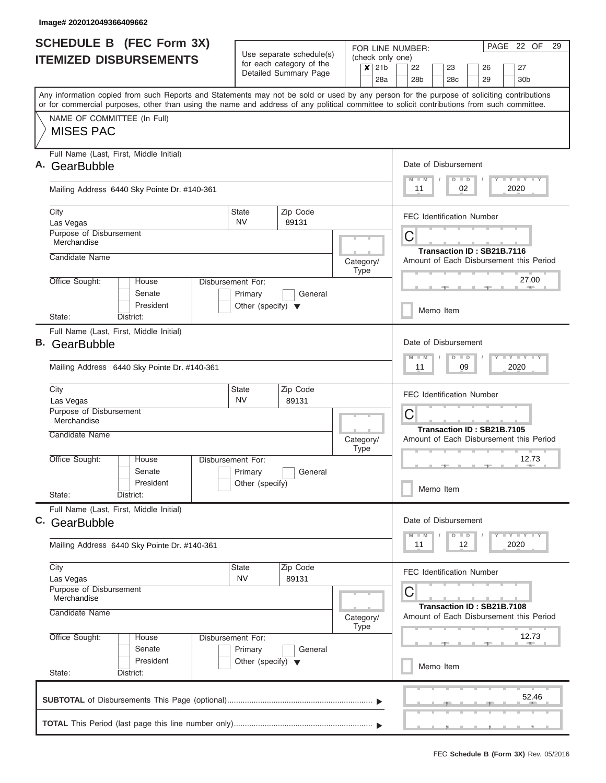|    | <b>SCHEDULE B (FEC Form 3X)</b><br><b>ITEMIZED DISBURSEMENTS</b>                                                                                                                                                                                                                        | Use separate schedule(s)                        |                                                   | PAGE 22 OF<br>29<br>FOR LINE NUMBER:<br>(check only one) |             |                |   |                 |                                                                     |                                  |    |          |                            |                                                  |       |  |  |  |  |  |
|----|-----------------------------------------------------------------------------------------------------------------------------------------------------------------------------------------------------------------------------------------------------------------------------------------|-------------------------------------------------|---------------------------------------------------|----------------------------------------------------------|-------------|----------------|---|-----------------|---------------------------------------------------------------------|----------------------------------|----|----------|----------------------------|--------------------------------------------------|-------|--|--|--|--|--|
|    |                                                                                                                                                                                                                                                                                         |                                                 | for each category of the<br>Detailed Summary Page |                                                          |             | $x$ 21b<br>28a |   | 22<br>28b       |                                                                     | 23<br>28 <sub>c</sub>            |    | 26<br>29 |                            | 27<br>30 <sub>b</sub>                            |       |  |  |  |  |  |
|    | Any information copied from such Reports and Statements may not be sold or used by any person for the purpose of soliciting contributions<br>or for commercial purposes, other than using the name and address of any political committee to solicit contributions from such committee. |                                                 |                                                   |                                                          |             |                |   |                 |                                                                     |                                  |    |          |                            |                                                  |       |  |  |  |  |  |
|    | NAME OF COMMITTEE (In Full)<br><b>MISES PAC</b>                                                                                                                                                                                                                                         |                                                 |                                                   |                                                          |             |                |   |                 |                                                                     |                                  |    |          |                            |                                                  |       |  |  |  |  |  |
| Α. | Full Name (Last, First, Middle Initial)<br>GearBubble                                                                                                                                                                                                                                   |                                                 |                                                   |                                                          |             |                |   | $M - M$         |                                                                     | Date of Disbursement<br>$D$ $D$  |    |          |                            | Y I Y I Y I Y                                    |       |  |  |  |  |  |
|    | Mailing Address 6440 Sky Pointe Dr. #140-361                                                                                                                                                                                                                                            |                                                 |                                                   |                                                          |             |                |   | 11              |                                                                     |                                  | 02 |          |                            | 2020                                             |       |  |  |  |  |  |
|    | City<br>Las Vegas                                                                                                                                                                                                                                                                       | <b>State</b><br>NV.                             | Zip Code<br>89131                                 |                                                          |             |                |   |                 |                                                                     | <b>FEC Identification Number</b> |    |          |                            |                                                  |       |  |  |  |  |  |
|    | Purpose of Disbursement<br>Merchandise<br>Candidate Name                                                                                                                                                                                                                                |                                                 |                                                   |                                                          |             |                | С |                 |                                                                     |                                  |    |          | Transaction ID: SB21B.7116 |                                                  |       |  |  |  |  |  |
|    | Office Sought:<br>House                                                                                                                                                                                                                                                                 | Disbursement For:                               |                                                   | Category/                                                | <b>Type</b> |                |   |                 |                                                                     |                                  |    |          |                            | Amount of Each Disbursement this Period<br>27.00 |       |  |  |  |  |  |
|    | Senate<br>President<br>District:<br>State:                                                                                                                                                                                                                                              | Primary<br>Other (specify) $\blacktriangledown$ | General                                           |                                                          |             |                |   |                 |                                                                     | Memo Item                        |    |          |                            |                                                  |       |  |  |  |  |  |
| В. | Full Name (Last, First, Middle Initial)<br>GearBubble<br>Mailing Address 6440 Sky Pointe Dr. #140-361                                                                                                                                                                                   |                                                 |                                                   |                                                          |             |                |   | $M - M$<br>11   |                                                                     | Date of Disbursement<br>$D$ $D$  | 09 |          |                            | $T$ $T$ $T$ $T$ $T$ $T$ $T$ $T$ $T$<br>2020      |       |  |  |  |  |  |
|    | City                                                                                                                                                                                                                                                                                    | State                                           | Zip Code                                          |                                                          |             |                |   |                 |                                                                     |                                  |    |          |                            |                                                  |       |  |  |  |  |  |
|    | Las Vegas<br>Purpose of Disbursement<br>Merchandise                                                                                                                                                                                                                                     | <b>NV</b>                                       | 89131                                             |                                                          |             |                |   |                 | <b>FEC Identification Number</b><br>С<br>Transaction ID: SB21B.7105 |                                  |    |          |                            |                                                  |       |  |  |  |  |  |
|    | <b>Candidate Name</b>                                                                                                                                                                                                                                                                   |                                                 |                                                   | Category/                                                | <b>Type</b> |                |   |                 |                                                                     |                                  |    |          |                            | Amount of Each Disbursement this Period          |       |  |  |  |  |  |
|    | Office Sought:<br>House<br>Senate<br>President<br>State:<br>District:                                                                                                                                                                                                                   | Disbursement For:<br>Primary<br>Other (specify) | General                                           |                                                          |             |                |   | 12.73<br>$-10-$ |                                                                     |                                  |    |          |                            |                                                  |       |  |  |  |  |  |
|    | Full Name (Last, First, Middle Initial)<br>C. GearBubble                                                                                                                                                                                                                                |                                                 |                                                   |                                                          |             |                |   | $M - M$         |                                                                     | Date of Disbursement             |    |          |                            | <b>LEY LEY LEY</b>                               |       |  |  |  |  |  |
|    | Mailing Address 6440 Sky Pointe Dr. #140-361                                                                                                                                                                                                                                            |                                                 |                                                   |                                                          |             |                |   | 11              |                                                                     | $D$ $D$                          | 12 |          |                            | 2020                                             |       |  |  |  |  |  |
|    | City<br>Las Vegas<br>Purpose of Disbursement                                                                                                                                                                                                                                            | State<br><b>NV</b>                              | Zip Code<br>89131                                 |                                                          |             |                | С |                 |                                                                     | <b>FEC Identification Number</b> |    |          |                            |                                                  |       |  |  |  |  |  |
|    | Merchandise<br>Candidate Name                                                                                                                                                                                                                                                           |                                                 | Category/<br>Type                                 |                                                          |             |                |   |                 |                                                                     |                                  |    |          | Transaction ID: SB21B.7108 | Amount of Each Disbursement this Period          |       |  |  |  |  |  |
|    | Office Sought:<br>House<br>Senate<br>President                                                                                                                                                                                                                                          | Disbursement For:<br>Primary                    | General<br>Other (specify) $\blacktriangledown$   |                                                          |             |                |   |                 | 12.73<br>Memo Item                                                  |                                  |    |          |                            |                                                  |       |  |  |  |  |  |
|    | State:<br>District:                                                                                                                                                                                                                                                                     |                                                 |                                                   |                                                          |             |                |   |                 |                                                                     |                                  |    |          |                            |                                                  |       |  |  |  |  |  |
|    |                                                                                                                                                                                                                                                                                         |                                                 |                                                   |                                                          |             |                |   |                 |                                                                     |                                  |    |          |                            |                                                  | 52.46 |  |  |  |  |  |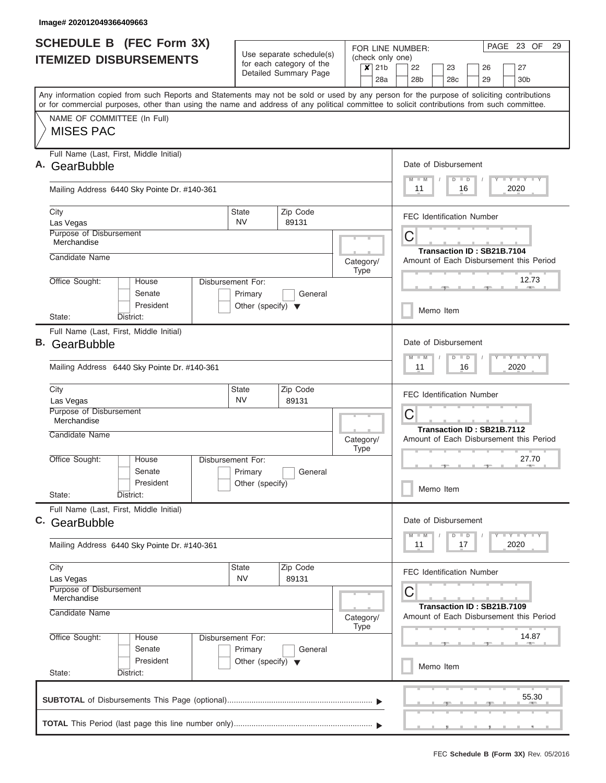|    | <b>SCHEDULE B (FEC Form 3X)</b>                                                                                                                                                                                                                                                         | Use separate schedule(s)                                             |                          |           |             |         |                                                                       | PAGE 23 OF<br>29<br>FOR LINE NUMBER:<br>(check only one) |  |                            |               |  |    |             |                                     |       |  |  |  |
|----|-----------------------------------------------------------------------------------------------------------------------------------------------------------------------------------------------------------------------------------------------------------------------------------------|----------------------------------------------------------------------|--------------------------|-----------|-------------|---------|-----------------------------------------------------------------------|----------------------------------------------------------|--|----------------------------|---------------|--|----|-------------|-------------------------------------|-------|--|--|--|
|    | <b>ITEMIZED DISBURSEMENTS</b>                                                                                                                                                                                                                                                           |                                                                      | for each category of the |           |             | $x$ 21b |                                                                       | 22                                                       |  | 23                         |               |  | 26 |             | 27                                  |       |  |  |  |
|    |                                                                                                                                                                                                                                                                                         |                                                                      | Detailed Summary Page    |           |             | 28a     |                                                                       | 28 <sub>b</sub>                                          |  | 28 <sub>c</sub>            |               |  | 29 |             | 30 <sub>b</sub>                     |       |  |  |  |
|    | Any information copied from such Reports and Statements may not be sold or used by any person for the purpose of soliciting contributions<br>or for commercial purposes, other than using the name and address of any political committee to solicit contributions from such committee. |                                                                      |                          |           |             |         |                                                                       |                                                          |  |                            |               |  |    |             |                                     |       |  |  |  |
|    | NAME OF COMMITTEE (In Full)                                                                                                                                                                                                                                                             |                                                                      |                          |           |             |         |                                                                       |                                                          |  |                            |               |  |    |             |                                     |       |  |  |  |
|    | <b>MISES PAC</b>                                                                                                                                                                                                                                                                        |                                                                      |                          |           |             |         |                                                                       |                                                          |  |                            |               |  |    |             |                                     |       |  |  |  |
|    | Full Name (Last, First, Middle Initial)<br>A. GearBubble                                                                                                                                                                                                                                |                                                                      |                          |           |             |         |                                                                       | Date of Disbursement                                     |  |                            |               |  |    |             |                                     |       |  |  |  |
|    | Mailing Address 6440 Sky Pointe Dr. #140-361                                                                                                                                                                                                                                            |                                                                      |                          |           |             |         |                                                                       | $M - M$<br>11                                            |  |                            | $D$ $D$<br>16 |  |    |             | Y I Y I Y I Y<br>2020               |       |  |  |  |
|    | City<br>Las Vegas                                                                                                                                                                                                                                                                       | State<br>NV.                                                         | Zip Code<br>89131        |           |             |         |                                                                       | <b>FEC Identification Number</b>                         |  |                            |               |  |    |             |                                     |       |  |  |  |
|    | Purpose of Disbursement<br>Merchandise                                                                                                                                                                                                                                                  |                                                                      |                          |           |             |         |                                                                       | С                                                        |  | Transaction ID: SB21B.7104 |               |  |    |             |                                     |       |  |  |  |
|    | Candidate Name                                                                                                                                                                                                                                                                          |                                                                      |                          | Category/ | Type        |         |                                                                       | Amount of Each Disbursement this Period                  |  |                            |               |  |    |             |                                     |       |  |  |  |
|    | Office Sought:<br>House<br>Senate<br>President                                                                                                                                                                                                                                          | Disbursement For:<br>Primary<br>Other (specify) $\blacktriangledown$ | 12.73                    |           |             |         |                                                                       |                                                          |  |                            |               |  |    |             |                                     |       |  |  |  |
|    | State:<br>District:                                                                                                                                                                                                                                                                     |                                                                      |                          |           |             |         |                                                                       |                                                          |  | Memo Item                  |               |  |    |             |                                     |       |  |  |  |
| В. | Full Name (Last, First, Middle Initial)<br>GearBubble                                                                                                                                                                                                                                   |                                                                      |                          |           |             |         |                                                                       | Date of Disbursement                                     |  |                            |               |  |    |             |                                     |       |  |  |  |
|    |                                                                                                                                                                                                                                                                                         |                                                                      |                          |           |             |         |                                                                       | $M - M$                                                  |  |                            | $D$ $D$       |  |    |             | $T$ $T$ $T$ $T$ $T$ $T$ $T$ $T$ $T$ |       |  |  |  |
|    | Mailing Address 6440 Sky Pointe Dr. #140-361                                                                                                                                                                                                                                            |                                                                      |                          |           |             |         |                                                                       | 11                                                       |  |                            | 16            |  |    |             | 2020                                |       |  |  |  |
|    | City<br>Las Vegas                                                                                                                                                                                                                                                                       | State<br><b>NV</b>                                                   | Zip Code<br>89131        |           |             |         |                                                                       | <b>FEC Identification Number</b>                         |  |                            |               |  |    |             |                                     |       |  |  |  |
|    | Purpose of Disbursement<br>Merchandise                                                                                                                                                                                                                                                  |                                                                      |                          |           |             |         | С                                                                     |                                                          |  |                            |               |  |    |             |                                     |       |  |  |  |
|    | Candidate Name                                                                                                                                                                                                                                                                          |                                                                      |                          | Category/ | <b>Type</b> |         | Transaction ID: SB21B.7112<br>Amount of Each Disbursement this Period |                                                          |  |                            |               |  |    |             |                                     |       |  |  |  |
|    | Office Sought:<br>House<br>Senate<br>President                                                                                                                                                                                                                                          | Disbursement For:<br>Primary<br>Other (specify)                      | General                  |           |             |         | 27.70<br>$\rightarrow$                                                |                                                          |  |                            |               |  |    |             |                                     |       |  |  |  |
|    | State:<br>District:                                                                                                                                                                                                                                                                     |                                                                      |                          |           |             |         |                                                                       |                                                          |  | Memo Item                  |               |  |    |             |                                     |       |  |  |  |
|    | Full Name (Last, First, Middle Initial)<br>C. GearBubble                                                                                                                                                                                                                                |                                                                      |                          |           |             |         |                                                                       | Date of Disbursement                                     |  |                            |               |  |    |             |                                     |       |  |  |  |
|    | Mailing Address 6440 Sky Pointe Dr. #140-361                                                                                                                                                                                                                                            |                                                                      |                          |           |             |         |                                                                       | $M - M$<br>11                                            |  |                            | $D$ $D$<br>17 |  |    |             | 2020                                |       |  |  |  |
|    | City<br>Las Vegas                                                                                                                                                                                                                                                                       | State<br><b>NV</b>                                                   | Zip Code<br>89131        |           |             |         |                                                                       | FEC Identification Number                                |  |                            |               |  |    |             |                                     |       |  |  |  |
|    | Purpose of Disbursement<br>Merchandise<br>Candidate Name                                                                                                                                                                                                                                |                                                                      |                          | Category/ | Type        |         |                                                                       | С<br>Amount of Each Disbursement this Period             |  | Transaction ID: SB21B.7109 |               |  |    |             |                                     |       |  |  |  |
|    | Office Sought:<br>House<br>Senate                                                                                                                                                                                                                                                       | Disbursement For:<br>Primary                                         | General                  |           |             |         |                                                                       |                                                          |  |                            |               |  |    |             |                                     | 14.87 |  |  |  |
|    | President<br>State:<br>District:                                                                                                                                                                                                                                                        | Other (specify) $\blacktriangledown$                                 |                          |           |             |         |                                                                       |                                                          |  | Memo Item                  |               |  |    |             |                                     |       |  |  |  |
|    |                                                                                                                                                                                                                                                                                         |                                                                      |                          |           |             |         |                                                                       |                                                          |  |                            |               |  |    |             |                                     | 55.30 |  |  |  |
|    |                                                                                                                                                                                                                                                                                         |                                                                      |                          |           |             |         |                                                                       |                                                          |  |                            |               |  |    | , , , , , , |                                     |       |  |  |  |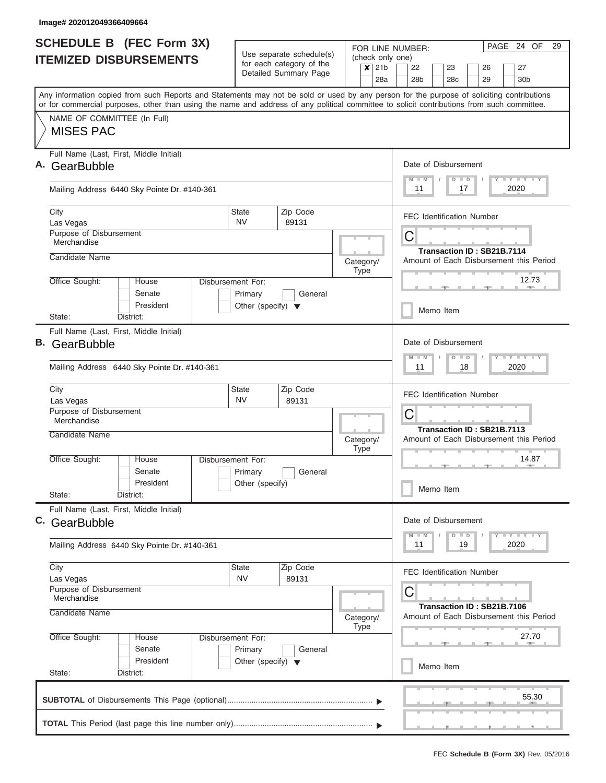|    | <b>SCHEDULE B (FEC Form 3X)</b>                                                                                                                                                                                                                                                         |                                                 |                                                      | PAGE 24 OF<br>29<br>FOR LINE NUMBER: |             |                             |           |                 |  |                      |         |  |                                  |                            |                                         |       |  |  |  |
|----|-----------------------------------------------------------------------------------------------------------------------------------------------------------------------------------------------------------------------------------------------------------------------------------------|-------------------------------------------------|------------------------------------------------------|--------------------------------------|-------------|-----------------------------|-----------|-----------------|--|----------------------|---------|--|----------------------------------|----------------------------|-----------------------------------------|-------|--|--|--|
|    | <b>ITEMIZED DISBURSEMENTS</b>                                                                                                                                                                                                                                                           |                                                 | Use separate schedule(s)<br>for each category of the |                                      |             | (check only one)<br>$x$ 21b |           | 22              |  | 23                   |         |  | 26                               |                            | 27                                      |       |  |  |  |
|    |                                                                                                                                                                                                                                                                                         |                                                 | Detailed Summary Page                                |                                      |             | 28a                         |           | 28 <sub>b</sub> |  | 28 <sub>c</sub>      |         |  | 29                               |                            | 30 <sub>b</sub>                         |       |  |  |  |
|    | Any information copied from such Reports and Statements may not be sold or used by any person for the purpose of soliciting contributions<br>or for commercial purposes, other than using the name and address of any political committee to solicit contributions from such committee. |                                                 |                                                      |                                      |             |                             |           |                 |  |                      |         |  |                                  |                            |                                         |       |  |  |  |
|    | NAME OF COMMITTEE (In Full)                                                                                                                                                                                                                                                             |                                                 |                                                      |                                      |             |                             |           |                 |  |                      |         |  |                                  |                            |                                         |       |  |  |  |
|    | <b>MISES PAC</b>                                                                                                                                                                                                                                                                        |                                                 |                                                      |                                      |             |                             |           |                 |  |                      |         |  |                                  |                            |                                         |       |  |  |  |
|    | Full Name (Last, First, Middle Initial)<br>A. GearBubble                                                                                                                                                                                                                                |                                                 |                                                      |                                      |             |                             |           |                 |  | Date of Disbursement |         |  |                                  |                            |                                         |       |  |  |  |
|    |                                                                                                                                                                                                                                                                                         |                                                 |                                                      |                                      |             |                             |           | $M - M$         |  |                      | $D$ $D$ |  |                                  |                            | Y I Y I Y I Y                           |       |  |  |  |
|    | Mailing Address 6440 Sky Pointe Dr. #140-361                                                                                                                                                                                                                                            |                                                 |                                                      |                                      |             |                             |           | 11              |  |                      | 17      |  |                                  |                            | 2020                                    |       |  |  |  |
|    | City<br>Las Vegas                                                                                                                                                                                                                                                                       | State<br>NV.                                    | Zip Code<br>89131                                    |                                      |             |                             |           |                 |  |                      |         |  | <b>FEC Identification Number</b> |                            |                                         |       |  |  |  |
|    | Purpose of Disbursement                                                                                                                                                                                                                                                                 |                                                 |                                                      |                                      |             |                             | С         |                 |  |                      |         |  |                                  |                            |                                         |       |  |  |  |
|    | Merchandise                                                                                                                                                                                                                                                                             |                                                 |                                                      |                                      |             |                             |           |                 |  |                      |         |  |                                  | Transaction ID: SB21B.7114 |                                         |       |  |  |  |
|    | Candidate Name                                                                                                                                                                                                                                                                          |                                                 |                                                      | Category/                            | Type        |                             |           |                 |  |                      |         |  |                                  |                            | Amount of Each Disbursement this Period |       |  |  |  |
|    | Office Sought:<br>House                                                                                                                                                                                                                                                                 | Disbursement For:                               | General                                              |                                      |             |                             | 12.73     |                 |  |                      |         |  |                                  |                            |                                         |       |  |  |  |
|    | Senate<br>President                                                                                                                                                                                                                                                                     | Primary<br>Other (specify) $\blacktriangledown$ |                                                      |                                      |             |                             |           |                 |  |                      |         |  |                                  |                            |                                         |       |  |  |  |
|    | State:<br>District:                                                                                                                                                                                                                                                                     |                                                 |                                                      |                                      |             |                             | Memo Item |                 |  |                      |         |  |                                  |                            |                                         |       |  |  |  |
|    | Full Name (Last, First, Middle Initial)                                                                                                                                                                                                                                                 |                                                 |                                                      |                                      |             |                             |           |                 |  | Date of Disbursement |         |  |                                  |                            |                                         |       |  |  |  |
| В. | GearBubble                                                                                                                                                                                                                                                                              |                                                 |                                                      |                                      |             |                             |           | $M - M$         |  |                      | $D$ $D$ |  |                                  |                            | $T$ $Y$ $Y$ $T$ $Y$                     |       |  |  |  |
|    | Mailing Address 6440 Sky Pointe Dr. #140-361                                                                                                                                                                                                                                            |                                                 |                                                      | 11<br>18<br>2020                     |             |                             |           |                 |  |                      |         |  |                                  |                            |                                         |       |  |  |  |
|    | City                                                                                                                                                                                                                                                                                    | State<br><b>NV</b>                              | Zip Code                                             |                                      |             |                             |           |                 |  |                      |         |  | <b>FEC Identification Number</b> |                            |                                         |       |  |  |  |
|    | Las Vegas<br>Purpose of Disbursement                                                                                                                                                                                                                                                    |                                                 | 89131                                                |                                      |             |                             |           |                 |  |                      |         |  |                                  |                            |                                         |       |  |  |  |
|    | Merchandise                                                                                                                                                                                                                                                                             |                                                 |                                                      |                                      |             |                             | С         |                 |  |                      |         |  |                                  | Transaction ID: SB21B.7113 |                                         |       |  |  |  |
|    | Candidate Name                                                                                                                                                                                                                                                                          |                                                 |                                                      | Category/                            | <b>Type</b> |                             |           |                 |  |                      |         |  |                                  |                            | Amount of Each Disbursement this Period |       |  |  |  |
|    | Office Sought:<br>House                                                                                                                                                                                                                                                                 | Disbursement For:                               |                                                      |                                      |             |                             |           |                 |  |                      |         |  | $\rightarrow$                    |                            |                                         | 14.87 |  |  |  |
|    | Senate<br>President                                                                                                                                                                                                                                                                     | Primary<br>Other (specify)                      | General                                              |                                      |             |                             |           |                 |  |                      |         |  |                                  |                            |                                         |       |  |  |  |
|    | State:<br>District:                                                                                                                                                                                                                                                                     |                                                 |                                                      |                                      |             |                             |           |                 |  | Memo Item            |         |  |                                  |                            |                                         |       |  |  |  |
|    | Full Name (Last, First, Middle Initial)                                                                                                                                                                                                                                                 |                                                 |                                                      |                                      |             |                             |           |                 |  | Date of Disbursement |         |  |                                  |                            |                                         |       |  |  |  |
|    | C. GearBubble                                                                                                                                                                                                                                                                           |                                                 |                                                      |                                      |             |                             |           | $M - M$         |  |                      | $D$ $D$ |  |                                  |                            |                                         |       |  |  |  |
|    | Mailing Address 6440 Sky Pointe Dr. #140-361                                                                                                                                                                                                                                            |                                                 |                                                      |                                      |             |                             |           | 11              |  |                      | 19      |  |                                  |                            | 2020                                    |       |  |  |  |
|    | City<br>Las Vegas                                                                                                                                                                                                                                                                       | State<br><b>NV</b>                              | Zip Code<br>89131                                    |                                      |             |                             |           |                 |  |                      |         |  | FEC Identification Number        |                            |                                         |       |  |  |  |
|    | Purpose of Disbursement<br>Merchandise                                                                                                                                                                                                                                                  |                                                 |                                                      |                                      |             |                             | С         |                 |  |                      |         |  |                                  |                            |                                         |       |  |  |  |
|    | Candidate Name                                                                                                                                                                                                                                                                          |                                                 |                                                      | Category/                            | Type        |                             |           |                 |  |                      |         |  |                                  | Transaction ID: SB21B.7106 | Amount of Each Disbursement this Period |       |  |  |  |
|    | Office Sought:<br>House                                                                                                                                                                                                                                                                 | Disbursement For:                               |                                                      |                                      | 27.70       |                             |           |                 |  |                      |         |  |                                  |                            |                                         |       |  |  |  |
|    | Senate<br>President                                                                                                                                                                                                                                                                     | Primary                                         | General                                              |                                      |             |                             |           |                 |  |                      |         |  |                                  |                            |                                         |       |  |  |  |
|    | State:<br>District:                                                                                                                                                                                                                                                                     | Other (specify) $\blacktriangledown$            |                                                      |                                      |             |                             |           |                 |  | Memo Item            |         |  |                                  |                            |                                         |       |  |  |  |
|    |                                                                                                                                                                                                                                                                                         |                                                 |                                                      |                                      |             |                             |           |                 |  |                      |         |  |                                  |                            |                                         | 55.30 |  |  |  |
|    |                                                                                                                                                                                                                                                                                         |                                                 |                                                      |                                      |             |                             |           |                 |  |                      |         |  |                                  | , , , , , ,                |                                         |       |  |  |  |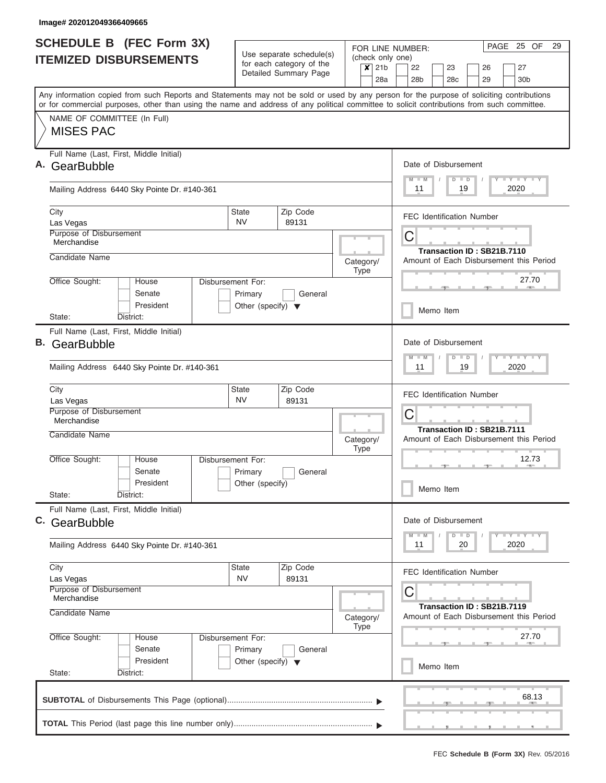|    | <b>SCHEDULE B (FEC Form 3X)</b>                                                                                                                                                                                                                                                         | Use separate schedule(s)                          |                   |                                                                                         |                                                              | PAGE 25 OF<br>29<br>FOR LINE NUMBER:    |                                 |                                                           |         |                 |               |  |          |  |                       |       |  |
|----|-----------------------------------------------------------------------------------------------------------------------------------------------------------------------------------------------------------------------------------------------------------------------------------------|---------------------------------------------------|-------------------|-----------------------------------------------------------------------------------------|--------------------------------------------------------------|-----------------------------------------|---------------------------------|-----------------------------------------------------------|---------|-----------------|---------------|--|----------|--|-----------------------|-------|--|
|    | <b>ITEMIZED DISBURSEMENTS</b>                                                                                                                                                                                                                                                           | for each category of the<br>Detailed Summary Page |                   |                                                                                         |                                                              | (check only one)<br>$x$ 21b<br>22<br>23 |                                 |                                                           |         |                 |               |  | 27<br>26 |  |                       |       |  |
|    |                                                                                                                                                                                                                                                                                         |                                                   |                   |                                                                                         |                                                              | 28a                                     |                                 | 28 <sub>b</sub>                                           |         | 28 <sub>c</sub> |               |  | 29       |  | 30 <sub>b</sub>       |       |  |
|    | Any information copied from such Reports and Statements may not be sold or used by any person for the purpose of soliciting contributions<br>or for commercial purposes, other than using the name and address of any political committee to solicit contributions from such committee. |                                                   |                   |                                                                                         |                                                              |                                         |                                 |                                                           |         |                 |               |  |          |  |                       |       |  |
|    | NAME OF COMMITTEE (In Full)                                                                                                                                                                                                                                                             |                                                   |                   |                                                                                         |                                                              |                                         |                                 |                                                           |         |                 |               |  |          |  |                       |       |  |
|    | <b>MISES PAC</b>                                                                                                                                                                                                                                                                        |                                                   |                   |                                                                                         |                                                              |                                         |                                 |                                                           |         |                 |               |  |          |  |                       |       |  |
|    | Full Name (Last, First, Middle Initial)<br>A. GearBubble                                                                                                                                                                                                                                |                                                   |                   |                                                                                         |                                                              |                                         |                                 | Date of Disbursement                                      |         |                 |               |  |          |  |                       |       |  |
|    | Mailing Address 6440 Sky Pointe Dr. #140-361                                                                                                                                                                                                                                            |                                                   |                   |                                                                                         |                                                              |                                         |                                 |                                                           | $M - M$ |                 | $D$ $D$<br>19 |  |          |  | Y I Y I Y I Y<br>2020 |       |  |
|    | City<br>Las Vegas                                                                                                                                                                                                                                                                       | State<br>NV.                                      | Zip Code<br>89131 |                                                                                         |                                                              |                                         |                                 | <b>FEC Identification Number</b>                          |         |                 |               |  |          |  |                       |       |  |
|    | Purpose of Disbursement<br>Merchandise                                                                                                                                                                                                                                                  |                                                   |                   |                                                                                         |                                                              |                                         | С<br>Transaction ID: SB21B.7110 |                                                           |         |                 |               |  |          |  |                       |       |  |
|    | Candidate Name                                                                                                                                                                                                                                                                          |                                                   |                   | Category/                                                                               | Type                                                         |                                         |                                 | Amount of Each Disbursement this Period                   |         |                 |               |  |          |  |                       |       |  |
|    | Office Sought:<br>House<br>Senate                                                                                                                                                                                                                                                       | Disbursement For:<br>Primary                      | General           |                                                                                         |                                                              |                                         | 27.70                           |                                                           |         |                 |               |  |          |  |                       |       |  |
|    | President<br>State:<br>District:                                                                                                                                                                                                                                                        | Other (specify) $\blacktriangledown$              |                   |                                                                                         |                                                              |                                         |                                 |                                                           |         | Memo Item       |               |  |          |  |                       |       |  |
| В. | Full Name (Last, First, Middle Initial)<br>GearBubble                                                                                                                                                                                                                                   |                                                   |                   |                                                                                         |                                                              |                                         |                                 | Date of Disbursement                                      |         |                 |               |  |          |  |                       |       |  |
|    |                                                                                                                                                                                                                                                                                         |                                                   |                   |                                                                                         |                                                              |                                         |                                 | $T$ $T$ $T$ $T$ $T$ $T$ $T$ $T$ $T$<br>$M - M$<br>$D$ $D$ |         |                 |               |  |          |  |                       |       |  |
|    | Mailing Address 6440 Sky Pointe Dr. #140-361                                                                                                                                                                                                                                            |                                                   |                   |                                                                                         |                                                              |                                         | 11<br>19<br>2020                |                                                           |         |                 |               |  |          |  |                       |       |  |
|    | City<br>Las Vegas                                                                                                                                                                                                                                                                       | Zip Code<br>State<br><b>NV</b><br>89131           |                   |                                                                                         |                                                              |                                         |                                 | <b>FEC Identification Number</b>                          |         |                 |               |  |          |  |                       |       |  |
|    | Purpose of Disbursement<br>Merchandise                                                                                                                                                                                                                                                  |                                                   |                   |                                                                                         |                                                              | С<br>Transaction ID: SB21B.7111         |                                 |                                                           |         |                 |               |  |          |  |                       |       |  |
|    | Candidate Name                                                                                                                                                                                                                                                                          |                                                   |                   | Category/<br><b>Type</b>                                                                |                                                              |                                         |                                 | Amount of Each Disbursement this Period                   |         |                 |               |  |          |  |                       |       |  |
|    | Office Sought:<br>Disbursement For:<br>House<br>Senate<br>President                                                                                                                                                                                                                     | Primary<br>General<br>Other (specify)             |                   |                                                                                         |                                                              |                                         | 12.73<br>$\rightarrow$          |                                                           |         |                 |               |  |          |  |                       |       |  |
|    | State:<br>District:                                                                                                                                                                                                                                                                     |                                                   |                   |                                                                                         |                                                              |                                         |                                 |                                                           |         | Memo Item       |               |  |          |  |                       |       |  |
|    | Full Name (Last, First, Middle Initial)<br>C. GearBubble                                                                                                                                                                                                                                |                                                   |                   |                                                                                         |                                                              |                                         |                                 | Date of Disbursement                                      |         |                 |               |  |          |  |                       |       |  |
|    | Mailing Address 6440 Sky Pointe Dr. #140-361                                                                                                                                                                                                                                            |                                                   |                   |                                                                                         | <b>LEY LEY LEY</b><br>$M - M$<br>$D$ $D$<br>2020<br>11<br>20 |                                         |                                 |                                                           |         |                 |               |  |          |  |                       |       |  |
|    | City<br>Las Vegas                                                                                                                                                                                                                                                                       | State<br>Zip Code<br><b>NV</b><br>89131           |                   |                                                                                         |                                                              |                                         | FEC Identification Number       |                                                           |         |                 |               |  |          |  |                       |       |  |
|    | Purpose of Disbursement<br>Merchandise<br>Candidate Name                                                                                                                                                                                                                                |                                                   | Type              | С<br>Transaction ID: SB21B.7119<br>Amount of Each Disbursement this Period<br>Category/ |                                                              |                                         |                                 |                                                           |         |                 |               |  |          |  |                       |       |  |
|    | Office Sought:<br>Disbursement For:<br>House<br>Senate                                                                                                                                                                                                                                  | Primary<br>General                                |                   |                                                                                         |                                                              |                                         | 27.70                           |                                                           |         |                 |               |  |          |  |                       |       |  |
|    | President<br>Other (specify) $\blacktriangledown$<br>State:<br>District:                                                                                                                                                                                                                |                                                   |                   |                                                                                         |                                                              |                                         | Memo Item                       |                                                           |         |                 |               |  |          |  |                       |       |  |
|    |                                                                                                                                                                                                                                                                                         |                                                   |                   |                                                                                         |                                                              |                                         |                                 |                                                           |         |                 |               |  |          |  |                       | 68.13 |  |
|    |                                                                                                                                                                                                                                                                                         |                                                   |                   |                                                                                         |                                                              |                                         |                                 |                                                           |         |                 |               |  |          |  | , , , , , ,           |       |  |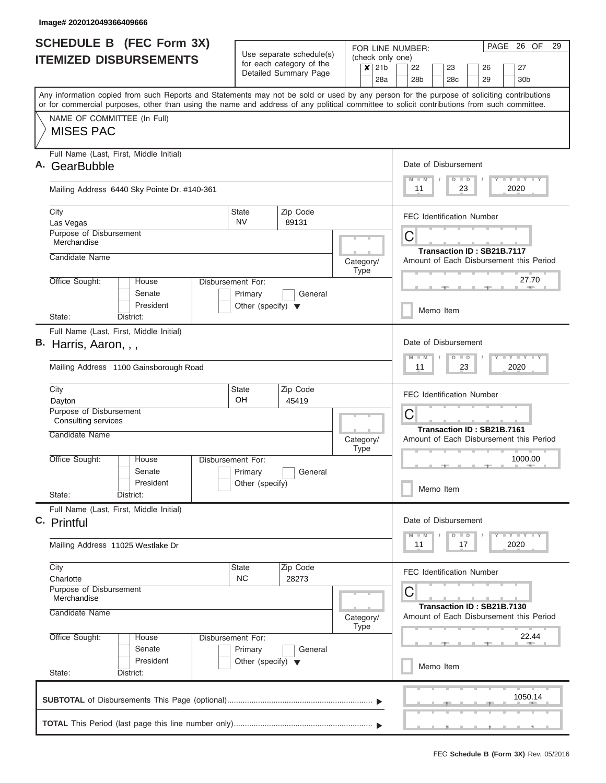|    | <b>SCHEDULE B</b> (FEC Form 3X)                                                                                                                                                                                                                                                         |                                                      |                   |           |             |     | PAGE 26 OF<br>29<br>FOR LINE NUMBER: |                                                                       |                      |           |                 |               |    |                                  |    |                         |  |  |
|----|-----------------------------------------------------------------------------------------------------------------------------------------------------------------------------------------------------------------------------------------------------------------------------------------|------------------------------------------------------|-------------------|-----------|-------------|-----|--------------------------------------|-----------------------------------------------------------------------|----------------------|-----------|-----------------|---------------|----|----------------------------------|----|-------------------------|--|--|
|    | <b>ITEMIZED DISBURSEMENTS</b>                                                                                                                                                                                                                                                           | Use separate schedule(s)<br>for each category of the | (check only one)  |           |             |     |                                      |                                                                       |                      |           |                 |               |    |                                  |    |                         |  |  |
|    |                                                                                                                                                                                                                                                                                         | Detailed Summary Page                                |                   |           | $x$ 21b     |     |                                      | 22                                                                    |                      | 23        |                 |               | 26 |                                  | 27 |                         |  |  |
|    |                                                                                                                                                                                                                                                                                         |                                                      |                   |           |             | 28a |                                      |                                                                       | 28 <sub>b</sub>      |           | 28 <sub>c</sub> |               |    | 29                               |    | 30 <sub>b</sub>         |  |  |
|    | Any information copied from such Reports and Statements may not be sold or used by any person for the purpose of soliciting contributions<br>or for commercial purposes, other than using the name and address of any political committee to solicit contributions from such committee. |                                                      |                   |           |             |     |                                      |                                                                       |                      |           |                 |               |    |                                  |    |                         |  |  |
|    | NAME OF COMMITTEE (In Full)                                                                                                                                                                                                                                                             |                                                      |                   |           |             |     |                                      |                                                                       |                      |           |                 |               |    |                                  |    |                         |  |  |
|    | <b>MISES PAC</b>                                                                                                                                                                                                                                                                        |                                                      |                   |           |             |     |                                      |                                                                       |                      |           |                 |               |    |                                  |    |                         |  |  |
|    |                                                                                                                                                                                                                                                                                         |                                                      |                   |           |             |     |                                      |                                                                       |                      |           |                 |               |    |                                  |    |                         |  |  |
| Α. | Full Name (Last, First, Middle Initial)<br>GearBubble                                                                                                                                                                                                                                   |                                                      |                   |           |             |     |                                      |                                                                       | Date of Disbursement |           |                 |               |    |                                  |    |                         |  |  |
|    |                                                                                                                                                                                                                                                                                         |                                                      |                   |           |             |     |                                      |                                                                       | $M$ $M$              |           |                 | $D$ $D$       |    |                                  |    | Y L Y L Y L Y           |  |  |
|    | Mailing Address 6440 Sky Pointe Dr. #140-361                                                                                                                                                                                                                                            |                                                      |                   |           |             |     |                                      | 11<br>2020<br>23                                                      |                      |           |                 |               |    |                                  |    |                         |  |  |
|    |                                                                                                                                                                                                                                                                                         |                                                      |                   |           |             |     |                                      |                                                                       |                      |           |                 |               |    |                                  |    |                         |  |  |
|    | City<br>Las Vegas                                                                                                                                                                                                                                                                       | <b>State</b><br><b>NV</b>                            | Zip Code<br>89131 |           |             |     |                                      |                                                                       |                      |           |                 |               |    | <b>FEC Identification Number</b> |    |                         |  |  |
|    | Purpose of Disbursement                                                                                                                                                                                                                                                                 |                                                      |                   |           |             |     |                                      |                                                                       | С                    |           |                 |               |    |                                  |    |                         |  |  |
|    | Merchandise                                                                                                                                                                                                                                                                             |                                                      |                   |           |             |     |                                      |                                                                       |                      |           |                 |               |    | Transaction ID: SB21B.7117       |    |                         |  |  |
|    | Candidate Name                                                                                                                                                                                                                                                                          |                                                      |                   | Category/ |             |     |                                      | Amount of Each Disbursement this Period                               |                      |           |                 |               |    |                                  |    |                         |  |  |
|    | Office Sought:<br>House<br>Disbursement For:                                                                                                                                                                                                                                            |                                                      |                   |           | Type        |     |                                      |                                                                       |                      |           |                 |               |    |                                  |    | 27.70                   |  |  |
|    | Senate                                                                                                                                                                                                                                                                                  | Primary                                              | General           |           |             |     |                                      |                                                                       |                      |           |                 |               |    |                                  |    |                         |  |  |
|    | President                                                                                                                                                                                                                                                                               | Other (specify) $\blacktriangledown$                 |                   |           |             |     |                                      |                                                                       |                      | Memo Item |                 |               |    |                                  |    |                         |  |  |
|    | District:<br>State:                                                                                                                                                                                                                                                                     |                                                      |                   |           |             |     |                                      |                                                                       |                      |           |                 |               |    |                                  |    |                         |  |  |
|    | Full Name (Last, First, Middle Initial)                                                                                                                                                                                                                                                 |                                                      |                   |           |             |     |                                      |                                                                       |                      |           |                 |               |    |                                  |    |                         |  |  |
|    | B. Harris, Aaron, , ,                                                                                                                                                                                                                                                                   |                                                      |                   |           |             |     |                                      | Date of Disbursement<br>$T$ $Y$ $T$ $Y$ $T$<br>$M - M$<br>$D$ $D$     |                      |           |                 |               |    |                                  |    |                         |  |  |
|    | Mailing Address 1100 Gainsborough Road                                                                                                                                                                                                                                                  |                                                      |                   |           |             |     |                                      | 2020<br>11<br>23                                                      |                      |           |                 |               |    |                                  |    |                         |  |  |
|    | City                                                                                                                                                                                                                                                                                    | State                                                | Zip Code          |           |             |     |                                      | <b>FEC Identification Number</b>                                      |                      |           |                 |               |    |                                  |    |                         |  |  |
|    | Dayton<br>Purpose of Disbursement                                                                                                                                                                                                                                                       | <b>OH</b><br>45419                                   |                   |           |             |     |                                      |                                                                       |                      |           |                 |               |    |                                  |    |                         |  |  |
|    | <b>Consulting services</b>                                                                                                                                                                                                                                                              |                                                      |                   |           |             |     |                                      | С                                                                     |                      |           |                 |               |    |                                  |    |                         |  |  |
|    | Candidate Name                                                                                                                                                                                                                                                                          |                                                      |                   |           | Category/   |     |                                      | Transaction ID: SB21B.7161<br>Amount of Each Disbursement this Period |                      |           |                 |               |    |                                  |    |                         |  |  |
|    |                                                                                                                                                                                                                                                                                         |                                                      |                   |           | <b>Type</b> |     |                                      |                                                                       |                      |           |                 |               |    |                                  |    |                         |  |  |
|    | Office Sought:<br>House<br>Disbursement For:<br>Senate                                                                                                                                                                                                                                  | Primary                                              | General           |           |             |     |                                      | 1000.00<br>$\rightarrow$                                              |                      |           |                 |               |    |                                  |    |                         |  |  |
|    | President                                                                                                                                                                                                                                                                               | Other (specify)                                      |                   |           |             |     |                                      |                                                                       |                      |           |                 |               |    |                                  |    |                         |  |  |
|    | State:<br>District:                                                                                                                                                                                                                                                                     |                                                      |                   |           |             |     |                                      |                                                                       |                      | Memo Item |                 |               |    |                                  |    |                         |  |  |
|    | Full Name (Last, First, Middle Initial)                                                                                                                                                                                                                                                 |                                                      |                   |           |             |     |                                      |                                                                       |                      |           |                 |               |    |                                  |    |                         |  |  |
|    | C. Printful                                                                                                                                                                                                                                                                             |                                                      |                   |           |             |     |                                      |                                                                       | Date of Disbursement |           |                 |               |    |                                  |    |                         |  |  |
|    | Mailing Address 11025 Westlake Dr                                                                                                                                                                                                                                                       |                                                      |                   |           |             |     |                                      |                                                                       | $M - M$<br>11        |           |                 | $D$ $D$<br>17 |    |                                  |    | <b>LY LY LY</b><br>2020 |  |  |
|    |                                                                                                                                                                                                                                                                                         |                                                      |                   |           |             |     |                                      |                                                                       |                      |           |                 |               |    |                                  |    |                         |  |  |
|    | City                                                                                                                                                                                                                                                                                    | <b>State</b>                                         | Zip Code          |           |             |     |                                      |                                                                       |                      |           |                 |               |    | FEC Identification Number        |    |                         |  |  |
|    | Charlotte<br>Purpose of Disbursement                                                                                                                                                                                                                                                    | <b>NC</b>                                            | 28273             |           |             |     |                                      |                                                                       |                      |           |                 |               |    |                                  |    |                         |  |  |
|    | Merchandise                                                                                                                                                                                                                                                                             |                                                      |                   |           |             |     |                                      |                                                                       | С                    |           |                 |               |    |                                  |    |                         |  |  |
|    | Candidate Name                                                                                                                                                                                                                                                                          | Category/                                            |                   |           |             |     |                                      |                                                                       |                      |           |                 |               |    | Transaction ID: SB21B.7130       |    |                         |  |  |
|    |                                                                                                                                                                                                                                                                                         |                                                      | Type              |           |             |     |                                      | Amount of Each Disbursement this Period                               |                      |           |                 |               |    |                                  |    |                         |  |  |
|    | Office Sought:<br>House<br>Disbursement For:<br>Senate                                                                                                                                                                                                                                  | Primary                                              | General           |           |             |     |                                      | 22.44                                                                 |                      |           |                 |               |    |                                  |    |                         |  |  |
|    | President<br>Other (specify) $\blacktriangledown$                                                                                                                                                                                                                                       |                                                      |                   |           |             |     |                                      |                                                                       |                      |           |                 |               |    |                                  |    |                         |  |  |
|    | State:<br>District:                                                                                                                                                                                                                                                                     |                                                      |                   |           |             |     |                                      | Memo Item                                                             |                      |           |                 |               |    |                                  |    |                         |  |  |
|    |                                                                                                                                                                                                                                                                                         |                                                      |                   |           |             |     |                                      |                                                                       |                      |           |                 |               |    |                                  |    |                         |  |  |
|    |                                                                                                                                                                                                                                                                                         |                                                      |                   |           |             |     |                                      |                                                                       |                      |           |                 |               |    |                                  |    | 1050.14                 |  |  |
|    |                                                                                                                                                                                                                                                                                         |                                                      |                   |           |             |     |                                      |                                                                       |                      |           |                 |               |    |                                  |    |                         |  |  |
|    |                                                                                                                                                                                                                                                                                         |                                                      |                   |           |             |     |                                      |                                                                       |                      |           |                 |               |    |                                  |    |                         |  |  |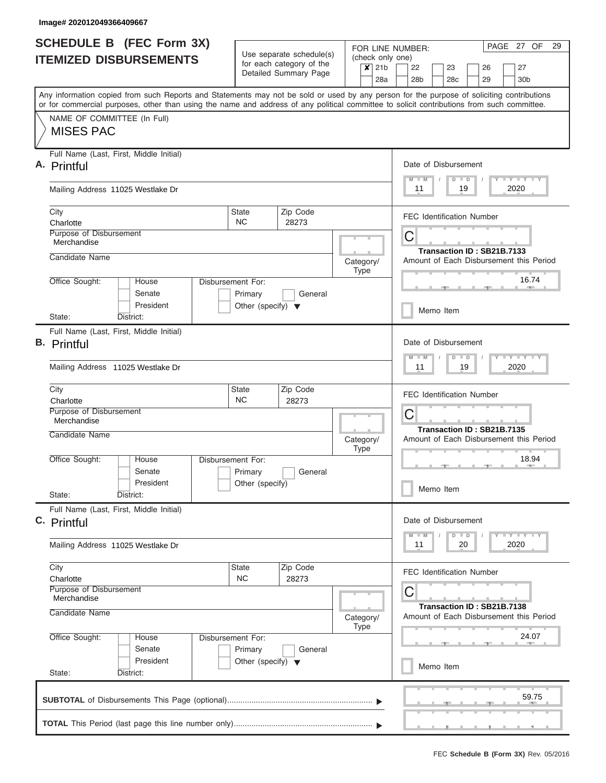|  | <b>SCHEDULE B (FEC Form 3X)</b>                                                                                                                                                                                                                                                         |                                                                                 |                                                                                         |             |                                  |                                                                            | FOR LINE NUMBER:                         |                                                                                                                               |                      |        |                            |  | PAGE 27 OF                                                          | 29 |  |
|--|-----------------------------------------------------------------------------------------------------------------------------------------------------------------------------------------------------------------------------------------------------------------------------------------|---------------------------------------------------------------------------------|-----------------------------------------------------------------------------------------|-------------|----------------------------------|----------------------------------------------------------------------------|------------------------------------------|-------------------------------------------------------------------------------------------------------------------------------|----------------------|--------|----------------------------|--|---------------------------------------------------------------------|----|--|
|  | <b>ITEMIZED DISBURSEMENTS</b>                                                                                                                                                                                                                                                           |                                                                                 | Use separate schedule(s)<br>for each category of the<br>$x$ 21b                         |             |                                  |                                                                            | (check only one)<br>22<br>23<br>26<br>27 |                                                                                                                               |                      |        |                            |  |                                                                     |    |  |
|  |                                                                                                                                                                                                                                                                                         |                                                                                 | Detailed Summary Page                                                                   |             |                                  | 28a                                                                        | 28 <sub>b</sub>                          |                                                                                                                               | 28 <sub>c</sub>      |        | 29                         |  | 30 <sub>b</sub>                                                     |    |  |
|  | Any information copied from such Reports and Statements may not be sold or used by any person for the purpose of soliciting contributions<br>or for commercial purposes, other than using the name and address of any political committee to solicit contributions from such committee. |                                                                                 |                                                                                         |             |                                  |                                                                            |                                          |                                                                                                                               |                      |        |                            |  |                                                                     |    |  |
|  | NAME OF COMMITTEE (In Full)<br><b>MISES PAC</b>                                                                                                                                                                                                                                         |                                                                                 |                                                                                         |             |                                  |                                                                            |                                          |                                                                                                                               |                      |        |                            |  |                                                                     |    |  |
|  | Full Name (Last, First, Middle Initial)<br>A. Printful                                                                                                                                                                                                                                  |                                                                                 |                                                                                         |             |                                  |                                                                            |                                          | Date of Disbursement                                                                                                          |                      |        |                            |  |                                                                     |    |  |
|  | Mailing Address 11025 Westlake Dr                                                                                                                                                                                                                                                       |                                                                                 |                                                                                         |             |                                  |                                                                            |                                          |                                                                                                                               | $D$ $D$              | 19     | $\sqrt{ }$                 |  | Y LY LY LY<br>2020                                                  |    |  |
|  | City<br>Charlotte                                                                                                                                                                                                                                                                       | <b>State</b><br><b>NC</b>                                                       | Zip Code<br>28273                                                                       |             |                                  |                                                                            | <b>FEC Identification Number</b>         |                                                                                                                               |                      |        |                            |  |                                                                     |    |  |
|  | Purpose of Disbursement<br>Merchandise                                                                                                                                                                                                                                                  |                                                                                 |                                                                                         |             |                                  |                                                                            | C                                        |                                                                                                                               |                      |        | Transaction ID: SB21B.7133 |  |                                                                     |    |  |
|  | Candidate Name<br>Office Sought:<br>House                                                                                                                                                                                                                                               |                                                                                 |                                                                                         |             | Category/<br>Type                |                                                                            | Amount of Each Disbursement this Period  |                                                                                                                               |                      |        |                            |  | 16.74                                                               |    |  |
|  | Senate<br>President                                                                                                                                                                                                                                                                     | Disbursement For:<br>Primary<br>General<br>Other (specify) $\blacktriangledown$ |                                                                                         |             |                                  |                                                                            |                                          | <b>Allen</b><br>Memo Item                                                                                                     |                      |        |                            |  |                                                                     |    |  |
|  | State:<br>District:                                                                                                                                                                                                                                                                     |                                                                                 |                                                                                         |             |                                  |                                                                            |                                          |                                                                                                                               |                      |        |                            |  |                                                                     |    |  |
|  | Full Name (Last, First, Middle Initial)<br><b>B.</b> Printful                                                                                                                                                                                                                           |                                                                                 |                                                                                         |             |                                  |                                                                            |                                          | Date of Disbursement<br>$\mathbf{I} = \mathbf{Y} - \mathbf{I} - \mathbf{Y} - \mathbf{I} - \mathbf{Y}$<br>$-M$<br>$D$ $D$<br>M |                      |        |                            |  |                                                                     |    |  |
|  | Mailing Address 11025 Westlake Dr                                                                                                                                                                                                                                                       |                                                                                 | 2020<br>11<br>19                                                                        |             |                                  |                                                                            |                                          |                                                                                                                               |                      |        |                            |  |                                                                     |    |  |
|  | City<br>Charlotte<br>Purpose of Disbursement                                                                                                                                                                                                                                            |                                                                                 |                                                                                         |             | <b>FEC Identification Number</b> |                                                                            |                                          |                                                                                                                               |                      |        |                            |  |                                                                     |    |  |
|  | Merchandise<br>Candidate Name                                                                                                                                                                                                                                                           |                                                                                 |                                                                                         | Category/   |                                  | C<br>Transaction ID: SB21B.7135<br>Amount of Each Disbursement this Period |                                          |                                                                                                                               |                      |        |                            |  |                                                                     |    |  |
|  | Office Sought:<br>Disbursement For:<br>House                                                                                                                                                                                                                                            |                                                                                 |                                                                                         | <b>Type</b> |                                  | 18.94                                                                      |                                          |                                                                                                                               |                      |        |                            |  |                                                                     |    |  |
|  | Senate<br>President                                                                                                                                                                                                                                                                     | Primary<br>Other (specify)                                                      | General                                                                                 |             |                                  |                                                                            |                                          | Memo Item                                                                                                                     |                      |        |                            |  |                                                                     |    |  |
|  | State:<br>District:                                                                                                                                                                                                                                                                     |                                                                                 |                                                                                         |             |                                  |                                                                            |                                          |                                                                                                                               |                      |        |                            |  |                                                                     |    |  |
|  | Full Name (Last, First, Middle Initial)<br>C. Printful                                                                                                                                                                                                                                  |                                                                                 |                                                                                         |             |                                  |                                                                            |                                          |                                                                                                                               | Date of Disbursement | $\Box$ |                            |  | $\mathbb{L} \mathbf{Y} \mathbb{L} \mathbf{Y} \mathbb{L} \mathbf{Y}$ |    |  |
|  | Mailing Address 11025 Westlake Dr                                                                                                                                                                                                                                                       |                                                                                 |                                                                                         |             | M<br>11                          |                                                                            | $\overline{D}$                           | 20                                                                                                                            |                      |        | 2020                       |  |                                                                     |    |  |
|  | City<br>Charlotte<br><b>Purpose of Disbursement</b>                                                                                                                                                                                                                                     |                                                                                 |                                                                                         |             | <b>FEC Identification Number</b> |                                                                            |                                          |                                                                                                                               |                      |        |                            |  |                                                                     |    |  |
|  | Merchandise<br>Candidate Name                                                                                                                                                                                                                                                           |                                                                                 | C<br>Transaction ID: SB21B.7138<br>Amount of Each Disbursement this Period<br>Category/ |             |                                  |                                                                            |                                          |                                                                                                                               |                      |        |                            |  |                                                                     |    |  |
|  | Type<br>Office Sought:<br>Disbursement For:<br>House                                                                                                                                                                                                                                    |                                                                                 |                                                                                         |             |                                  |                                                                            |                                          |                                                                                                                               |                      |        |                            |  | 24.07                                                               |    |  |
|  | Senate<br>Primary<br>General<br>President<br>Other (specify) $\blacktriangledown$<br>State:<br>District:                                                                                                                                                                                |                                                                                 |                                                                                         |             |                                  |                                                                            |                                          | Memo Item                                                                                                                     |                      |        |                            |  |                                                                     |    |  |
|  |                                                                                                                                                                                                                                                                                         |                                                                                 |                                                                                         |             |                                  |                                                                            |                                          |                                                                                                                               |                      |        |                            |  | $\sim$<br>59.75                                                     |    |  |
|  |                                                                                                                                                                                                                                                                                         |                                                                                 |                                                                                         |             |                                  |                                                                            |                                          |                                                                                                                               |                      |        |                            |  |                                                                     |    |  |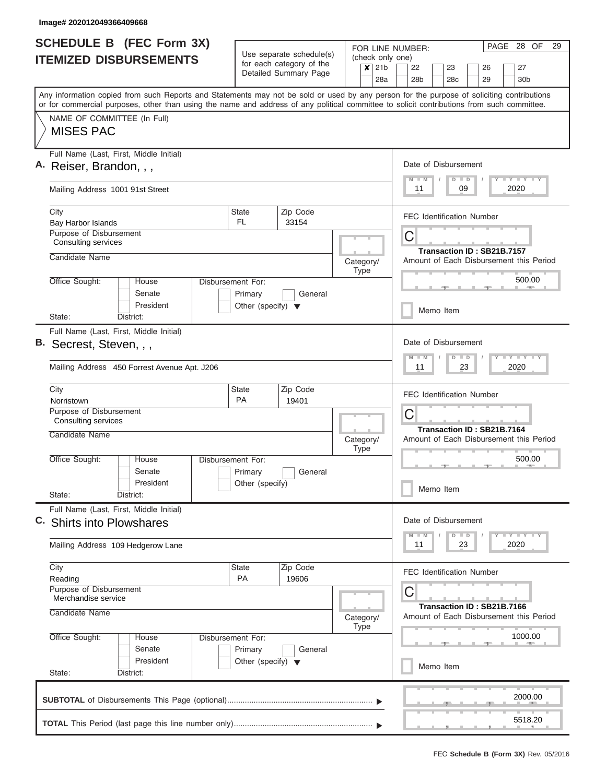| <b>SCHEDULE B (FEC Form 3X)</b>                                                                                                            |                                      |                                                                               | FOR LINE NUMBER:            | PAGE<br>28 OF<br>29                                                   |  |  |  |  |  |  |
|--------------------------------------------------------------------------------------------------------------------------------------------|--------------------------------------|-------------------------------------------------------------------------------|-----------------------------|-----------------------------------------------------------------------|--|--|--|--|--|--|
| <b>ITEMIZED DISBURSEMENTS</b>                                                                                                              |                                      | Use separate schedule(s)<br>for each category of the<br>Detailed Summary Page | (check only one)<br>$x$ 21b | 22<br>23<br>27<br>26                                                  |  |  |  |  |  |  |
| Any information copied from such Reports and Statements may not be sold or used by any person for the purpose of soliciting contributions  |                                      |                                                                               | 28a                         | 28 <sub>b</sub><br>28c<br>29<br>30 <sub>b</sub>                       |  |  |  |  |  |  |
| or for commercial purposes, other than using the name and address of any political committee to solicit contributions from such committee. |                                      |                                                                               |                             |                                                                       |  |  |  |  |  |  |
| NAME OF COMMITTEE (In Full)<br><b>MISES PAC</b>                                                                                            |                                      |                                                                               |                             |                                                                       |  |  |  |  |  |  |
| Full Name (Last, First, Middle Initial)<br>A. Reiser, Brandon, , ,                                                                         |                                      |                                                                               |                             | Date of Disbursement                                                  |  |  |  |  |  |  |
| Mailing Address 1001 91st Street                                                                                                           |                                      |                                                                               |                             | Y I Y I Y I Y<br>$M - M$<br>$D$ $D$<br>2020<br>11<br>09               |  |  |  |  |  |  |
| City<br>Bay Harbor Islands                                                                                                                 | <b>State</b><br>FL.                  | Zip Code<br>33154                                                             |                             | <b>FEC Identification Number</b>                                      |  |  |  |  |  |  |
| <b>Purpose of Disbursement</b><br><b>Consulting services</b>                                                                               |                                      |                                                                               |                             | C                                                                     |  |  |  |  |  |  |
| Candidate Name                                                                                                                             |                                      |                                                                               | Category/<br><b>Type</b>    | Transaction ID: SB21B.7157<br>Amount of Each Disbursement this Period |  |  |  |  |  |  |
| Office Sought:<br>House<br>Senate                                                                                                          | Disbursement For:<br>Primary         | General                                                                       |                             | 500.00                                                                |  |  |  |  |  |  |
| President<br>State:<br>District:                                                                                                           | Other (specify) $\blacktriangledown$ |                                                                               |                             | Memo Item                                                             |  |  |  |  |  |  |
| Full Name (Last, First, Middle Initial)                                                                                                    |                                      |                                                                               |                             |                                                                       |  |  |  |  |  |  |
| B. Secrest, Steven, , ,                                                                                                                    |                                      |                                                                               |                             | Date of Disbursement<br>Y FY FY FY<br>$M - M$<br>$D$ $D$              |  |  |  |  |  |  |
| Mailing Address 450 Forrest Avenue Apt. J206                                                                                               |                                      |                                                                               |                             | 23<br>2020<br>11                                                      |  |  |  |  |  |  |
| City                                                                                                                                       | <b>State</b><br>PA                   | Zip Code                                                                      |                             | <b>FEC Identification Number</b>                                      |  |  |  |  |  |  |
| Norristown<br>Purpose of Disbursement<br>Consulting services                                                                               |                                      | 19401                                                                         |                             | C                                                                     |  |  |  |  |  |  |
| Candidate Name                                                                                                                             |                                      |                                                                               | Category/<br><b>Type</b>    | Transaction ID: SB21B.7164<br>Amount of Each Disbursement this Period |  |  |  |  |  |  |
| Office Sought:<br>House                                                                                                                    | Disbursement For:                    |                                                                               |                             | 500.00                                                                |  |  |  |  |  |  |
| Senate<br>President                                                                                                                        | Primary<br>Other (specify)           | General                                                                       |                             | Memo Item                                                             |  |  |  |  |  |  |
| State:<br>District:<br>Full Name (Last, First, Middle Initial)                                                                             |                                      |                                                                               |                             |                                                                       |  |  |  |  |  |  |
| C. Shirts into Plowshares                                                                                                                  |                                      |                                                                               |                             | Date of Disbursement<br>Y TY TY TY<br>$M - M$<br>$D$ $D$              |  |  |  |  |  |  |
| Mailing Address 109 Hedgerow Lane                                                                                                          |                                      |                                                                               |                             | 2020<br>11<br>23                                                      |  |  |  |  |  |  |
| City                                                                                                                                       | State                                | Zip Code                                                                      |                             | <b>FEC Identification Number</b>                                      |  |  |  |  |  |  |
| Reading<br>Purpose of Disbursement<br>Merchandise service                                                                                  | <b>PA</b>                            | 19606                                                                         |                             | С                                                                     |  |  |  |  |  |  |
| Candidate Name                                                                                                                             | Category/<br><b>Type</b>             | Transaction ID: SB21B.7166<br>Amount of Each Disbursement this Period         |                             |                                                                       |  |  |  |  |  |  |
| Office Sought:<br>House<br>Senate                                                                                                          | Disbursement For:<br>Primary         | General                                                                       |                             | 1000.00                                                               |  |  |  |  |  |  |
| President<br>State:<br>District:                                                                                                           |                                      | Memo Item                                                                     |                             |                                                                       |  |  |  |  |  |  |
|                                                                                                                                            |                                      |                                                                               |                             | 2000.00                                                               |  |  |  |  |  |  |
|                                                                                                                                            |                                      |                                                                               |                             | 5518.20                                                               |  |  |  |  |  |  |